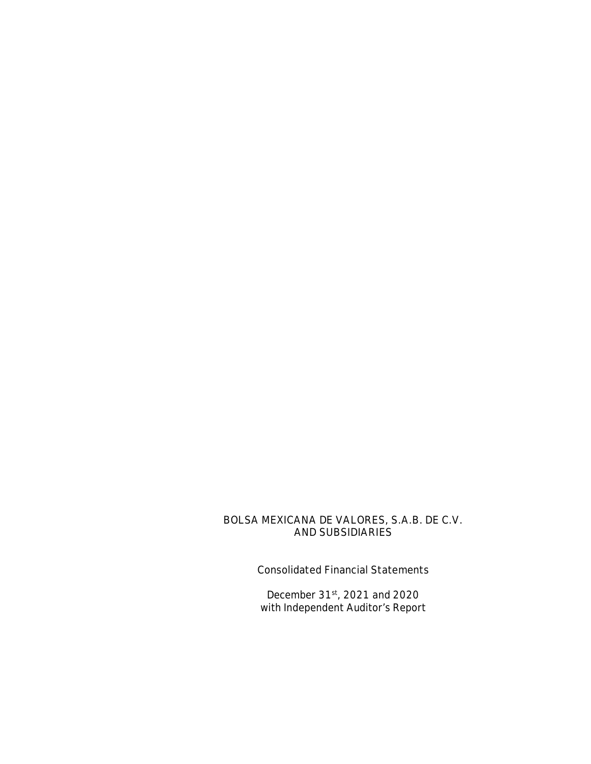**Consolidated Financial Statements**

December 31st, 2021 and 2020 with Independent Auditor's Report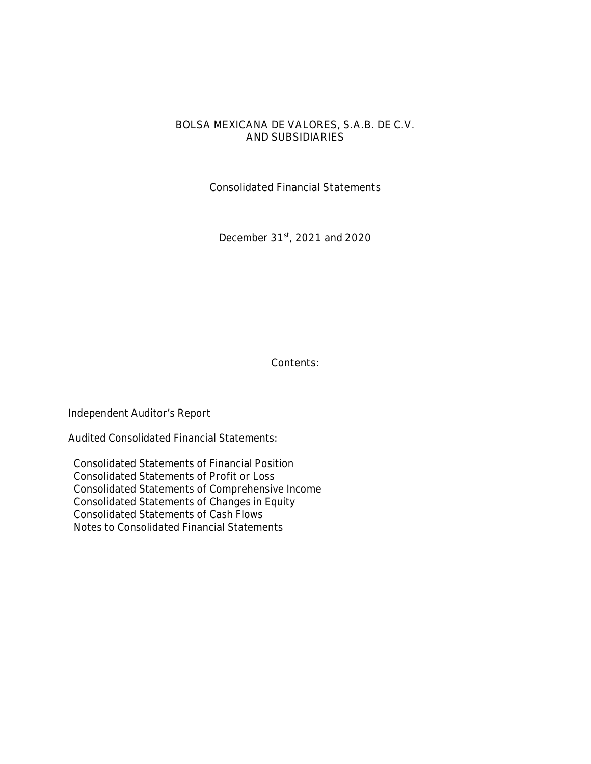**Consolidated Financial Statements**

December 31st, 2021 and 2020

**Contents:**

Independent Auditor's Report

Audited Consolidated Financial Statements:

 Consolidated Statements of Financial Position Consolidated Statements of Profit or Loss Consolidated Statements of Comprehensive Income Consolidated Statements of Changes in Equity Consolidated Statements of Cash Flows Notes to Consolidated Financial Statements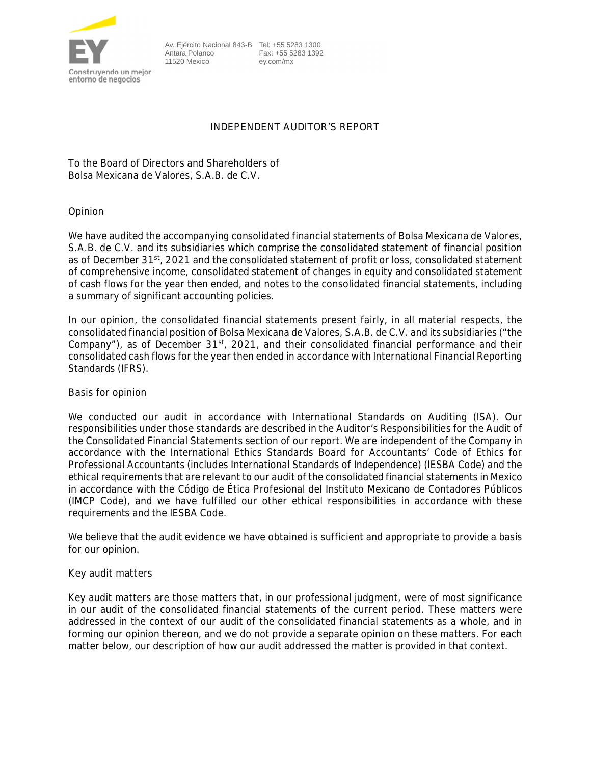

Av. Ejército Nacional 843-B Tel: +55 5283 1300 ey.com/mx

#### **INDEPENDENT AUDITOR'S REPORT**

To the Board of Directors and Shareholders of Bolsa Mexicana de Valores, S.A.B. de C.V.

#### *Opinion*

We have audited the accompanying consolidated financial statements of Bolsa Mexicana de Valores, S.A.B. de C.V. and its subsidiaries which comprise the consolidated statement of financial position as of December 31st, 2021 and the consolidated statement of profit or loss, consolidated statement of comprehensive income, consolidated statement of changes in equity and consolidated statement of cash flows for the year then ended, and notes to the consolidated financial statements, including a summary of significant accounting policies.

In our opinion, the consolidated financial statements present fairly, in all material respects, the consolidated financial position of Bolsa Mexicana de Valores, S.A.B. de C.V. and its subsidiaries ("the Company"), as of December  $31<sup>st</sup>$ , 2021, and their consolidated financial performance and their consolidated cash flows for the year then ended in accordance with International Financial Reporting Standards (IFRS).

#### *Basis for opinion*

We conducted our audit in accordance with International Standards on Auditing (ISA). Our responsibilities under those standards are described in the *Auditor's Responsibilities for the Audit of the Consolidated Financial Statements* section of our report. We are independent of the Company in accordance with the International Ethics Standards Board for Accountants' *Code of Ethics for Professional Accountants* (includes International Standards of Independence) (IESBA Code) and the ethical requirements that are relevant to our audit of the consolidated financial statements in Mexico in accordance with the *Código de Ética Profesional del Instituto Mexicano de Contadores Públicos* (IMCP Code), and we have fulfilled our other ethical responsibilities in accordance with these requirements and the IESBA Code.

We believe that the audit evidence we have obtained is sufficient and appropriate to provide a basis for our opinion.

#### *Key audit matters*

Key audit matters are those matters that, in our professional judgment, were of most significance in our audit of the consolidated financial statements of the current period. These matters were addressed in the context of our audit of the consolidated financial statements as a whole, and in forming our opinion thereon, and we do not provide a separate opinion on these matters. For each matter below, our description of how our audit addressed the matter is provided in that context.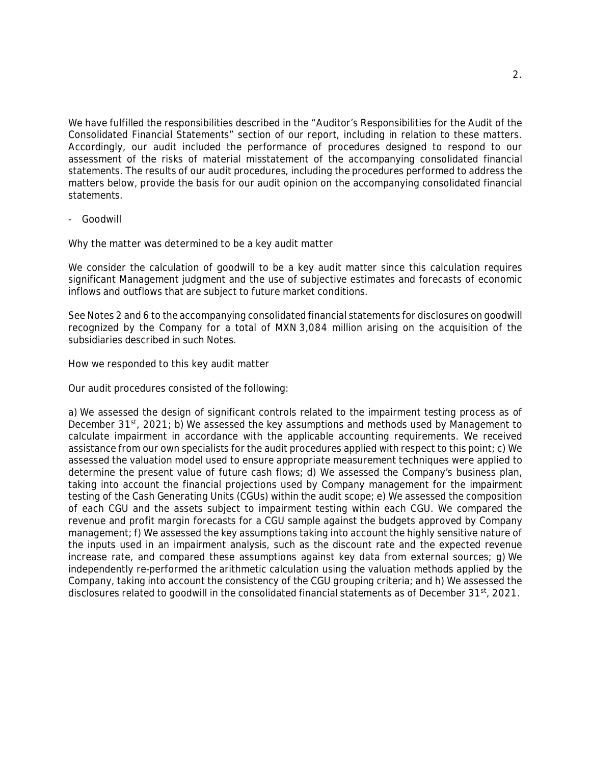We have fulfilled the responsibilities described in the "Auditor's Responsibilities for the Audit of the Consolidated Financial Statements" section of our report, including in relation to these matters. Accordingly, our audit included the performance of procedures designed to respond to our assessment of the risks of material misstatement of the accompanying consolidated financial statements. The results of our audit procedures, including the procedures performed to address the matters below, provide the basis for our audit opinion on the accompanying consolidated financial statements.

#### - *Goodwill*

#### *Why the matter was determined to be a key audit matter*

We consider the calculation of goodwill to be a key audit matter since this calculation requires significant Management judgment and the use of subjective estimates and forecasts of economic inflows and outflows that are subject to future market conditions.

See Notes 2 and 6 to the accompanying consolidated financial statements for disclosures on goodwill recognized by the Company for a total of MXN 3,084 million arising on the acquisition of the subsidiaries described in such Notes.

#### *How we responded to this key audit matter*

Our audit procedures consisted of the following:

a) We assessed the design of significant controls related to the impairment testing process as of December 31<sup>st</sup>, 2021; b) We assessed the key assumptions and methods used by Management to calculate impairment in accordance with the applicable accounting requirements. We received assistance from our own specialists for the audit procedures applied with respect to this point; c) We assessed the valuation model used to ensure appropriate measurement techniques were applied to determine the present value of future cash flows; d) We assessed the Company's business plan, taking into account the financial projections used by Company management for the impairment testing of the Cash Generating Units (CGUs) within the audit scope; e) We assessed the composition of each CGU and the assets subject to impairment testing within each CGU. We compared the revenue and profit margin forecasts for a CGU sample against the budgets approved by Company management; f) We assessed the key assumptions taking into account the highly sensitive nature of the inputs used in an impairment analysis, such as the discount rate and the expected revenue increase rate, and compared these assumptions against key data from external sources; g) We independently re-performed the arithmetic calculation using the valuation methods applied by the Company, taking into account the consistency of the CGU grouping criteria; and h) We assessed the disclosures related to goodwill in the consolidated financial statements as of December 31<sup>st</sup>, 2021.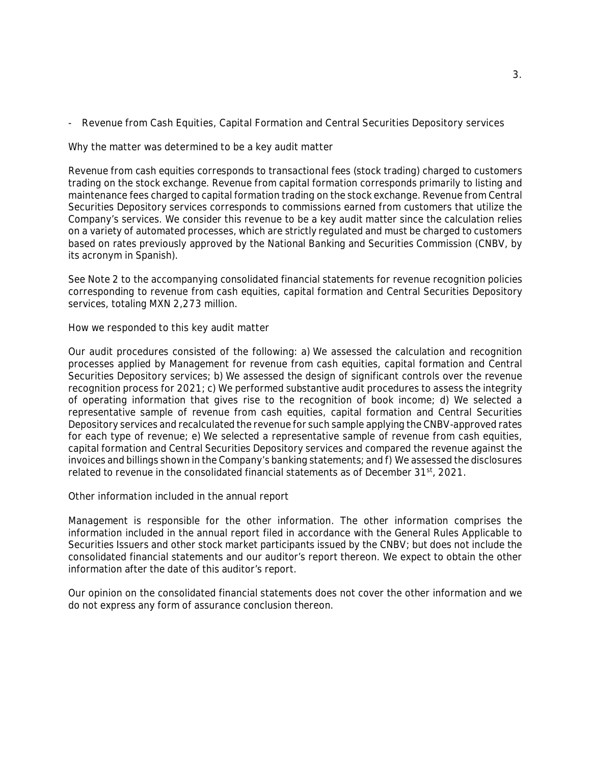#### - *Revenue from Cash Equities, Capital Formation and Central Securities Depository services*

#### *Why the matter was determined to be a key audit matter*

Revenue from cash equities corresponds to transactional fees (stock trading) charged to customers trading on the stock exchange. Revenue from capital formation corresponds primarily to listing and maintenance fees charged to capital formation trading on the stock exchange. Revenue from Central Securities Depository services corresponds to commissions earned from customers that utilize the Company's services. We consider this revenue to be a key audit matter since the calculation relies on a variety of automated processes, which are strictly regulated and must be charged to customers based on rates previously approved by the National Banking and Securities Commission (CNBV, by its acronym in Spanish).

See Note 2 to the accompanying consolidated financial statements for revenue recognition policies corresponding to revenue from cash equities, capital formation and Central Securities Depository services, totaling MXN 2,273 million.

#### *How we responded to this key audit matter*

Our audit procedures consisted of the following: a) We assessed the calculation and recognition processes applied by Management for revenue from cash equities, capital formation and Central Securities Depository services; b) We assessed the design of significant controls over the revenue recognition process for 2021; c) We performed substantive audit procedures to assess the integrity of operating information that gives rise to the recognition of book income; d) We selected a representative sample of revenue from cash equities, capital formation and Central Securities Depository services and recalculated the revenue for such sample applying the CNBV-approved rates for each type of revenue; e) We selected a representative sample of revenue from cash equities, capital formation and Central Securities Depository services and compared the revenue against the invoices and billings shown in the Company's banking statements; and f) We assessed the disclosures related to revenue in the consolidated financial statements as of December 31<sup>st</sup>, 2021.

## *Other information included in the annual report*

Management is responsible for the other information. The other information comprises the information included in the annual report filed in accordance with the General Rules Applicable to Securities Issuers and other stock market participants issued by the CNBV; but does not include the consolidated financial statements and our auditor's report thereon. We expect to obtain the other information after the date of this auditor's report.

Our opinion on the consolidated financial statements does not cover the other information and we do not express any form of assurance conclusion thereon.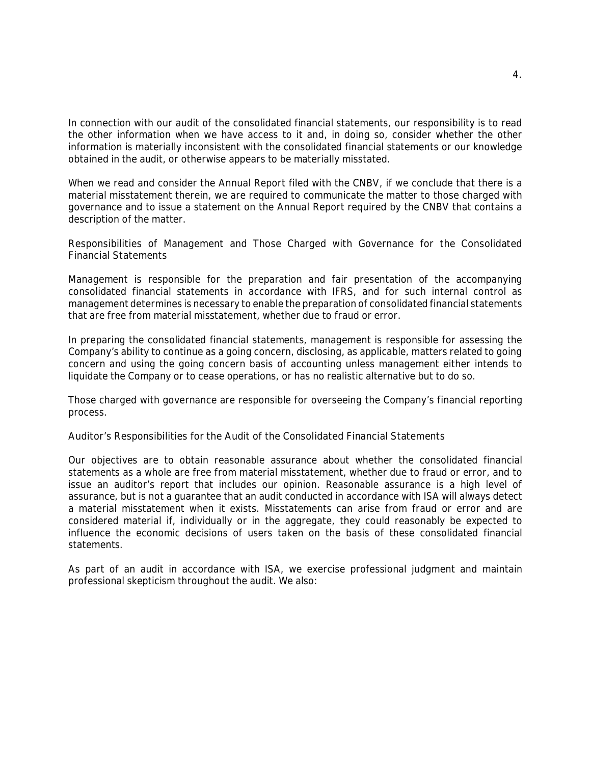In connection with our audit of the consolidated financial statements, our responsibility is to read the other information when we have access to it and, in doing so, consider whether the other information is materially inconsistent with the consolidated financial statements or our knowledge obtained in the audit, or otherwise appears to be materially misstated.

When we read and consider the Annual Report filed with the CNBV, if we conclude that there is a material misstatement therein, we are required to communicate the matter to those charged with governance and to issue a statement on the Annual Report required by the CNBV that contains a description of the matter.

#### *Responsibilities of Management and Those Charged with Governance for the Consolidated Financial Statements*

Management is responsible for the preparation and fair presentation of the accompanying consolidated financial statements in accordance with IFRS, and for such internal control as management determines is necessary to enable the preparation of consolidated financial statements that are free from material misstatement, whether due to fraud or error.

In preparing the consolidated financial statements, management is responsible for assessing the Company's ability to continue as a going concern, disclosing, as applicable, matters related to going concern and using the going concern basis of accounting unless management either intends to liquidate the Company or to cease operations, or has no realistic alternative but to do so.

Those charged with governance are responsible for overseeing the Company's financial reporting process.

#### *Auditor's Responsibilities for the Audit of the Consolidated Financial Statements*

Our objectives are to obtain reasonable assurance about whether the consolidated financial statements as a whole are free from material misstatement, whether due to fraud or error, and to issue an auditor's report that includes our opinion. Reasonable assurance is a high level of assurance, but is not a guarantee that an audit conducted in accordance with ISA will always detect a material misstatement when it exists. Misstatements can arise from fraud or error and are considered material if, individually or in the aggregate, they could reasonably be expected to influence the economic decisions of users taken on the basis of these consolidated financial statements.

As part of an audit in accordance with ISA, we exercise professional judgment and maintain professional skepticism throughout the audit. We also: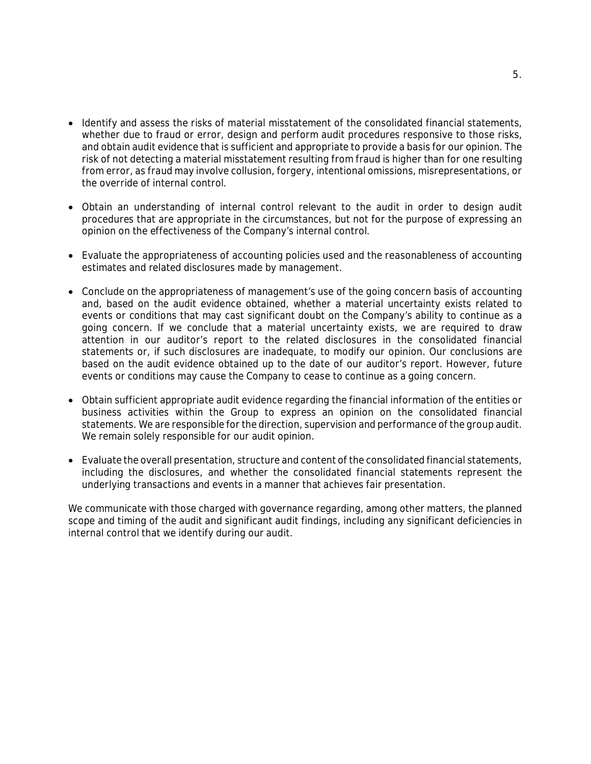- Identify and assess the risks of material misstatement of the consolidated financial statements, whether due to fraud or error, design and perform audit procedures responsive to those risks, and obtain audit evidence that is sufficient and appropriate to provide a basis for our opinion. The risk of not detecting a material misstatement resulting from fraud is higher than for one resulting from error, as fraud may involve collusion, forgery, intentional omissions, misrepresentations, or the override of internal control.
- Obtain an understanding of internal control relevant to the audit in order to design audit procedures that are appropriate in the circumstances, but not for the purpose of expressing an opinion on the effectiveness of the Company's internal control.
- Evaluate the appropriateness of accounting policies used and the reasonableness of accounting estimates and related disclosures made by management.
- Conclude on the appropriateness of management's use of the going concern basis of accounting and, based on the audit evidence obtained, whether a material uncertainty exists related to events or conditions that may cast significant doubt on the Company's ability to continue as a going concern. If we conclude that a material uncertainty exists, we are required to draw attention in our auditor's report to the related disclosures in the consolidated financial statements or, if such disclosures are inadequate, to modify our opinion. Our conclusions are based on the audit evidence obtained up to the date of our auditor's report. However, future events or conditions may cause the Company to cease to continue as a going concern.
- Obtain sufficient appropriate audit evidence regarding the financial information of the entities or business activities within the Group to express an opinion on the consolidated financial statements. We are responsible for the direction, supervision and performance of the group audit. We remain solely responsible for our audit opinion.
- Evaluate the overall presentation, structure and content of the consolidated financial statements, including the disclosures, and whether the consolidated financial statements represent the underlying transactions and events in a manner that achieves fair presentation.

We communicate with those charged with governance regarding, among other matters, the planned scope and timing of the audit and significant audit findings, including any significant deficiencies in internal control that we identify during our audit.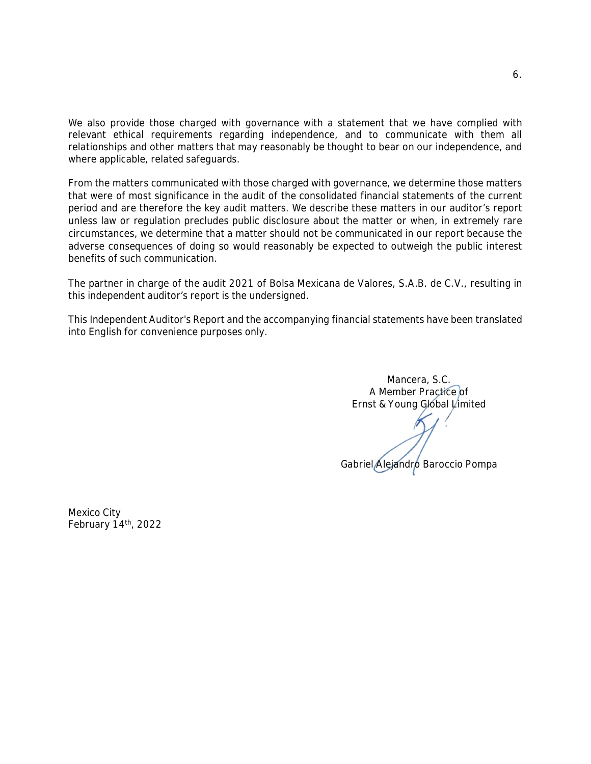We also provide those charged with governance with a statement that we have complied with relevant ethical requirements regarding independence, and to communicate with them all relationships and other matters that may reasonably be thought to bear on our independence, and where applicable, related safeguards.

From the matters communicated with those charged with governance, we determine those matters that were of most significance in the audit of the consolidated financial statements of the current period and are therefore the key audit matters. We describe these matters in our auditor's report unless law or regulation precludes public disclosure about the matter or when, in extremely rare circumstances, we determine that a matter should not be communicated in our report because the adverse consequences of doing so would reasonably be expected to outweigh the public interest benefits of such communication.

The partner in charge of the audit 2021 of Bolsa Mexicana de Valores, S.A.B. de C.V., resulting in this independent auditor's report is the undersigned.

This Independent Auditor's Report and the accompanying financial statements have been translated into English for convenience purposes only.

Mancera, S.C. A Member Practice of Ernst & Young Global Limited Gabriel Alejandro Baroccio Pompa

Mexico City February 14th, 2022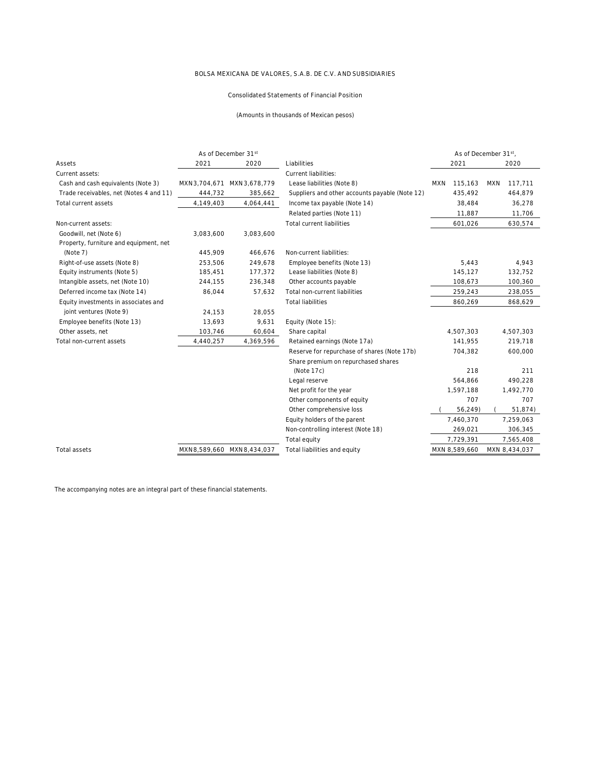#### **Consolidated Statements of Financial Position**

#### (Amounts in thousands of Mexican pesos)

|                                         | As of December 31st       |                           |                                                |            |               | As of December 31st, |               |
|-----------------------------------------|---------------------------|---------------------------|------------------------------------------------|------------|---------------|----------------------|---------------|
| Assets                                  | 2021                      | 2020                      | Liabilities                                    |            | 2021          |                      | 2020          |
| Current assets:                         |                           |                           | Current liabilities:                           |            |               |                      |               |
| Cash and cash equivalents (Note 3)      |                           | MXN3,704,671 MXN3,678,779 | Lease liabilities (Note 8)                     | <b>MXN</b> | 115,163       | <b>MXN</b>           | 117,711       |
| Trade receivables, net (Notes 4 and 11) | 444,732                   | 385,662                   | Suppliers and other accounts payable (Note 12) |            | 435,492       |                      | 464,879       |
| Total current assets                    | 4,149,403                 | 4,064,441                 | Income tax payable (Note 14)                   |            | 38,484        |                      | 36,278        |
|                                         |                           |                           | Related parties (Note 11)                      |            | 11,887        |                      | 11,706        |
| Non-current assets:                     |                           |                           | <b>Total current liabilities</b>               |            | 601,026       |                      | 630,574       |
| Goodwill, net (Note 6)                  | 3,083,600                 | 3,083,600                 |                                                |            |               |                      |               |
| Property, furniture and equipment, net  |                           |                           |                                                |            |               |                      |               |
| (Note 7)                                | 445,909                   | 466,676                   | Non-current liabilities:                       |            |               |                      |               |
| Right-of-use assets (Note 8)            | 253,506                   | 249,678                   | Employee benefits (Note 13)                    |            | 5,443         |                      | 4,943         |
| Equity instruments (Note 5)             | 185,451                   | 177,372                   | Lease liabilities (Note 8)                     |            | 145,127       |                      | 132,752       |
| Intangible assets, net (Note 10)        | 244,155                   | 236,348                   | Other accounts payable                         |            | 108,673       |                      | 100,360       |
| Deferred income tax (Note 14)           | 86,044                    | 57,632                    | Total non-current liabilities                  |            | 259,243       |                      | 238,055       |
| Equity investments in associates and    |                           |                           | <b>Total liabilities</b>                       |            | 860,269       |                      | 868,629       |
| joint ventures (Note 9)                 | 24,153                    | 28,055                    |                                                |            |               |                      |               |
| Employee benefits (Note 13)             | 13,693                    | 9,631                     | Equity (Note 15):                              |            |               |                      |               |
| Other assets, net                       | 103,746                   | 60,604                    | Share capital                                  |            | 4,507,303     |                      | 4,507,303     |
| Total non-current assets                | 4,440,257                 | 4,369,596                 | Retained earnings (Note 17a)                   |            | 141,955       |                      | 219,718       |
|                                         |                           |                           | Reserve for repurchase of shares (Note 17b)    |            | 704,382       |                      | 600,000       |
|                                         |                           |                           | Share premium on repurchased shares            |            |               |                      |               |
|                                         |                           |                           | (Note 17c)                                     |            | 218           |                      | 211           |
|                                         |                           |                           | Legal reserve                                  |            | 564,866       |                      | 490,228       |
|                                         |                           |                           | Net profit for the year                        |            | 1,597,188     |                      | 1,492,770     |
|                                         |                           |                           | Other components of equity                     |            | 707           |                      | 707           |
|                                         |                           |                           | Other comprehensive loss                       |            | 56,249)       |                      | 51,874)       |
|                                         |                           |                           | Equity holders of the parent                   |            | 7,460,370     |                      | 7,259,063     |
|                                         |                           |                           | Non-controlling interest (Note 18)             |            | 269,021       |                      | 306,345       |
|                                         |                           |                           | Total equity                                   |            | 7,729,391     |                      | 7,565,408     |
| <b>Total assets</b>                     | MXN8,589,660 MXN8,434,037 |                           | Total liabilities and equity                   |            | MXN 8,589,660 |                      | MXN 8,434,037 |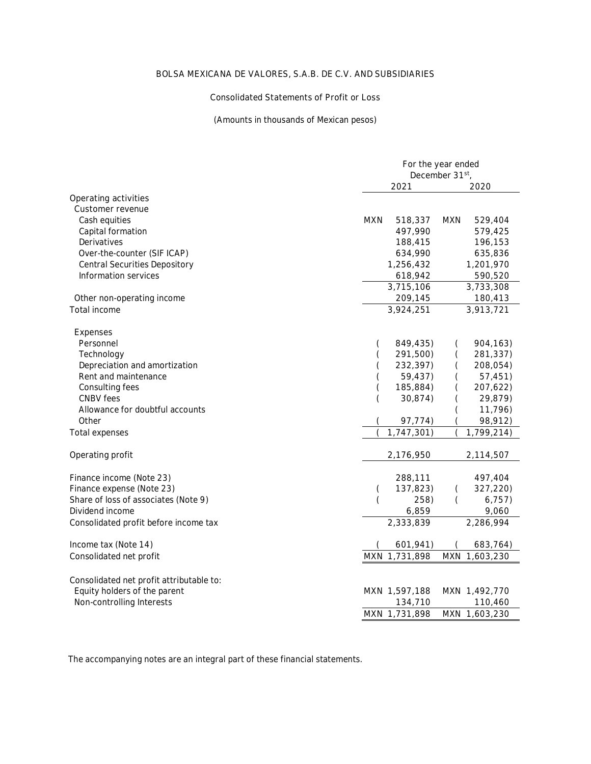#### **Consolidated Statements of Profit or Loss**

#### (Amounts in thousands of Mexican pesos)

| 2021<br>2020<br>Operating activities<br>Customer revenue<br>Cash equities<br>MXN<br>518,337<br>MXN<br>529,404<br>497,990<br>579,425<br>Capital formation<br>Derivatives<br>196,153<br>188,415<br>Over-the-counter (SIF ICAP)<br>634,990<br>635,836<br><b>Central Securities Depository</b><br>1,256,432<br>1,201,970<br>Information services<br>618,942<br>590,520<br>3,715,106<br>3,733,308<br>209,145<br>180,413<br>Other non-operating income<br>3,924,251<br>3,913,721<br>Total income<br>Expenses<br>Personnel<br>849,435)<br>904,163)<br>291,500)<br>Technology<br>281,337)<br>232,397)<br>Depreciation and amortization<br>208,054)<br>Rent and maintenance<br>59,437)<br>57,451)<br>Consulting fees<br>185,884)<br>207,622)<br><b>CNBV</b> fees<br>30,874)<br>29,879)<br>Allowance for doubtful accounts<br>11,796)<br>Other<br>98,912)<br>97,774)<br>1,747,301)<br>1,799,214)<br>Total expenses<br>Operating profit<br>2,176,950<br>2,114,507<br>Finance income (Note 23)<br>288,111<br>497,404<br>Finance expense (Note 23)<br>137,823)<br>327,220)<br>(<br>$\overline{(}$<br>Share of loss of associates (Note 9)<br>258)<br>6,757)<br>(<br>Dividend income<br>6,859<br>9,060<br>2,333,839<br>2,286,994<br>Consolidated profit before income tax<br>Income tax (Note 14)<br>683,764)<br>601,941)<br>MXN 1,731,898<br>MXN 1,603,230<br>Consolidated net profit<br>Consolidated net profit attributable to:<br>Equity holders of the parent<br>MXN 1,597,188<br>MXN 1,492,770<br>Non-controlling Interests<br>134,710<br>110,460<br>MXN 1,731,898<br>MXN 1,603,230 |  | For the year ended<br>December 31st |  |  |  |
|-----------------------------------------------------------------------------------------------------------------------------------------------------------------------------------------------------------------------------------------------------------------------------------------------------------------------------------------------------------------------------------------------------------------------------------------------------------------------------------------------------------------------------------------------------------------------------------------------------------------------------------------------------------------------------------------------------------------------------------------------------------------------------------------------------------------------------------------------------------------------------------------------------------------------------------------------------------------------------------------------------------------------------------------------------------------------------------------------------------------------------------------------------------------------------------------------------------------------------------------------------------------------------------------------------------------------------------------------------------------------------------------------------------------------------------------------------------------------------------------------------------------------------------------------------------------------------|--|-------------------------------------|--|--|--|
|                                                                                                                                                                                                                                                                                                                                                                                                                                                                                                                                                                                                                                                                                                                                                                                                                                                                                                                                                                                                                                                                                                                                                                                                                                                                                                                                                                                                                                                                                                                                                                             |  |                                     |  |  |  |
|                                                                                                                                                                                                                                                                                                                                                                                                                                                                                                                                                                                                                                                                                                                                                                                                                                                                                                                                                                                                                                                                                                                                                                                                                                                                                                                                                                                                                                                                                                                                                                             |  |                                     |  |  |  |
|                                                                                                                                                                                                                                                                                                                                                                                                                                                                                                                                                                                                                                                                                                                                                                                                                                                                                                                                                                                                                                                                                                                                                                                                                                                                                                                                                                                                                                                                                                                                                                             |  |                                     |  |  |  |
|                                                                                                                                                                                                                                                                                                                                                                                                                                                                                                                                                                                                                                                                                                                                                                                                                                                                                                                                                                                                                                                                                                                                                                                                                                                                                                                                                                                                                                                                                                                                                                             |  |                                     |  |  |  |
|                                                                                                                                                                                                                                                                                                                                                                                                                                                                                                                                                                                                                                                                                                                                                                                                                                                                                                                                                                                                                                                                                                                                                                                                                                                                                                                                                                                                                                                                                                                                                                             |  |                                     |  |  |  |
|                                                                                                                                                                                                                                                                                                                                                                                                                                                                                                                                                                                                                                                                                                                                                                                                                                                                                                                                                                                                                                                                                                                                                                                                                                                                                                                                                                                                                                                                                                                                                                             |  |                                     |  |  |  |
|                                                                                                                                                                                                                                                                                                                                                                                                                                                                                                                                                                                                                                                                                                                                                                                                                                                                                                                                                                                                                                                                                                                                                                                                                                                                                                                                                                                                                                                                                                                                                                             |  |                                     |  |  |  |
|                                                                                                                                                                                                                                                                                                                                                                                                                                                                                                                                                                                                                                                                                                                                                                                                                                                                                                                                                                                                                                                                                                                                                                                                                                                                                                                                                                                                                                                                                                                                                                             |  |                                     |  |  |  |
|                                                                                                                                                                                                                                                                                                                                                                                                                                                                                                                                                                                                                                                                                                                                                                                                                                                                                                                                                                                                                                                                                                                                                                                                                                                                                                                                                                                                                                                                                                                                                                             |  |                                     |  |  |  |
|                                                                                                                                                                                                                                                                                                                                                                                                                                                                                                                                                                                                                                                                                                                                                                                                                                                                                                                                                                                                                                                                                                                                                                                                                                                                                                                                                                                                                                                                                                                                                                             |  |                                     |  |  |  |
|                                                                                                                                                                                                                                                                                                                                                                                                                                                                                                                                                                                                                                                                                                                                                                                                                                                                                                                                                                                                                                                                                                                                                                                                                                                                                                                                                                                                                                                                                                                                                                             |  |                                     |  |  |  |
|                                                                                                                                                                                                                                                                                                                                                                                                                                                                                                                                                                                                                                                                                                                                                                                                                                                                                                                                                                                                                                                                                                                                                                                                                                                                                                                                                                                                                                                                                                                                                                             |  |                                     |  |  |  |
|                                                                                                                                                                                                                                                                                                                                                                                                                                                                                                                                                                                                                                                                                                                                                                                                                                                                                                                                                                                                                                                                                                                                                                                                                                                                                                                                                                                                                                                                                                                                                                             |  |                                     |  |  |  |
|                                                                                                                                                                                                                                                                                                                                                                                                                                                                                                                                                                                                                                                                                                                                                                                                                                                                                                                                                                                                                                                                                                                                                                                                                                                                                                                                                                                                                                                                                                                                                                             |  |                                     |  |  |  |
|                                                                                                                                                                                                                                                                                                                                                                                                                                                                                                                                                                                                                                                                                                                                                                                                                                                                                                                                                                                                                                                                                                                                                                                                                                                                                                                                                                                                                                                                                                                                                                             |  |                                     |  |  |  |
|                                                                                                                                                                                                                                                                                                                                                                                                                                                                                                                                                                                                                                                                                                                                                                                                                                                                                                                                                                                                                                                                                                                                                                                                                                                                                                                                                                                                                                                                                                                                                                             |  |                                     |  |  |  |
|                                                                                                                                                                                                                                                                                                                                                                                                                                                                                                                                                                                                                                                                                                                                                                                                                                                                                                                                                                                                                                                                                                                                                                                                                                                                                                                                                                                                                                                                                                                                                                             |  |                                     |  |  |  |
|                                                                                                                                                                                                                                                                                                                                                                                                                                                                                                                                                                                                                                                                                                                                                                                                                                                                                                                                                                                                                                                                                                                                                                                                                                                                                                                                                                                                                                                                                                                                                                             |  |                                     |  |  |  |
|                                                                                                                                                                                                                                                                                                                                                                                                                                                                                                                                                                                                                                                                                                                                                                                                                                                                                                                                                                                                                                                                                                                                                                                                                                                                                                                                                                                                                                                                                                                                                                             |  |                                     |  |  |  |
|                                                                                                                                                                                                                                                                                                                                                                                                                                                                                                                                                                                                                                                                                                                                                                                                                                                                                                                                                                                                                                                                                                                                                                                                                                                                                                                                                                                                                                                                                                                                                                             |  |                                     |  |  |  |
|                                                                                                                                                                                                                                                                                                                                                                                                                                                                                                                                                                                                                                                                                                                                                                                                                                                                                                                                                                                                                                                                                                                                                                                                                                                                                                                                                                                                                                                                                                                                                                             |  |                                     |  |  |  |
|                                                                                                                                                                                                                                                                                                                                                                                                                                                                                                                                                                                                                                                                                                                                                                                                                                                                                                                                                                                                                                                                                                                                                                                                                                                                                                                                                                                                                                                                                                                                                                             |  |                                     |  |  |  |
|                                                                                                                                                                                                                                                                                                                                                                                                                                                                                                                                                                                                                                                                                                                                                                                                                                                                                                                                                                                                                                                                                                                                                                                                                                                                                                                                                                                                                                                                                                                                                                             |  |                                     |  |  |  |
|                                                                                                                                                                                                                                                                                                                                                                                                                                                                                                                                                                                                                                                                                                                                                                                                                                                                                                                                                                                                                                                                                                                                                                                                                                                                                                                                                                                                                                                                                                                                                                             |  |                                     |  |  |  |
|                                                                                                                                                                                                                                                                                                                                                                                                                                                                                                                                                                                                                                                                                                                                                                                                                                                                                                                                                                                                                                                                                                                                                                                                                                                                                                                                                                                                                                                                                                                                                                             |  |                                     |  |  |  |
|                                                                                                                                                                                                                                                                                                                                                                                                                                                                                                                                                                                                                                                                                                                                                                                                                                                                                                                                                                                                                                                                                                                                                                                                                                                                                                                                                                                                                                                                                                                                                                             |  |                                     |  |  |  |
|                                                                                                                                                                                                                                                                                                                                                                                                                                                                                                                                                                                                                                                                                                                                                                                                                                                                                                                                                                                                                                                                                                                                                                                                                                                                                                                                                                                                                                                                                                                                                                             |  |                                     |  |  |  |
|                                                                                                                                                                                                                                                                                                                                                                                                                                                                                                                                                                                                                                                                                                                                                                                                                                                                                                                                                                                                                                                                                                                                                                                                                                                                                                                                                                                                                                                                                                                                                                             |  |                                     |  |  |  |
|                                                                                                                                                                                                                                                                                                                                                                                                                                                                                                                                                                                                                                                                                                                                                                                                                                                                                                                                                                                                                                                                                                                                                                                                                                                                                                                                                                                                                                                                                                                                                                             |  |                                     |  |  |  |
|                                                                                                                                                                                                                                                                                                                                                                                                                                                                                                                                                                                                                                                                                                                                                                                                                                                                                                                                                                                                                                                                                                                                                                                                                                                                                                                                                                                                                                                                                                                                                                             |  |                                     |  |  |  |
|                                                                                                                                                                                                                                                                                                                                                                                                                                                                                                                                                                                                                                                                                                                                                                                                                                                                                                                                                                                                                                                                                                                                                                                                                                                                                                                                                                                                                                                                                                                                                                             |  |                                     |  |  |  |
|                                                                                                                                                                                                                                                                                                                                                                                                                                                                                                                                                                                                                                                                                                                                                                                                                                                                                                                                                                                                                                                                                                                                                                                                                                                                                                                                                                                                                                                                                                                                                                             |  |                                     |  |  |  |
|                                                                                                                                                                                                                                                                                                                                                                                                                                                                                                                                                                                                                                                                                                                                                                                                                                                                                                                                                                                                                                                                                                                                                                                                                                                                                                                                                                                                                                                                                                                                                                             |  |                                     |  |  |  |
|                                                                                                                                                                                                                                                                                                                                                                                                                                                                                                                                                                                                                                                                                                                                                                                                                                                                                                                                                                                                                                                                                                                                                                                                                                                                                                                                                                                                                                                                                                                                                                             |  |                                     |  |  |  |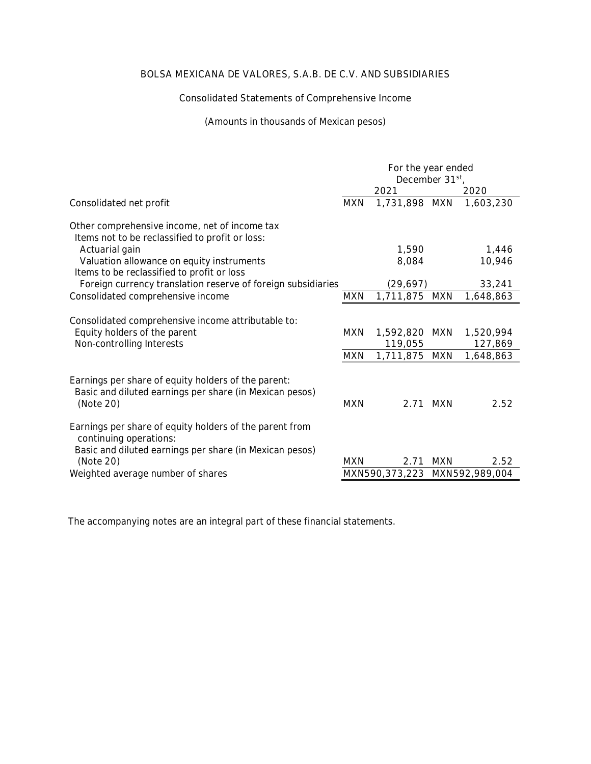# **Consolidated Statements of Comprehensive Income**

# (Amounts in thousands of Mexican pesos)

|                                                                                                                                              | For the year ended<br>December 31 <sup>st</sup> ,<br>2021<br>2020 |                               |            |                      |  |
|----------------------------------------------------------------------------------------------------------------------------------------------|-------------------------------------------------------------------|-------------------------------|------------|----------------------|--|
| Consolidated net profit                                                                                                                      | <b>MXN</b>                                                        | 1,731,898 MXN                 |            | 1,603,230            |  |
| Other comprehensive income, net of income tax<br>Items not to be reclassified to profit or loss:                                             |                                                                   |                               |            |                      |  |
| Actuarial gain                                                                                                                               |                                                                   | 1,590                         |            | 1,446                |  |
| Valuation allowance on equity instruments<br>Items to be reclassified to profit or loss                                                      |                                                                   | 8,084                         |            | 10,946               |  |
| Foreign currency translation reserve of foreign subsidiaries                                                                                 |                                                                   | (29, 697)                     |            | 33,241               |  |
| Consolidated comprehensive income                                                                                                            | <b>MXN</b>                                                        | 1,711,875                     | MXN        | 1,648,863            |  |
| Consolidated comprehensive income attributable to:<br>Equity holders of the parent<br>Non-controlling Interests                              | <b>MXN</b>                                                        | 1,592,820<br>119,055          | MXN        | 1,520,994<br>127,869 |  |
|                                                                                                                                              | <b>MXN</b>                                                        | 1,711,875 MXN                 |            | 1,648,863            |  |
| Earnings per share of equity holders of the parent:<br>Basic and diluted earnings per share (in Mexican pesos)<br>(Note 20)                  | <b>MXN</b>                                                        | 2.71                          | MXN        | 2.52                 |  |
| Earnings per share of equity holders of the parent from<br>continuing operations:<br>Basic and diluted earnings per share (in Mexican pesos) |                                                                   |                               |            |                      |  |
| (Note 20)                                                                                                                                    | <b>MXN</b>                                                        | 2.71                          | <b>MXN</b> | 2.52                 |  |
| Weighted average number of shares                                                                                                            |                                                                   | MXN590,373,223 MXN592,989,004 |            |                      |  |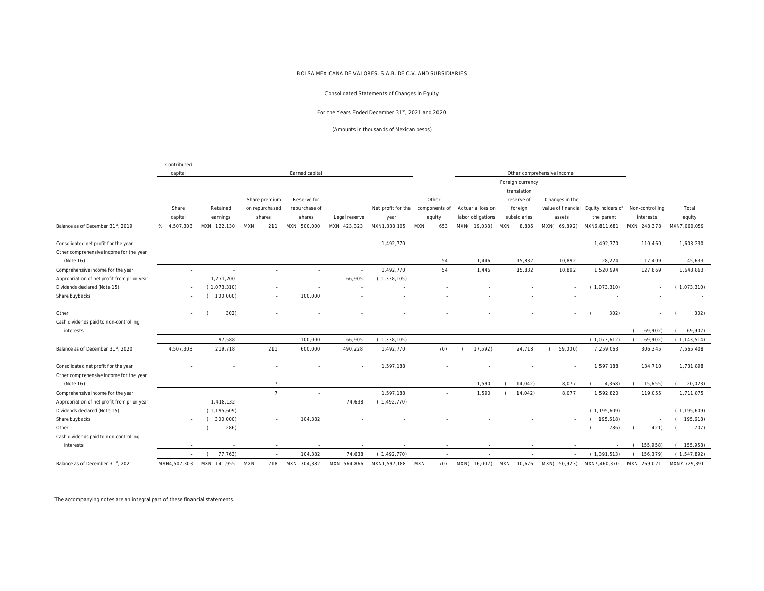#### **Consolidated Statements of Changes in Equity**

#### **For the Years Ended December 31st, 2021 and 2020**

#### (Amounts in thousands of Mexican pesos)

|                                                                                 | Contributed              |             |                   |                |               |                    |                            |                   |                      |                    |                   |                 |               |
|---------------------------------------------------------------------------------|--------------------------|-------------|-------------------|----------------|---------------|--------------------|----------------------------|-------------------|----------------------|--------------------|-------------------|-----------------|---------------|
|                                                                                 | capital                  |             |                   | Earned capital |               |                    | Other comprehensive income |                   |                      |                    |                   |                 |               |
|                                                                                 |                          |             |                   |                |               |                    |                            |                   | Foreign currency     |                    |                   |                 |               |
|                                                                                 |                          |             |                   |                |               |                    |                            |                   | translation          |                    |                   |                 |               |
|                                                                                 |                          |             | Share premium     | Reserve for    |               |                    | Other                      |                   | reserve of           | Changes in the     |                   |                 |               |
|                                                                                 | Share                    | Retained    | on repurchased    | repurchase of  |               | Net profit for the | components of              | Actuarial loss on | foreign              | value of financial | Equity holders of | Non-controlling | Total         |
|                                                                                 | capital                  | earnings    | shares            | shares         | Legal reserve | year               | equity                     | labor obligations | subsidiaries         | assets             | the parent        | interests       | equity        |
| Balance as of December 31st, 2019                                               | % 4,507,303              | MXN 122,130 | MXN<br>211        | MXN 500,000    | MXN 423,323   | MXN1,338,105       | MXN<br>653                 | MXN(19,038)       | <b>MXN</b><br>8,886  | MXN(69,892)        | MXN6,811,681      | MXN 248,378     | MXN7,060,059  |
| Consolidated net profit for the year                                            |                          |             |                   |                |               | 1,492,770          |                            |                   |                      |                    | 1,492,770         | 110,460         | 1,603,230     |
| Other comprehensive income for the year                                         |                          |             |                   |                |               |                    |                            |                   |                      |                    |                   |                 |               |
| (Note 16)                                                                       |                          |             |                   |                |               | $\sim$             | 54                         | 1.446             | 15,832               | 10,892             | 28,224            | 17,409          | 45,633        |
| Comprehensive income for the year                                               |                          | $\sim$      | $\sim$            | $\sim$         | $\sim$        | 1,492,770          | 54                         | 1,446             | 15,832               | 10,892             | 1,520,994         | 127,869         | 1,648,863     |
| Appropriation of net profit from prior year                                     |                          | 1,271,200   |                   |                | 66,905        | (1,338,105)        |                            |                   | $\sim$               |                    | $\sim$            | $\sim$          |               |
| Dividends declared (Note 15)                                                    |                          | 1,073,310)  |                   |                |               |                    |                            |                   |                      |                    | (1,073,310)       |                 | (1,073,310)   |
| Share buybacks                                                                  |                          | 100,000)    |                   | 100,000        |               |                    |                            |                   |                      |                    |                   |                 |               |
| Other                                                                           | $\overline{\phantom{a}}$ | 302)        |                   |                |               |                    |                            |                   |                      |                    | 302)              |                 | 302)          |
| Cash dividends paid to non-controlling                                          |                          |             |                   |                |               |                    |                            |                   |                      |                    |                   |                 |               |
| interests                                                                       |                          |             | $\sim$            |                |               |                    |                            |                   |                      |                    | $\sim$            | 69,902)         | 69,902)       |
|                                                                                 | $\sim$                   | 97,588      | $\sim$            | 100,000        | 66,905        | (1,338,105)        | $\sim$                     | $\sim$            | ×.                   | $\sim$             | (1,073,612)       | 69,902)         | (1, 143, 514) |
| Balance as of December 31st, 2020                                               | 4,507,303                | 219,718     | 211               | 600,000        | 490,228       | 1,492,770          | 707                        | 17,592)           | 24,718               | 59,000)            | 7,259,063         | 306,345         | 7,565,408     |
|                                                                                 |                          |             |                   |                |               |                    |                            |                   |                      |                    |                   | $\sim$          |               |
| Consolidated net profit for the year<br>Other comprehensive income for the year |                          |             |                   |                |               | 1,597,188          |                            |                   |                      |                    | 1,597,188         | 134,710         | 1,731,898     |
| (Note 16)                                                                       |                          |             | $\overline{z}$    |                |               |                    | $\sim$                     | 1,590             | 14,042)              | 8,077              | 4,368)            | 15,655)         | 20,023)       |
| Comprehensive income for the year                                               |                          |             | $\overline{7}$    | $\sim$         |               | 1,597,188          |                            | 1,590             | 14,042)              | 8,077              | 1,592,820         | 119,055         | 1,711,875     |
| Appropriation of net profit from prior year                                     |                          | 1,418,132   |                   |                | 74,638        | (1,492,770)        |                            |                   |                      |                    | $\sim$            |                 |               |
| Dividends declared (Note 15)                                                    |                          | 1,195,609)  |                   | $\sim$         |               |                    |                            |                   |                      |                    | (1, 195, 609)     |                 | (1, 195, 609) |
| Share buybacks                                                                  |                          | 300,000)    |                   | 104,382        |               |                    |                            |                   |                      |                    | 195,618)          |                 | 195,618)      |
| Other                                                                           |                          | 286)        |                   |                |               |                    |                            |                   |                      |                    | 286)              | 421)            | 707)          |
| Cash dividends paid to non-controlling                                          |                          |             |                   |                |               |                    |                            |                   |                      |                    |                   |                 |               |
| interests                                                                       |                          |             |                   |                |               |                    |                            |                   |                      |                    |                   | 155,958)        | 155,958)      |
|                                                                                 |                          | 77,763)     | $\sim$            | 104,382        | 74,638        | 1,492,770)         | $\sim$                     |                   |                      | $\sim$             | (1, 391, 513)     | 156,379)        | (1,547,892)   |
| Balance as of December 31st, 2021                                               | MXN4,507,303             | MXN 141,955 | <b>MXN</b><br>218 | MXN 704,382    | MXN 564,866   | MXN1,597,188       | <b>MXN</b><br>707          | MXN(<br>16,002)   | <b>MXN</b><br>10,676 | MXN( 50,923)       | MXN7,460,370      | MXN 269,021     | MXN7,729,391  |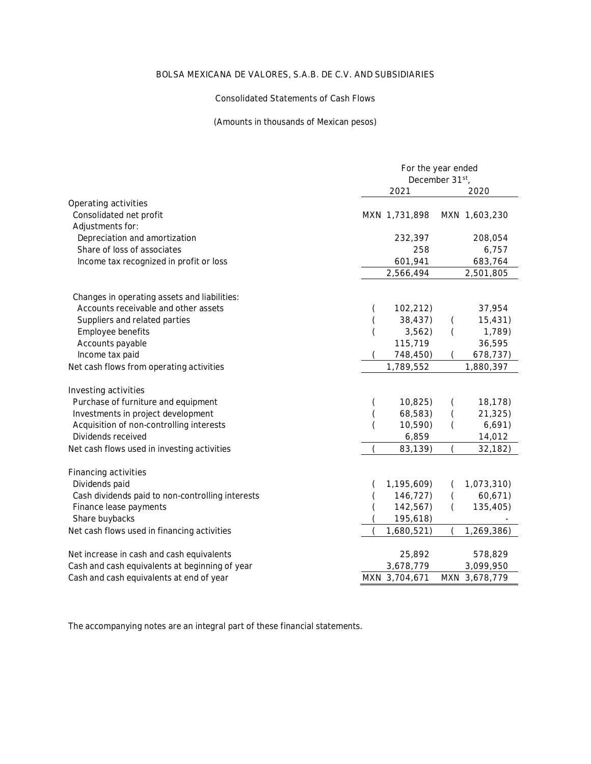#### **Consolidated Statements of Cash Flows**

#### (Amounts in thousands of Mexican pesos)

|                                                  | For the year ended        |               |  |               |  |
|--------------------------------------------------|---------------------------|---------------|--|---------------|--|
|                                                  | December 31 <sup>st</sup> |               |  |               |  |
| Operating activities                             |                           | 2021          |  | 2020          |  |
| Consolidated net profit                          |                           | MXN 1,731,898 |  | MXN 1,603,230 |  |
| Adjustments for:                                 |                           |               |  |               |  |
| Depreciation and amortization                    |                           | 232,397       |  | 208,054       |  |
| Share of loss of associates                      |                           | 258           |  | 6,757         |  |
| Income tax recognized in profit or loss          |                           | 601,941       |  | 683,764       |  |
|                                                  |                           | 2,566,494     |  | 2,501,805     |  |
| Changes in operating assets and liabilities:     |                           |               |  |               |  |
| Accounts receivable and other assets             |                           | 102,212)      |  | 37,954        |  |
| Suppliers and related parties                    |                           | 38,437)       |  | 15,431)       |  |
| Employee benefits                                |                           | 3,562         |  | 1,789)        |  |
| Accounts payable                                 |                           | 115,719       |  | 36,595        |  |
| Income tax paid                                  |                           | 748,450)      |  | 678,737)      |  |
| Net cash flows from operating activities         |                           | 1,789,552     |  | 1,880,397     |  |
| Investing activities                             |                           |               |  |               |  |
| Purchase of furniture and equipment              |                           | 10,825)       |  | 18,178)       |  |
| Investments in project development               |                           | 68,583)       |  | 21,325)       |  |
| Acquisition of non-controlling interests         |                           | 10,590)       |  | 6,691)        |  |
| Dividends received                               |                           | 6,859         |  | 14,012        |  |
| Net cash flows used in investing activities      |                           | 83,139)       |  | 32,182)       |  |
| Financing activities                             |                           |               |  |               |  |
| Dividends paid                                   |                           | 1,195,609)    |  | 1,073,310)    |  |
| Cash dividends paid to non-controlling interests |                           | 146,727)      |  | 60,671)       |  |
| Finance lease payments                           |                           | 142,567)      |  | 135,405)      |  |
| Share buybacks                                   |                           | 195,618)      |  |               |  |
| Net cash flows used in financing activities      |                           | 1,680,521)    |  | 1,269,386)    |  |
| Net increase in cash and cash equivalents        |                           | 25,892        |  | 578,829       |  |
| Cash and cash equivalents at beginning of year   |                           | 3,678,779     |  | 3,099,950     |  |
| Cash and cash equivalents at end of year         |                           | MXN 3,704,671 |  | MXN 3,678,779 |  |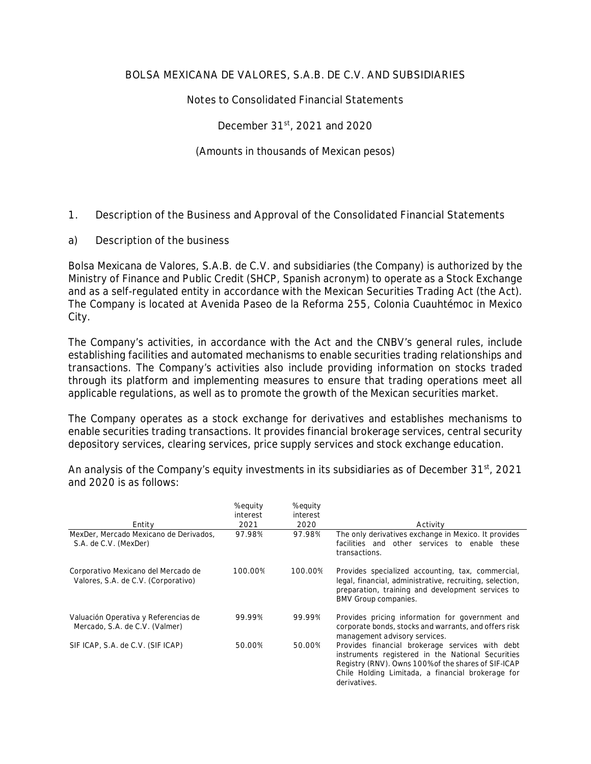**Notes to Consolidated Financial Statements**

**December 31st, 2021 and 2020**

(Amounts in thousands of Mexican pesos)

- **1. Description of the Business and Approval of the Consolidated Financial Statements**
- **a) Description of the business**

Bolsa Mexicana de Valores, S.A.B. de C.V. and subsidiaries (the Company) is authorized by the Ministry of Finance and Public Credit (SHCP, Spanish acronym) to operate as a Stock Exchange and as a self-regulated entity in accordance with the Mexican Securities Trading Act (the Act). The Company is located at Avenida Paseo de la Reforma 255, Colonia Cuauhtémoc in Mexico City.

The Company's activities, in accordance with the Act and the CNBV's general rules, include establishing facilities and automated mechanisms to enable securities trading relationships and transactions. The Company's activities also include providing information on stocks traded through its platform and implementing measures to ensure that trading operations meet all applicable regulations, as well as to promote the growth of the Mexican securities market.

The Company operates as a stock exchange for derivatives and establishes mechanisms to enable securities trading transactions. It provides financial brokerage services, central security depository services, clearing services, price supply services and stock exchange education.

**Entity % equity interest 2021** % equity interest 2020 **Activity** MexDer, Mercado Mexicano de Derivados, S.A. de C.V. (MexDer) **97.98%** 97.98% The only derivatives exchange in Mexico. It provides facilities and other services to enable these transactions. Corporativo Mexicano del Mercado de Valores, S.A. de C.V. (Corporativo) **100.00%** 100.00% Provides specialized accounting, tax, commercial, legal, financial, administrative, recruiting, selection, preparation, training and development services to BMV Group companies. Valuación Operativa y Referencias de Mercado, S.A. de C.V. (Valmer) **99.99%** 99.99% Provides pricing information for government and corporate bonds, stocks and warrants, and offers risk management advisory services. SIF ICAP, S.A. de C.V. (SIF ICAP) **50.00%** 50.00% Provides financial brokerage services with debt instruments registered in the National Securities Registry (RNV). Owns 100% of the shares of SIF-ICAP Chile Holding Limitada, a financial brokerage for derivatives.

An analysis of the Company's equity investments in its subsidiaries as of December  $31<sup>st</sup>$ , 2021 and 2020 is as follows: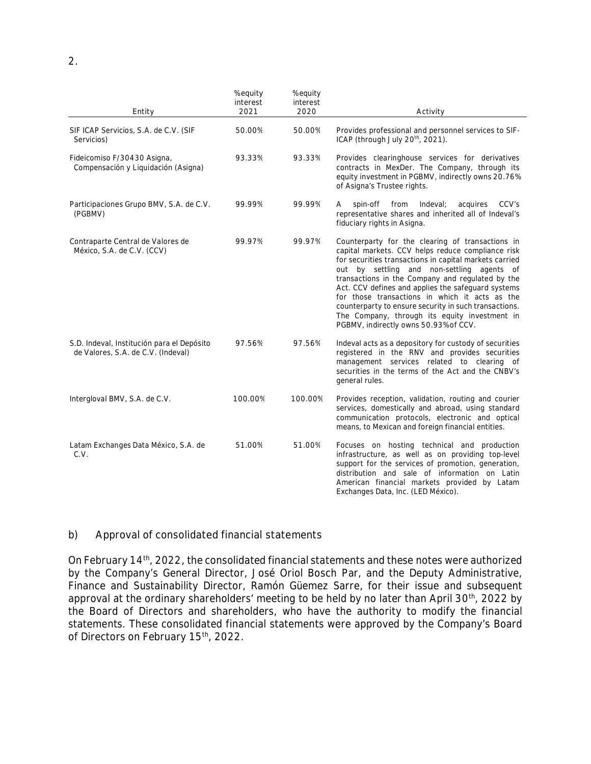| Entity                                                                           | % equity<br>interest<br>2021 | % equity<br>interest<br>2020 | Activity                                                                                                                                                                                                                                                                                                                                                                                                                                                                                                                     |
|----------------------------------------------------------------------------------|------------------------------|------------------------------|------------------------------------------------------------------------------------------------------------------------------------------------------------------------------------------------------------------------------------------------------------------------------------------------------------------------------------------------------------------------------------------------------------------------------------------------------------------------------------------------------------------------------|
| SIF ICAP Servicios, S.A. de C.V. (SIF<br>Servicios)                              | 50.00%                       | 50.00%                       | Provides professional and personnel services to SIF-<br>ICAP (through July 20 <sup>th</sup> , 2021).                                                                                                                                                                                                                                                                                                                                                                                                                         |
| Fideicomiso F/30430 Asigna,<br>Compensación y Liquidación (Asigna)               | 93.33%                       | 93.33%                       | Provides clearinghouse services for derivatives<br>contracts in MexDer. The Company, through its<br>equity investment in PGBMV, indirectly owns 20.76%<br>of Asigna's Trustee rights.                                                                                                                                                                                                                                                                                                                                        |
| Participaciones Grupo BMV, S.A. de C.V.<br>(PGBMV)                               | 99.99%                       | 99.99%                       | CCV's<br>spin-off from<br>Indeval;<br>acquires<br>A<br>representative shares and inherited all of Indeval's<br>fiduciary rights in Asigna.                                                                                                                                                                                                                                                                                                                                                                                   |
| Contraparte Central de Valores de<br>México, S.A. de C.V. (CCV)                  | 99.97%                       | 99.97%                       | Counterparty for the clearing of transactions in<br>capital markets. CCV helps reduce compliance risk<br>for securities transactions in capital markets carried<br>out by settling and non-settling agents of<br>transactions in the Company and regulated by the<br>Act. CCV defines and applies the safeguard systems<br>for those transactions in which it acts as the<br>counterparty to ensure security in such transactions.<br>The Company, through its equity investment in<br>PGBMV, indirectly owns 50.93% of CCV. |
| S.D. Indeval, Institución para el Depósito<br>de Valores, S.A. de C.V. (Indeval) | 97.56%                       | 97.56%                       | Indeval acts as a depository for custody of securities<br>registered in the RNV and provides securities<br>management services related to clearing of<br>securities in the terms of the Act and the CNBV's<br>general rules.                                                                                                                                                                                                                                                                                                 |
| Intergloval BMV, S.A. de C.V.                                                    | 100.00%                      | 100.00%                      | Provides reception, validation, routing and courier<br>services, domestically and abroad, using standard<br>communication protocols, electronic and optical<br>means, to Mexican and foreign financial entities.                                                                                                                                                                                                                                                                                                             |
| Latam Exchanges Data México, S.A. de<br>C.V.                                     | 51.00%                       | 51.00%                       | Focuses on hosting technical and production<br>infrastructure, as well as on providing top-level<br>support for the services of promotion, generation,<br>distribution and sale of information on Latin<br>American financial markets provided by Latam<br>Exchanges Data, Inc. (LED México).                                                                                                                                                                                                                                |

#### **b) Approval of consolidated financial statements**

On February 14<sup>th</sup>, 2022, the consolidated financial statements and these notes were authorized by the Company's General Director, José Oriol Bosch Par, and the Deputy Administrative, Finance and Sustainability Director, Ramón Güemez Sarre, for their issue and subsequent approval at the ordinary shareholders' meeting to be held by no later than April 30<sup>th</sup>, 2022 by the Board of Directors and shareholders, who have the authority to modify the financial statements. These consolidated financial statements were approved by the Company's Board of Directors on February 15<sup>th</sup>, 2022.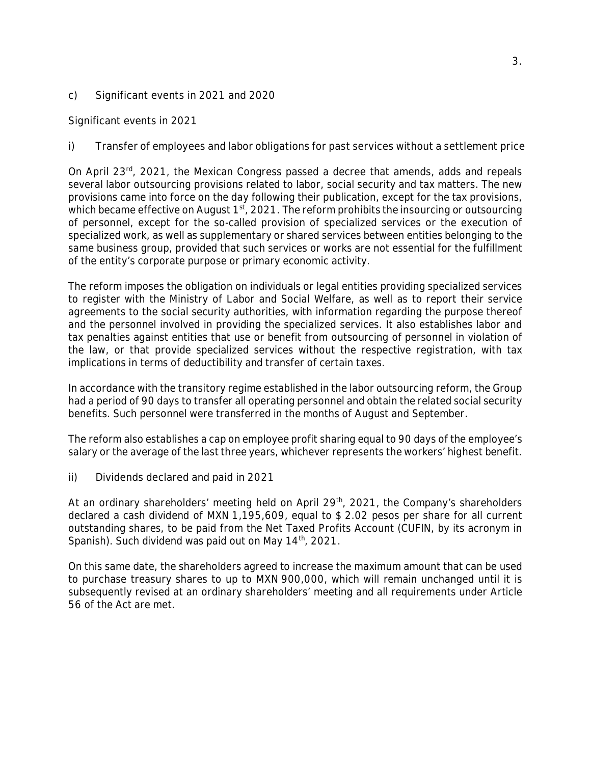# **c) Significant events in 2021 and 2020**

# *Significant events in 2021*

**i) Transfer of employees and labor obligations for past services without a settlement price**

On April 23rd, 2021, the Mexican Congress passed a decree that amends, adds and repeals several labor outsourcing provisions related to labor, social security and tax matters. The new provisions came into force on the day following their publication, except for the tax provisions, which became effective on August  $1<sup>st</sup>$ , 2021. The reform prohibits the insourcing or outsourcing of personnel, except for the so-called provision of specialized services or the execution of specialized work, as well as supplementary or shared services between entities belonging to the same business group, provided that such services or works are not essential for the fulfillment of the entity's corporate purpose or primary economic activity.

The reform imposes the obligation on individuals or legal entities providing specialized services to register with the Ministry of Labor and Social Welfare, as well as to report their service agreements to the social security authorities, with information regarding the purpose thereof and the personnel involved in providing the specialized services. It also establishes labor and tax penalties against entities that use or benefit from outsourcing of personnel in violation of the law, or that provide specialized services without the respective registration, with tax implications in terms of deductibility and transfer of certain taxes.

In accordance with the transitory regime established in the labor outsourcing reform, the Group had a period of 90 days to transfer all operating personnel and obtain the related social security benefits. Such personnel were transferred in the months of August and September.

The reform also establishes a cap on employee profit sharing equal to 90 days of the employee's salary or the average of the last three years, whichever represents the workers' highest benefit.

**ii) Dividends declared and paid in 2021**

At an ordinary shareholders' meeting held on April 29<sup>th</sup>, 2021, the Company's shareholders declared a cash dividend of MXN 1,195,609, equal to \$ 2.02 pesos per share for all current outstanding shares, to be paid from the Net Taxed Profits Account (CUFIN, by its acronym in Spanish). Such dividend was paid out on May 14<sup>th</sup>, 2021.

On this same date, the shareholders agreed to increase the maximum amount that can be used to purchase treasury shares to up to MXN 900,000, which will remain unchanged until it is subsequently revised at an ordinary shareholders' meeting and all requirements under Article 56 of the Act are met.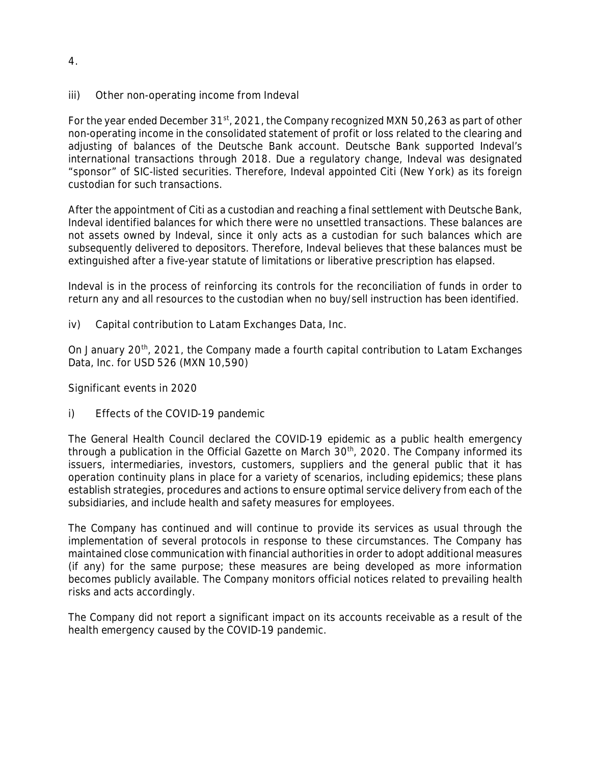**iii) Other non-operating income from Indeval**

For the year ended December  $31^{st}$ , 2021, the Company recognized MXN 50,263 as part of other non-operating income in the consolidated statement of profit or loss related to the clearing and adjusting of balances of the Deutsche Bank account. Deutsche Bank supported Indeval's international transactions through 2018. Due a regulatory change, Indeval was designated "sponsor" of SIC-listed securities. Therefore, Indeval appointed Citi (New York) as its foreign custodian for such transactions.

After the appointment of Citi as a custodian and reaching a final settlement with Deutsche Bank, Indeval identified balances for which there were no unsettled transactions. These balances are not assets owned by Indeval, since it only acts as a custodian for such balances which are subsequently delivered to depositors. Therefore, Indeval believes that these balances must be extinguished after a five-year statute of limitations or liberative prescription has elapsed.

Indeval is in the process of reinforcing its controls for the reconciliation of funds in order to return any and all resources to the custodian when no buy/sell instruction has been identified.

**iv) Capital contribution to Latam Exchanges Data, Inc.**

On January 20<sup>th</sup>, 2021, the Company made a fourth capital contribution to Latam Exchanges Data, Inc. for USD 526 (MXN 10,590)

## *Significant events in 2020*

**i) Effects of the COVID-19 pandemic**

The General Health Council declared the COVID-19 epidemic as a public health emergency through a publication in the *Official Gazette* on March 30<sup>th</sup>, 2020. The Company informed its issuers, intermediaries, investors, customers, suppliers and the general public that it has operation continuity plans in place for a variety of scenarios, including epidemics; these plans establish strategies, procedures and actions to ensure optimal service delivery from each of the subsidiaries, and include health and safety measures for employees.

The Company has continued and will continue to provide its services as usual through the implementation of several protocols in response to these circumstances. The Company has maintained close communication with financial authorities in order to adopt additional measures (if any) for the same purpose; these measures are being developed as more information becomes publicly available. The Company monitors official notices related to prevailing health risks and acts accordingly.

The Company did not report a significant impact on its accounts receivable as a result of the health emergency caused by the COVID-19 pandemic.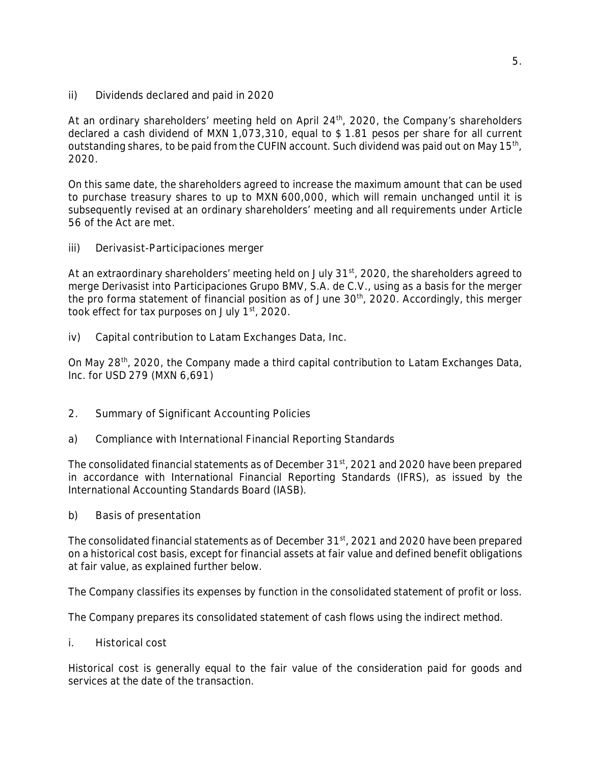**ii) Dividends declared and paid in 2020**

At an ordinary shareholders' meeting held on April 24<sup>th</sup>, 2020, the Company's shareholders declared a cash dividend of MXN 1,073,310, equal to \$ 1.81 pesos per share for all current outstanding shares, to be paid from the CUFIN account. Such dividend was paid out on May 15<sup>th</sup>, 2020.

On this same date, the shareholders agreed to increase the maximum amount that can be used to purchase treasury shares to up to MXN 600,000, which will remain unchanged until it is subsequently revised at an ordinary shareholders' meeting and all requirements under Article 56 of the Act are met.

**iii) Derivasist-Participaciones merger**

At an extraordinary shareholders' meeting held on July 31<sup>st</sup>, 2020, the shareholders agreed to merge Derivasist into Participaciones Grupo BMV, S.A. de C.V., using as a basis for the merger the pro forma statement of financial position as of June 30<sup>th</sup>, 2020. Accordingly, this merger took effect for tax purposes on July 1<sup>st</sup>, 2020.

**iv) Capital contribution to Latam Exchanges Data, Inc.**

On May  $28<sup>th</sup>$ , 2020, the Company made a third capital contribution to Latam Exchanges Data, Inc. for USD 279 (MXN 6,691)

- **2. Summary of Significant Accounting Policies**
- **a) Compliance with International Financial Reporting Standards**

The consolidated financial statements as of December 31<sup>st</sup>, 2021 and 2020 have been prepared in accordance with International Financial Reporting Standards (IFRS), as issued by the International Accounting Standards Board (IASB).

**b) Basis of presentation**

The consolidated financial statements as of December 31<sup>st</sup>, 2021 and 2020 have been prepared on a historical cost basis, except for financial assets at fair value and defined benefit obligations at fair value, as explained further below.

The Company classifies its expenses by function in the consolidated statement of profit or loss.

The Company prepares its consolidated statement of cash flows using the indirect method.

**i. Historical cost**

Historical cost is generally equal to the fair value of the consideration paid for goods and services at the date of the transaction.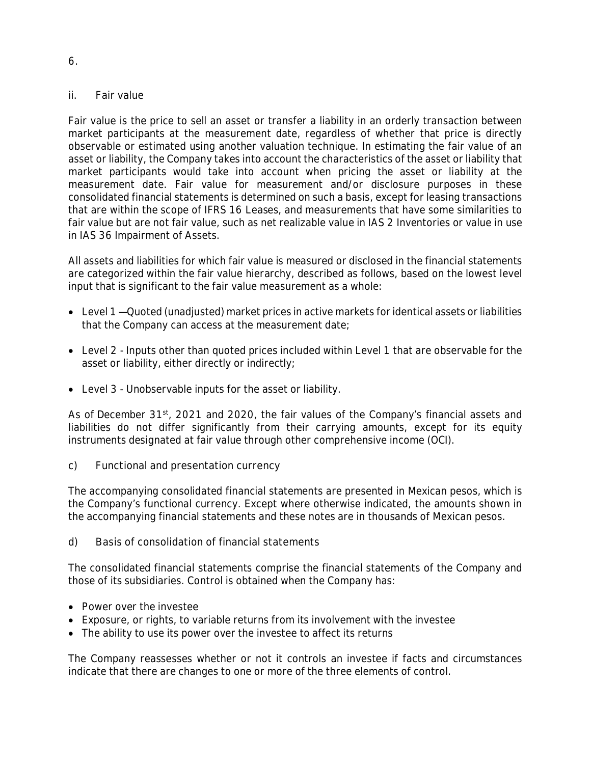## **ii. Fair value**

Fair value is the price to sell an asset or transfer a liability in an orderly transaction between market participants at the measurement date, regardless of whether that price is directly observable or estimated using another valuation technique. In estimating the fair value of an asset or liability, the Company takes into account the characteristics of the asset or liability that market participants would take into account when pricing the asset or liability at the measurement date. Fair value for measurement and/or disclosure purposes in these consolidated financial statements is determined on such a basis, except for leasing transactions that are within the scope of IFRS 16 *Leases*, and measurements that have some similarities to fair value but are not fair value, such as net realizable value in IAS 2 *Inventories* or value in use in IAS 36 *Impairment of Assets*.

All assets and liabilities for which fair value is measured or disclosed in the financial statements are categorized within the fair value hierarchy, described as follows, based on the lowest level input that is significant to the fair value measurement as a whole:

- Level 1 Quoted (unadjusted) market prices in active markets for identical assets or liabilities that the Company can access at the measurement date;
- Level 2 Inputs other than quoted prices included within Level 1 that are observable for the asset or liability, either directly or indirectly;
- Level 3 Unobservable inputs for the asset or liability.

As of December 31<sup>st</sup>, 2021 and 2020, the fair values of the Company's financial assets and liabilities do not differ significantly from their carrying amounts, except for its equity instruments designated at fair value through other comprehensive income (OCI).

**c) Functional and presentation currency**

The accompanying consolidated financial statements are presented in Mexican pesos, which is the Company's functional currency. Except where otherwise indicated, the amounts shown in the accompanying financial statements and these notes are in thousands of Mexican pesos.

**d) Basis of consolidation of financial statements**

The consolidated financial statements comprise the financial statements of the Company and those of its subsidiaries. Control is obtained when the Company has:

- Power over the investee
- Exposure, or rights, to variable returns from its involvement with the investee
- The ability to use its power over the investee to affect its returns

The Company reassesses whether or not it controls an investee if facts and circumstances indicate that there are changes to one or more of the three elements of control.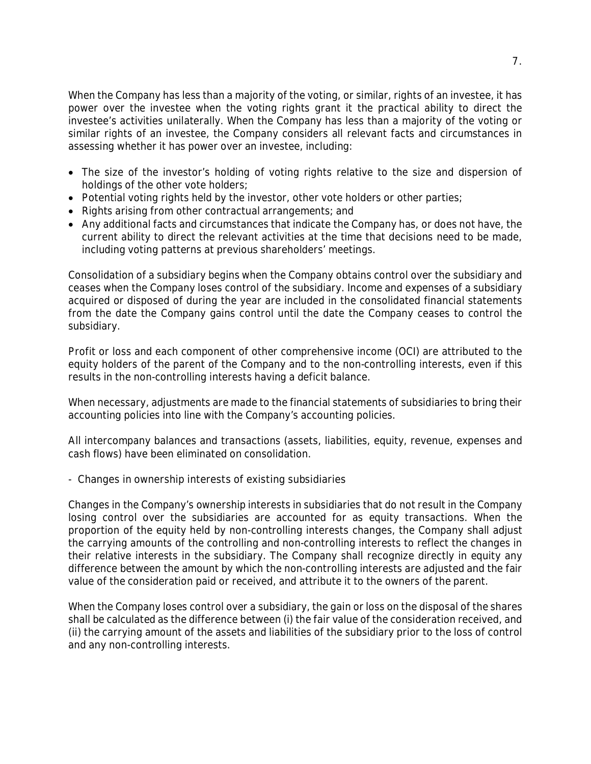When the Company has less than a majority of the voting, or similar, rights of an investee, it has power over the investee when the voting rights grant it the practical ability to direct the investee's activities unilaterally. When the Company has less than a majority of the voting or similar rights of an investee, the Company considers all relevant facts and circumstances in assessing whether it has power over an investee, including:

- The size of the investor's holding of voting rights relative to the size and dispersion of holdings of the other vote holders;
- Potential voting rights held by the investor, other vote holders or other parties;
- Rights arising from other contractual arrangements; and
- Any additional facts and circumstances that indicate the Company has, or does not have, the current ability to direct the relevant activities at the time that decisions need to be made, including voting patterns at previous shareholders' meetings.

Consolidation of a subsidiary begins when the Company obtains control over the subsidiary and ceases when the Company loses control of the subsidiary. Income and expenses of a subsidiary acquired or disposed of during the year are included in the consolidated financial statements from the date the Company gains control until the date the Company ceases to control the subsidiary.

Profit or loss and each component of other comprehensive income (OCI) are attributed to the equity holders of the parent of the Company and to the non-controlling interests, even if this results in the non-controlling interests having a deficit balance.

When necessary, adjustments are made to the financial statements of subsidiaries to bring their accounting policies into line with the Company's accounting policies.

All intercompany balances and transactions (assets, liabilities, equity, revenue, expenses and cash flows) have been eliminated on consolidation.

## *- Changes in ownership interests of existing subsidiaries*

Changes in the Company's ownership interests in subsidiaries that do not result in the Company losing control over the subsidiaries are accounted for as equity transactions. When the proportion of the equity held by non-controlling interests changes, the Company shall adjust the carrying amounts of the controlling and non-controlling interests to reflect the changes in their relative interests in the subsidiary. The Company shall recognize directly in equity any difference between the amount by which the non-controlling interests are adjusted and the fair value of the consideration paid or received, and attribute it to the owners of the parent.

When the Company loses control over a subsidiary, the gain or loss on the disposal of the shares shall be calculated as the difference between (i) the fair value of the consideration received, and (ii) the carrying amount of the assets and liabilities of the subsidiary prior to the loss of control and any non-controlling interests.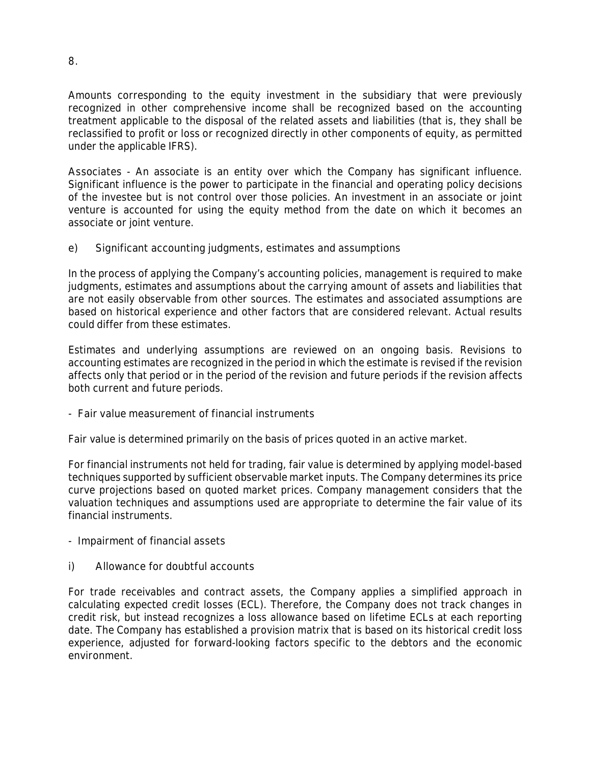Amounts corresponding to the equity investment in the subsidiary that were previously recognized in other comprehensive income shall be recognized based on the accounting treatment applicable to the disposal of the related assets and liabilities (that is, they shall be reclassified to profit or loss or recognized directly in other components of equity, as permitted under the applicable IFRS).

*Associates -* An associate is an entity over which the Company has significant influence. Significant influence is the power to participate in the financial and operating policy decisions of the investee but is not control over those policies. An investment in an associate or joint venture is accounted for using the equity method from the date on which it becomes an associate or joint venture.

**e) Significant accounting judgments, estimates and assumptions**

In the process of applying the Company's accounting policies, management is required to make judgments, estimates and assumptions about the carrying amount of assets and liabilities that are not easily observable from other sources. The estimates and associated assumptions are based on historical experience and other factors that are considered relevant. Actual results could differ from these estimates.

Estimates and underlying assumptions are reviewed on an ongoing basis. Revisions to accounting estimates are recognized in the period in which the estimate is revised if the revision affects only that period or in the period of the revision and future periods if the revision affects both current and future periods.

*- Fair value measurement of financial instruments*

Fair value is determined primarily on the basis of prices quoted in an active market.

For financial instruments not held for trading, fair value is determined by applying model-based techniques supported by sufficient observable market inputs. The Company determines its price curve projections based on quoted market prices. Company management considers that the valuation techniques and assumptions used are appropriate to determine the fair value of its financial instruments.

- *Impairment of financial assets*
- **i) Allowance for doubtful accounts**

For trade receivables and contract assets, the Company applies a simplified approach in calculating expected credit losses (ECL). Therefore, the Company does not track changes in credit risk, but instead recognizes a loss allowance based on lifetime ECLs at each reporting date. The Company has established a provision matrix that is based on its historical credit loss experience, adjusted for forward-looking factors specific to the debtors and the economic environment.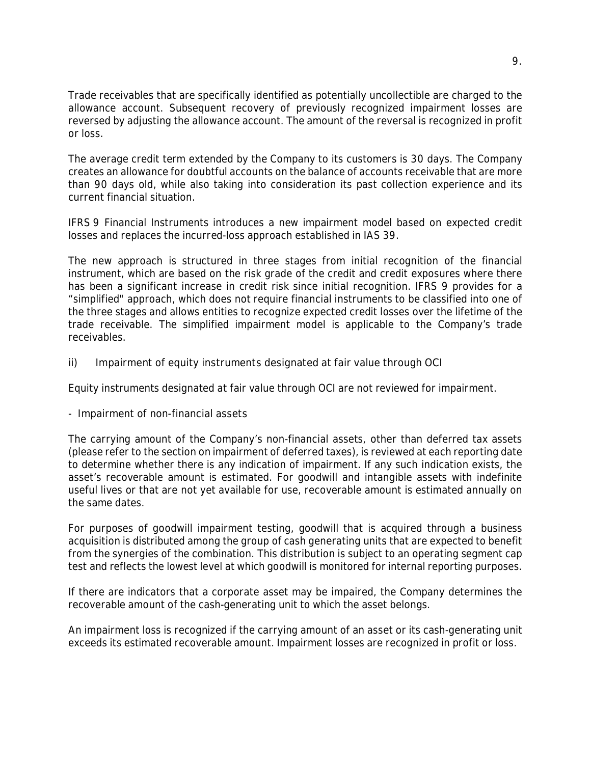Trade receivables that are specifically identified as potentially uncollectible are charged to the allowance account. Subsequent recovery of previously recognized impairment losses are reversed by adjusting the allowance account. The amount of the reversal is recognized in profit or loss.

The average credit term extended by the Company to its customers is 30 days. The Company creates an allowance for doubtful accounts on the balance of accounts receivable that are more than 90 days old, while also taking into consideration its past collection experience and its current financial situation.

IFRS 9 *Financial Instruments* introduces a new impairment model based on expected credit losses and replaces the incurred-loss approach established in IAS 39.

The new approach is structured in three stages from initial recognition of the financial instrument, which are based on the risk grade of the credit and credit exposures where there has been a significant increase in credit risk since initial recognition. IFRS 9 provides for a "simplified" approach, which does not require financial instruments to be classified into one of the three stages and allows entities to recognize expected credit losses over the lifetime of the trade receivable. The simplified impairment model is applicable to the Company's trade receivables.

**ii) Impairment of equity instruments designated at fair value through OCI**

Equity instruments designated at fair value through OCI are not reviewed for impairment.

*- Impairment of non-financial assets*

The carrying amount of the Company's non-financial assets, other than deferred tax assets (please refer to the section on impairment of deferred taxes), is reviewed at each reporting date to determine whether there is any indication of impairment. If any such indication exists, the asset's recoverable amount is estimated. For goodwill and intangible assets with indefinite useful lives or that are not yet available for use, recoverable amount is estimated annually on the same dates.

For purposes of goodwill impairment testing, goodwill that is acquired through a business acquisition is distributed among the group of cash generating units that are expected to benefit from the synergies of the combination. This distribution is subject to an operating segment cap test and reflects the lowest level at which goodwill is monitored for internal reporting purposes.

If there are indicators that a corporate asset may be impaired, the Company determines the recoverable amount of the cash-generating unit to which the asset belongs.

An impairment loss is recognized if the carrying amount of an asset or its cash-generating unit exceeds its estimated recoverable amount. Impairment losses are recognized in profit or loss.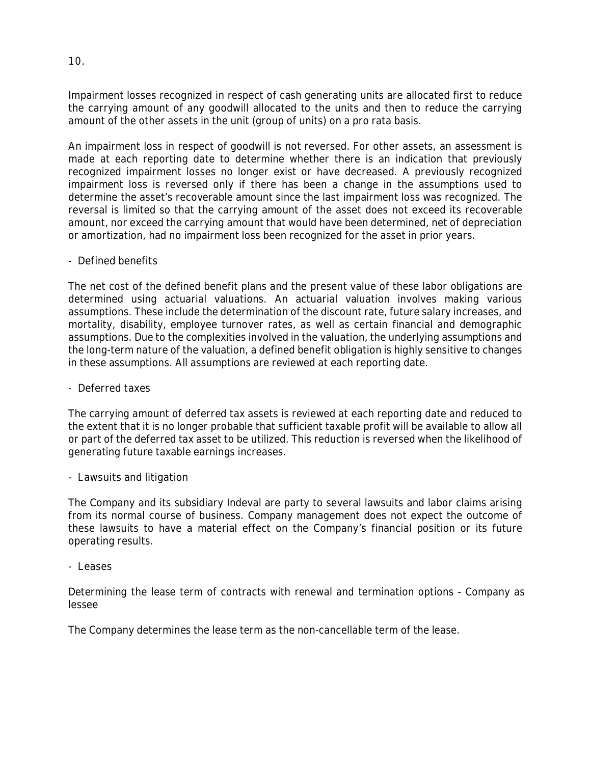Impairment losses recognized in respect of cash generating units are allocated first to reduce the carrying amount of any goodwill allocated to the units and then to reduce the carrying amount of the other assets in the unit (group of units) on a pro rata basis.

An impairment loss in respect of goodwill is not reversed. For other assets, an assessment is made at each reporting date to determine whether there is an indication that previously recognized impairment losses no longer exist or have decreased. A previously recognized impairment loss is reversed only if there has been a change in the assumptions used to determine the asset's recoverable amount since the last impairment loss was recognized. The reversal is limited so that the carrying amount of the asset does not exceed its recoverable amount, nor exceed the carrying amount that would have been determined, net of depreciation or amortization, had no impairment loss been recognized for the asset in prior years.

# *- Defined benefits*

The net cost of the defined benefit plans and the present value of these labor obligations are determined using actuarial valuations. An actuarial valuation involves making various assumptions. These include the determination of the discount rate, future salary increases, and mortality, disability, employee turnover rates, as well as certain financial and demographic assumptions. Due to the complexities involved in the valuation, the underlying assumptions and the long-term nature of the valuation, a defined benefit obligation is highly sensitive to changes in these assumptions. All assumptions are reviewed at each reporting date.

## *- Deferred taxes*

The carrying amount of deferred tax assets is reviewed at each reporting date and reduced to the extent that it is no longer probable that sufficient taxable profit will be available to allow all or part of the deferred tax asset to be utilized. This reduction is reversed when the likelihood of generating future taxable earnings increases.

# *- Lawsuits and litigation*

The Company and its subsidiary Indeval are party to several lawsuits and labor claims arising from its normal course of business. Company management does not expect the outcome of these lawsuits to have a material effect on the Company's financial position or its future operating results.

## *- Leases*

# *Determining the lease term of contracts with renewal and termination options - Company as lessee*

The Company determines the lease term as the non-cancellable term of the lease.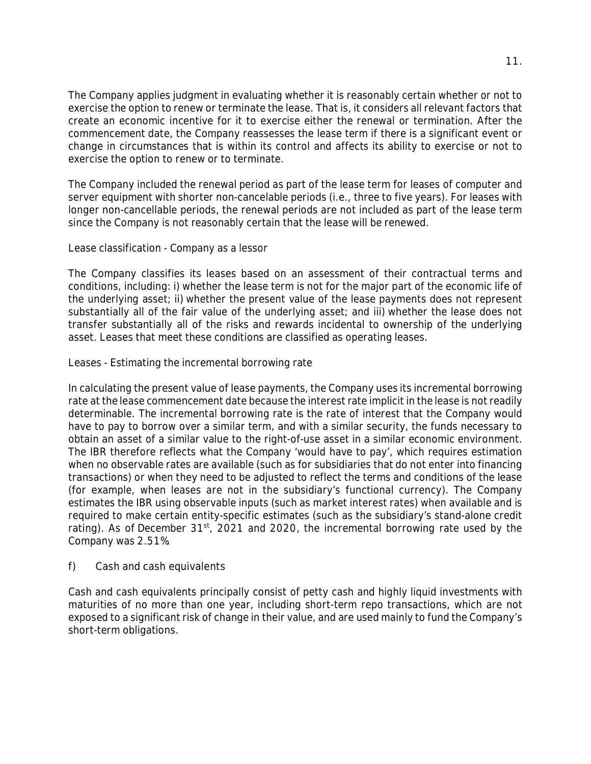The Company applies judgment in evaluating whether it is reasonably certain whether or not to exercise the option to renew or terminate the lease. That is, it considers all relevant factors that create an economic incentive for it to exercise either the renewal or termination. After the commencement date, the Company reassesses the lease term if there is a significant event or change in circumstances that is within its control and affects its ability to exercise or not to exercise the option to renew or to terminate.

The Company included the renewal period as part of the lease term for leases of computer and server equipment with shorter non-cancelable periods (i.e., three to five years). For leases with longer non-cancellable periods, the renewal periods are not included as part of the lease term since the Company is not reasonably certain that the lease will be renewed.

# *Lease classification - Company as a lessor*

The Company classifies its leases based on an assessment of their contractual terms and conditions, including: i) whether the lease term is not for the major part of the economic life of the underlying asset; ii) whether the present value of the lease payments does not represent substantially all of the fair value of the underlying asset; and iii) whether the lease does not transfer substantially all of the risks and rewards incidental to ownership of the underlying asset. Leases that meet these conditions are classified as operating leases.

# *Leases - Estimating the incremental borrowing rate*

In calculating the present value of lease payments, the Company uses its incremental borrowing rate at the lease commencement date because the interest rate implicit in the lease is not readily determinable. The incremental borrowing rate is the rate of interest that the Company would have to pay to borrow over a similar term, and with a similar security, the funds necessary to obtain an asset of a similar value to the right-of-use asset in a similar economic environment. The IBR therefore reflects what the Company 'would have to pay', which requires estimation when no observable rates are available (such as for subsidiaries that do not enter into financing transactions) or when they need to be adjusted to reflect the terms and conditions of the lease (for example, when leases are not in the subsidiary's functional currency). The Company estimates the IBR using observable inputs (such as market interest rates) when available and is required to make certain entity-specific estimates (such as the subsidiary's stand-alone credit rating). As of December 31<sup>st</sup>, 2021 and 2020, the incremental borrowing rate used by the Company was 2.51%.

# **f) Cash and cash equivalents**

Cash and cash equivalents principally consist of petty cash and highly liquid investments with maturities of no more than one year, including short-term repo transactions, which are not exposed to a significant risk of change in their value, and are used mainly to fund the Company's short-term obligations.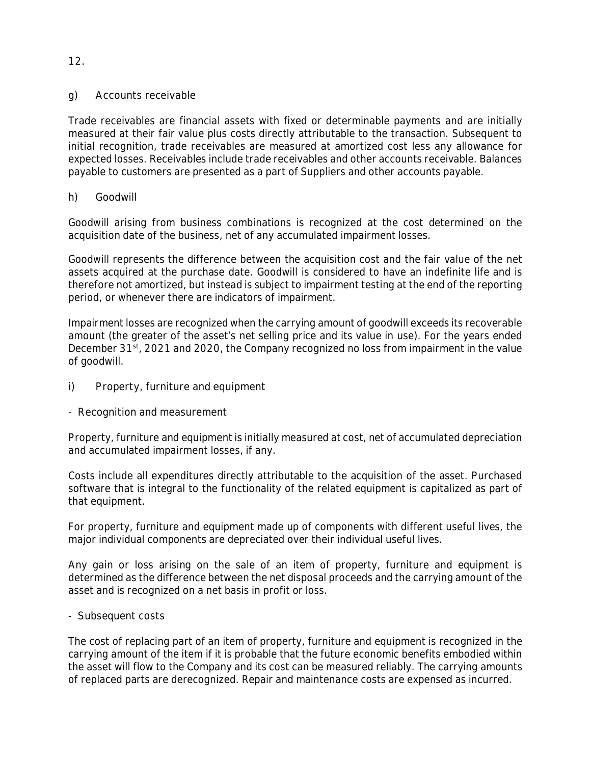# **g) Accounts receivable**

Trade receivables are financial assets with fixed or determinable payments and are initially measured at their fair value plus costs directly attributable to the transaction. Subsequent to initial recognition, trade receivables are measured at amortized cost less any allowance for expected losses. Receivables include trade receivables and other accounts receivable. Balances payable to customers are presented as a part of Suppliers and other accounts payable.

# **h) Goodwill**

Goodwill arising from business combinations is recognized at the cost determined on the acquisition date of the business, net of any accumulated impairment losses.

Goodwill represents the difference between the acquisition cost and the fair value of the net assets acquired at the purchase date. Goodwill is considered to have an indefinite life and is therefore not amortized, but instead is subject to impairment testing at the end of the reporting period, or whenever there are indicators of impairment.

Impairment losses are recognized when the carrying amount of goodwill exceeds its recoverable amount (the greater of the asset's net selling price and its value in use). For the years ended December  $31^{st}$ , 2021 and 2020, the Company recognized no loss from impairment in the value of goodwill.

- **i) Property, furniture and equipment**
- *Recognition and measurement*

Property, furniture and equipment is initially measured at cost, net of accumulated depreciation and accumulated impairment losses, if any.

Costs include all expenditures directly attributable to the acquisition of the asset. Purchased software that is integral to the functionality of the related equipment is capitalized as part of that equipment.

For property, furniture and equipment made up of components with different useful lives, the major individual components are depreciated over their individual useful lives.

Any gain or loss arising on the sale of an item of property, furniture and equipment is determined as the difference between the net disposal proceeds and the carrying amount of the asset and is recognized on a net basis in profit or loss.

## *- Subsequent costs*

The cost of replacing part of an item of property, furniture and equipment is recognized in the carrying amount of the item if it is probable that the future economic benefits embodied within the asset will flow to the Company and its cost can be measured reliably. The carrying amounts of replaced parts are derecognized. Repair and maintenance costs are expensed as incurred.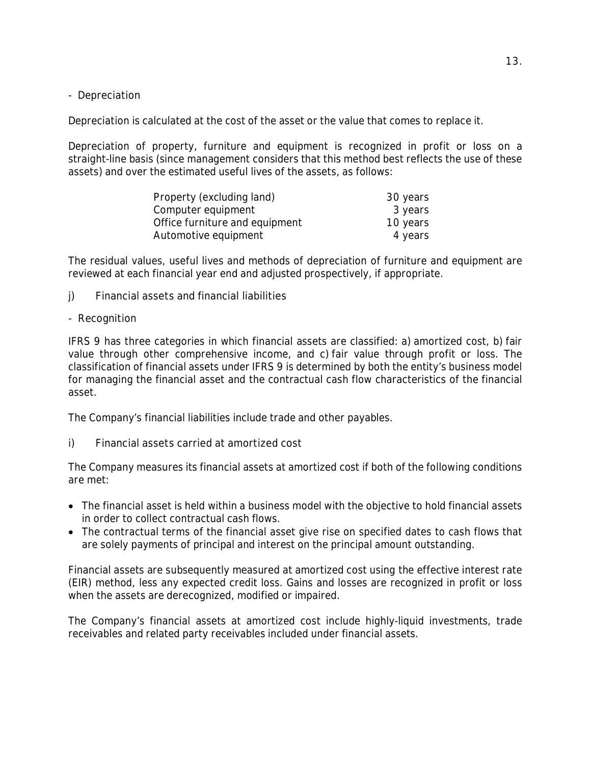## *- Depreciation*

Depreciation is calculated at the cost of the asset or the value that comes to replace it.

Depreciation of property, furniture and equipment is recognized in profit or loss on a straight-line basis (since management considers that this method best reflects the use of these assets) and over the estimated useful lives of the assets, as follows:

| Property (excluding land)      | 30 years |
|--------------------------------|----------|
| Computer equipment             | 3 years  |
| Office furniture and equipment | 10 years |
| Automotive equipment           | 4 years  |

The residual values, useful lives and methods of depreciation of furniture and equipment are reviewed at each financial year end and adjusted prospectively, if appropriate.

- **j) Financial assets and financial liabilities**
- *Recognition*

IFRS 9 has three categories in which financial assets are classified: a) amortized cost, b) fair value through other comprehensive income, and c) fair value through profit or loss. The classification of financial assets under IFRS 9 is determined by both the entity's business model for managing the financial asset and the contractual cash flow characteristics of the financial asset.

The Company's financial liabilities include trade and other payables.

**i) Financial assets carried at amortized cost**

The Company measures its financial assets at amortized cost if both of the following conditions are met:

- The financial asset is held within a business model with the objective to hold financial assets in order to collect contractual cash flows.
- The contractual terms of the financial asset give rise on specified dates to cash flows that are solely payments of principal and interest on the principal amount outstanding.

Financial assets are subsequently measured at amortized cost using the effective interest rate (EIR) method, less any expected credit loss. Gains and losses are recognized in profit or loss when the assets are derecognized, modified or impaired.

The Company's financial assets at amortized cost include highly-liquid investments, trade receivables and related party receivables included under financial assets.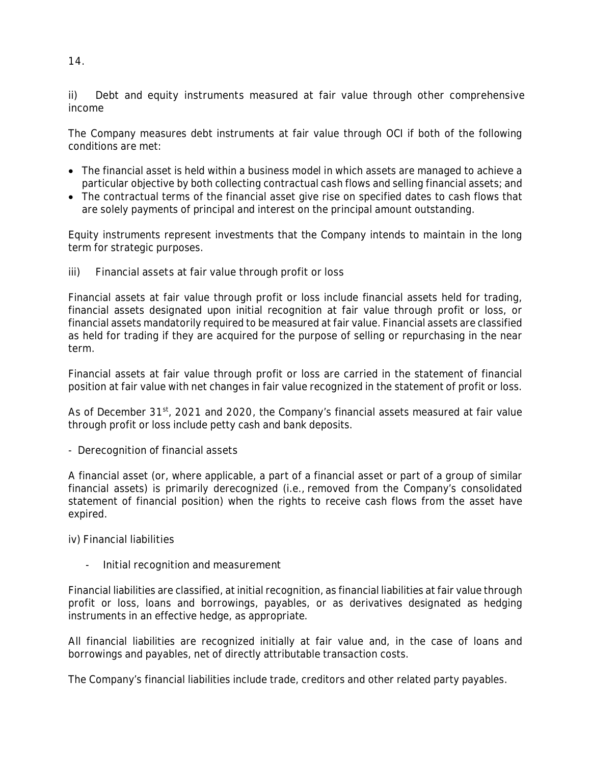**ii) Debt and equity instruments measured at fair value through other comprehensive income**

The Company measures debt instruments at fair value through OCI if both of the following conditions are met:

- The financial asset is held within a business model in which assets are managed to achieve a particular objective by both collecting contractual cash flows and selling financial assets; and
- The contractual terms of the financial asset give rise on specified dates to cash flows that are solely payments of principal and interest on the principal amount outstanding.

Equity instruments represent investments that the Company intends to maintain in the long term for strategic purposes.

**iii) Financial assets at fair value through profit or loss**

Financial assets at fair value through profit or loss include financial assets held for trading, financial assets designated upon initial recognition at fair value through profit or loss, or financial assets mandatorily required to be measured at fair value. Financial assets are classified as held for trading if they are acquired for the purpose of selling or repurchasing in the near term.

Financial assets at fair value through profit or loss are carried in the statement of financial position at fair value with net changes in fair value recognized in the statement of profit or loss.

As of December  $31^{st}$ , 2021 and 2020, the Company's financial assets measured at fair value through profit or loss include petty cash and bank deposits.

*- Derecognition of financial assets*

A financial asset (or, where applicable, a part of a financial asset or part of a group of similar financial assets) is primarily derecognized (i.e., removed from the Company's consolidated statement of financial position) when the rights to receive cash flows from the asset have expired.

**iv) Financial liabilities**

- **Initial recognition and measurement**

Financial liabilities are classified, at initial recognition, as financial liabilities at fair value through profit or loss, loans and borrowings, payables, or as derivatives designated as hedging instruments in an effective hedge, as appropriate.

All financial liabilities are recognized initially at fair value and, in the case of loans and borrowings and payables, net of directly attributable transaction costs.

The Company's financial liabilities include trade, creditors and other related party payables.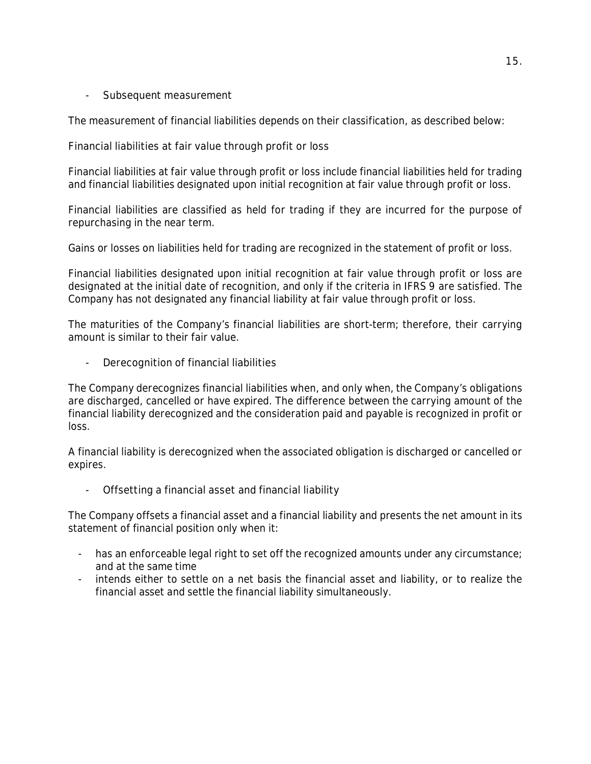- **Subsequent measurement**

The measurement of financial liabilities depends on their classification, as described below:

**Financial liabilities at fair value through profit or loss**

Financial liabilities at fair value through profit or loss include financial liabilities held for trading and financial liabilities designated upon initial recognition at fair value through profit or loss.

Financial liabilities are classified as held for trading if they are incurred for the purpose of repurchasing in the near term.

Gains or losses on liabilities held for trading are recognized in the statement of profit or loss.

Financial liabilities designated upon initial recognition at fair value through profit or loss are designated at the initial date of recognition, and only if the criteria in IFRS 9 are satisfied. The Company has not designated any financial liability at fair value through profit or loss.

The maturities of the Company's financial liabilities are short-term; therefore, their carrying amount is similar to their fair value.

- **Derecognition of financial liabilities**

The Company derecognizes financial liabilities when, and only when, the Company's obligations are discharged, cancelled or have expired. The difference between the carrying amount of the financial liability derecognized and the consideration paid and payable is recognized in profit or loss.

A financial liability is derecognized when the associated obligation is discharged or cancelled or expires.

- **Offsetting a financial asset and financial liability**

The Company offsets a financial asset and a financial liability and presents the net amount in its statement of financial position only when it:

- has an enforceable legal right to set off the recognized amounts under any circumstance; and at the same time
- intends either to settle on a net basis the financial asset and liability, or to realize the financial asset and settle the financial liability simultaneously.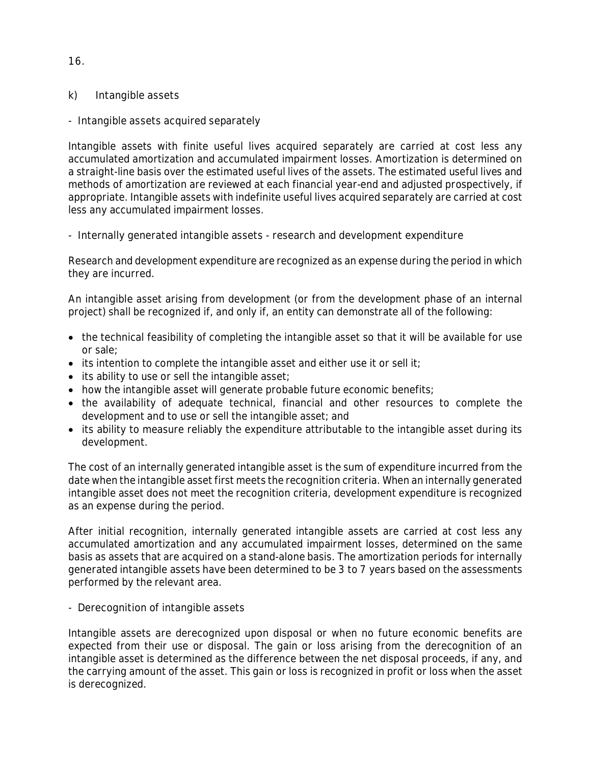# **k) Intangible assets**

## *- Intangible assets acquired separately*

Intangible assets with finite useful lives acquired separately are carried at cost less any accumulated amortization and accumulated impairment losses. Amortization is determined on a straight-line basis over the estimated useful lives of the assets. The estimated useful lives and methods of amortization are reviewed at each financial year-end and adjusted prospectively, if appropriate. Intangible assets with indefinite useful lives acquired separately are carried at cost less any accumulated impairment losses.

# *- Internally generated intangible assets - research and development expenditure*

Research and development expenditure are recognized as an expense during the period in which they are incurred.

An intangible asset arising from development (or from the development phase of an internal project) shall be recognized if, and only if, an entity can demonstrate all of the following:

- the technical feasibility of completing the intangible asset so that it will be available for use or sale;
- $\bullet$  its intention to complete the intangible asset and either use it or sell it;
- $\bullet$  its ability to use or sell the intangible asset;
- how the intangible asset will generate probable future economic benefits;
- the availability of adequate technical, financial and other resources to complete the development and to use or sell the intangible asset; and
- its ability to measure reliably the expenditure attributable to the intangible asset during its development.

The cost of an internally generated intangible asset is the sum of expenditure incurred from the date when the intangible asset first meets the recognition criteria. When an internally generated intangible asset does not meet the recognition criteria, development expenditure is recognized as an expense during the period.

After initial recognition, internally generated intangible assets are carried at cost less any accumulated amortization and any accumulated impairment losses, determined on the same basis as assets that are acquired on a stand-alone basis. The amortization periods for internally generated intangible assets have been determined to be 3 to 7 years based on the assessments performed by the relevant area.

## *- Derecognition of intangible assets*

Intangible assets are derecognized upon disposal or when no future economic benefits are expected from their use or disposal. The gain or loss arising from the derecognition of an intangible asset is determined as the difference between the net disposal proceeds, if any, and the carrying amount of the asset. This gain or loss is recognized in profit or loss when the asset is derecognized.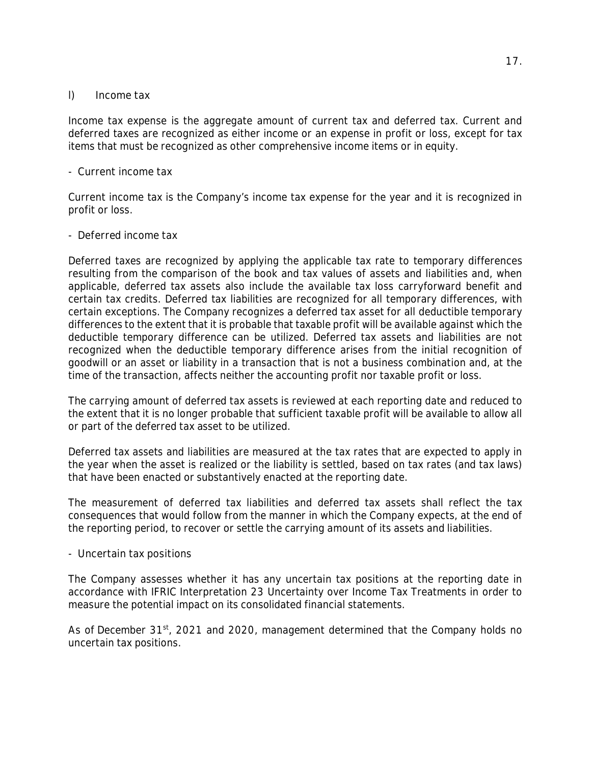#### **l) Income tax**

Income tax expense is the aggregate amount of current tax and deferred tax. Current and deferred taxes are recognized as either income or an expense in profit or loss, except for tax items that must be recognized as other comprehensive income items or in equity.

#### *- Current income tax*

Current income tax is the Company's income tax expense for the year and it is recognized in profit or loss.

#### *- Deferred income tax*

Deferred taxes are recognized by applying the applicable tax rate to temporary differences resulting from the comparison of the book and tax values of assets and liabilities and, when applicable, deferred tax assets also include the available tax loss carryforward benefit and certain tax credits. Deferred tax liabilities are recognized for all temporary differences, with certain exceptions. The Company recognizes a deferred tax asset for all deductible temporary differences to the extent that it is probable that taxable profit will be available against which the deductible temporary difference can be utilized. Deferred tax assets and liabilities are not recognized when the deductible temporary difference arises from the initial recognition of goodwill or an asset or liability in a transaction that is not a business combination and, at the time of the transaction, affects neither the accounting profit nor taxable profit or loss.

The carrying amount of deferred tax assets is reviewed at each reporting date and reduced to the extent that it is no longer probable that sufficient taxable profit will be available to allow all or part of the deferred tax asset to be utilized.

Deferred tax assets and liabilities are measured at the tax rates that are expected to apply in the year when the asset is realized or the liability is settled, based on tax rates (and tax laws) that have been enacted or substantively enacted at the reporting date.

The measurement of deferred tax liabilities and deferred tax assets shall reflect the tax consequences that would follow from the manner in which the Company expects, at the end of the reporting period, to recover or settle the carrying amount of its assets and liabilities.

## *- Uncertain tax positions*

The Company assesses whether it has any uncertain tax positions at the reporting date in accordance with IFRIC Interpretation 23 *Uncertainty over Income Tax Treatments* in order to measure the potential impact on its consolidated financial statements.

As of December 31<sup>st</sup>, 2021 and 2020, management determined that the Company holds no uncertain tax positions.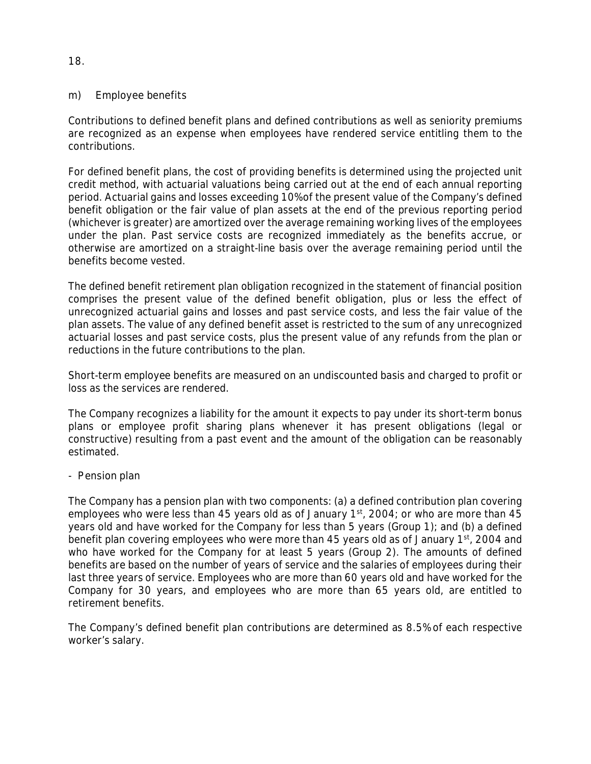## **m) Employee benefits**

Contributions to defined benefit plans and defined contributions as well as seniority premiums are recognized as an expense when employees have rendered service entitling them to the contributions.

For defined benefit plans, the cost of providing benefits is determined using the projected unit credit method, with actuarial valuations being carried out at the end of each annual reporting period. Actuarial gains and losses exceeding 10% of the present value of the Company's defined benefit obligation or the fair value of plan assets at the end of the previous reporting period (whichever is greater) are amortized over the average remaining working lives of the employees under the plan. Past service costs are recognized immediately as the benefits accrue, or otherwise are amortized on a straight-line basis over the average remaining period until the benefits become vested.

The defined benefit retirement plan obligation recognized in the statement of financial position comprises the present value of the defined benefit obligation, plus or less the effect of unrecognized actuarial gains and losses and past service costs, and less the fair value of the plan assets. The value of any defined benefit asset is restricted to the sum of any unrecognized actuarial losses and past service costs, plus the present value of any refunds from the plan or reductions in the future contributions to the plan.

Short-term employee benefits are measured on an undiscounted basis and charged to profit or loss as the services are rendered.

The Company recognizes a liability for the amount it expects to pay under its short-term bonus plans or employee profit sharing plans whenever it has present obligations (legal or constructive) resulting from a past event and the amount of the obligation can be reasonably estimated.

## *- Pension plan*

The Company has a pension plan with two components: (a) a defined contribution plan covering employees who were less than 45 years old as of January  $1<sup>st</sup>$ , 2004; or who are more than 45 years old and have worked for the Company for less than 5 years (Group 1); and (b) a defined benefit plan covering employees who were more than 45 years old as of January  $1<sup>st</sup>$ , 2004 and who have worked for the Company for at least 5 years (Group 2). The amounts of defined benefits are based on the number of years of service and the salaries of employees during their last three years of service. Employees who are more than 60 years old and have worked for the Company for 30 years, and employees who are more than 65 years old, are entitled to retirement benefits.

The Company's defined benefit plan contributions are determined as 8.5% of each respective worker's salary.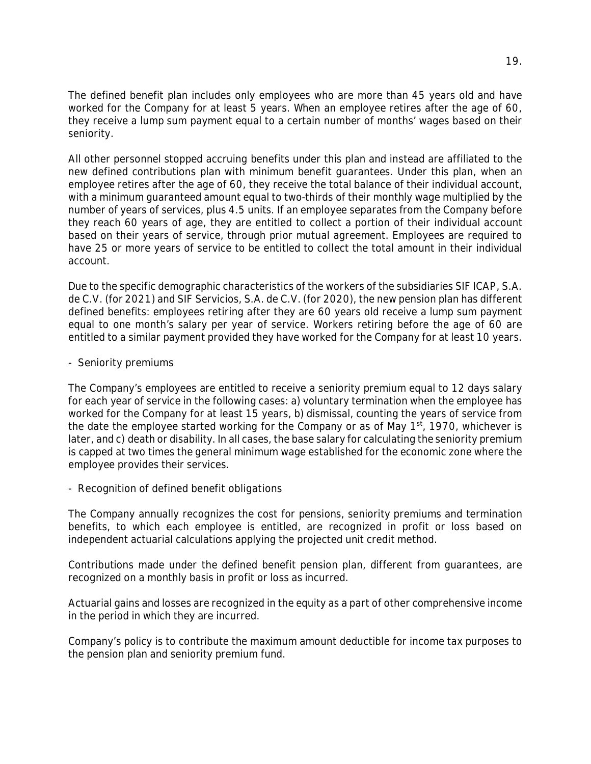The defined benefit plan includes only employees who are more than 45 years old and have worked for the Company for at least 5 years. When an employee retires after the age of 60, they receive a lump sum payment equal to a certain number of months' wages based on their seniority.

All other personnel stopped accruing benefits under this plan and instead are affiliated to the new defined contributions plan with minimum benefit guarantees. Under this plan, when an employee retires after the age of 60, they receive the total balance of their individual account, with a minimum guaranteed amount equal to two-thirds of their monthly wage multiplied by the number of years of services, plus 4.5 units. If an employee separates from the Company before they reach 60 years of age, they are entitled to collect a portion of their individual account based on their years of service, through prior mutual agreement. Employees are required to have 25 or more years of service to be entitled to collect the total amount in their individual account.

Due to the specific demographic characteristics of the workers of the subsidiaries SIF ICAP, S.A. de C.V. (for 2021) and SIF Servicios, S.A. de C.V. (for 2020), the new pension plan has different defined benefits: employees retiring after they are 60 years old receive a lump sum payment equal to one month's salary per year of service. Workers retiring before the age of 60 are entitled to a similar payment provided they have worked for the Company for at least 10 years.

## *- Seniority premiums*

The Company's employees are entitled to receive a seniority premium equal to 12 days salary for each year of service in the following cases: a) voluntary termination when the employee has worked for the Company for at least 15 years, b) dismissal, counting the years of service from the date the employee started working for the Company or as of May  $1<sup>st</sup>$ , 1970, whichever is later, and c) death or disability. In all cases, the base salary for calculating the seniority premium is capped at two times the general minimum wage established for the economic zone where the employee provides their services.

## *- Recognition of defined benefit obligations*

The Company annually recognizes the cost for pensions, seniority premiums and termination benefits, to which each employee is entitled, are recognized in profit or loss based on independent actuarial calculations applying the projected unit credit method.

Contributions made under the defined benefit pension plan, different from guarantees, are recognized on a monthly basis in profit or loss as incurred.

Actuarial gains and losses are recognized in the equity as a part of other comprehensive income in the period in which they are incurred.

Company's policy is to contribute the maximum amount deductible for income tax purposes to the pension plan and seniority premium fund.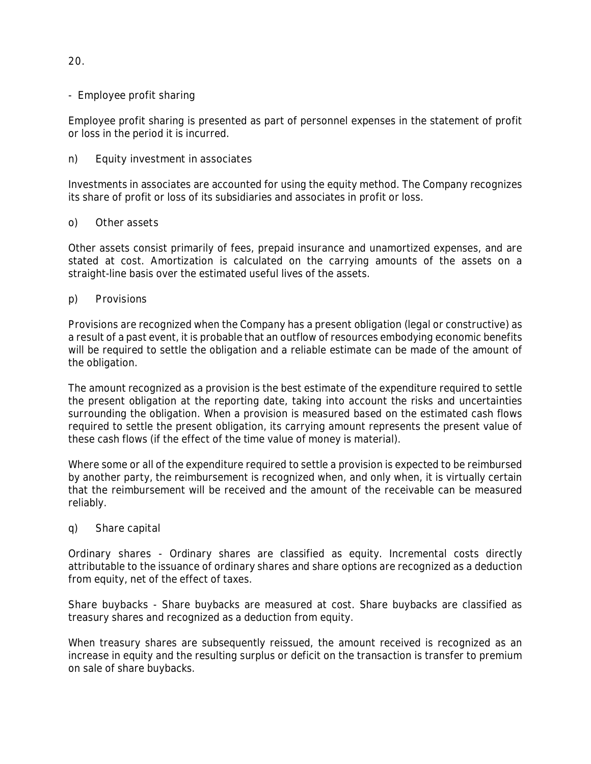# *- Employee profit sharing*

Employee profit sharing is presented as part of personnel expenses in the statement of profit or loss in the period it is incurred.

**n) Equity investment in associates**

Investments in associates are accounted for using the equity method. The Company recognizes its share of profit or loss of its subsidiaries and associates in profit or loss.

## **o) Other assets**

Other assets consist primarily of fees, prepaid insurance and unamortized expenses, and are stated at cost. Amortization is calculated on the carrying amounts of the assets on a straight-line basis over the estimated useful lives of the assets.

# **p) Provisions**

Provisions are recognized when the Company has a present obligation (legal or constructive) as a result of a past event, it is probable that an outflow of resources embodying economic benefits will be required to settle the obligation and a reliable estimate can be made of the amount of the obligation.

The amount recognized as a provision is the best estimate of the expenditure required to settle the present obligation at the reporting date, taking into account the risks and uncertainties surrounding the obligation. When a provision is measured based on the estimated cash flows required to settle the present obligation, its carrying amount represents the present value of these cash flows (if the effect of the time value of money is material).

Where some or all of the expenditure required to settle a provision is expected to be reimbursed by another party, the reimbursement is recognized when, and only when, it is virtually certain that the reimbursement will be received and the amount of the receivable can be measured reliably.

## **q) Share capital**

**Ordinary shares -** Ordinary shares are classified as equity. Incremental costs directly attributable to the issuance of ordinary shares and share options are recognized as a deduction from equity, net of the effect of taxes.

**Share buybacks -** Share buybacks are measured at cost. Share buybacks are classified as treasury shares and recognized as a deduction from equity.

When treasury shares are subsequently reissued, the amount received is recognized as an increase in equity and the resulting surplus or deficit on the transaction is transfer to premium on sale of share buybacks.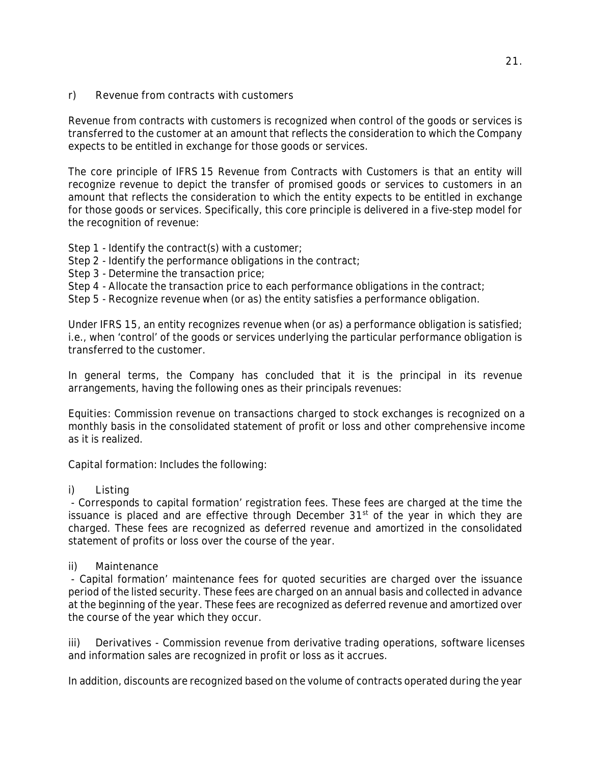**r) Revenue from contracts with customers**

Revenue from contracts with customers is recognized when control of the goods or services is transferred to the customer at an amount that reflects the consideration to which the Company expects to be entitled in exchange for those goods or services.

The core principle of IFRS 15 *Revenue from Contracts with Customers* is that an entity will recognize revenue to depict the transfer of promised goods or services to customers in an amount that reflects the consideration to which the entity expects to be entitled in exchange for those goods or services. Specifically, this core principle is delivered in a five-step model for the recognition of revenue:

# Step 1 - Identify the contract(s) with a customer;

- Step 2 Identify the performance obligations in the contract;
- Step 3 Determine the transaction price;
- Step 4 Allocate the transaction price to each performance obligations in the contract;
- Step 5 Recognize revenue when (or as) the entity satisfies a performance obligation.

Under IFRS 15, an entity recognizes revenue when (or as) a performance obligation is satisfied; i.e., when 'control' of the goods or services underlying the particular performance obligation is transferred to the customer.

In general terms, the Company has concluded that it is the principal in its revenue arrangements, having the following ones as their principals revenues:

*Equities:* Commission revenue on transactions charged to stock exchanges is recognized on a monthly basis in the consolidated statement of profit or loss and other comprehensive income as it is realized.

*Capital formation:* Includes the following:

## **i) Listing**

 **-** Corresponds to capital formation' registration fees. These fees are charged at the time the issuance is placed and are effective through December  $31<sup>st</sup>$  of the year in which they are charged. These fees are recognized as deferred revenue and amortized in the consolidated statement of profits or loss over the course of the year.

## **ii) Maintenance**

 **-** Capital formation' maintenance fees for quoted securities are charged over the issuance period of the listed security. These fees are charged on an annual basis and collected in advance at the beginning of the year. These fees are recognized as deferred revenue and amortized over the course of the year which they occur.

**iii) Derivatives -** Commission revenue from derivative trading operations, software licenses and information sales are recognized in profit or loss as it accrues.

In addition, discounts are recognized based on the volume of contracts operated during the year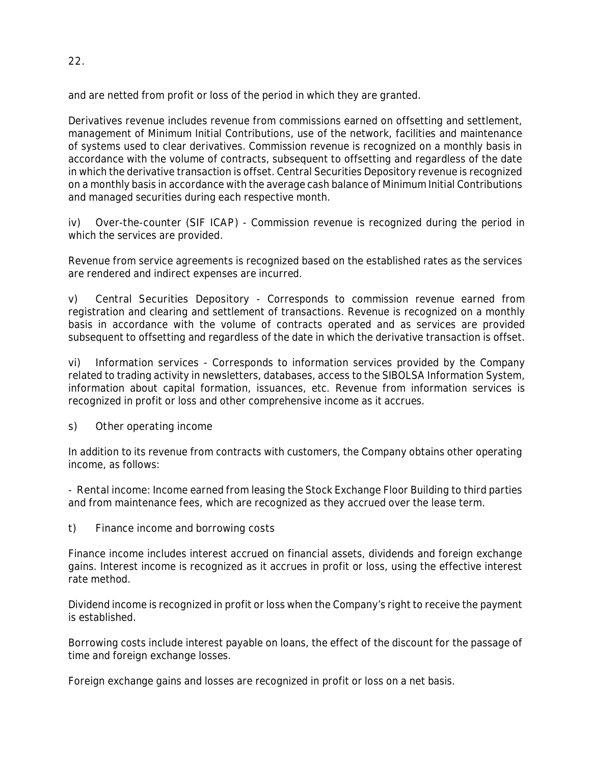and are netted from profit or loss of the period in which they are granted.

Derivatives revenue includes revenue from commissions earned on offsetting and settlement, management of Minimum Initial Contributions, use of the network, facilities and maintenance of systems used to clear derivatives. Commission revenue is recognized on a monthly basis in accordance with the volume of contracts, subsequent to offsetting and regardless of the date in which the derivative transaction is offset. Central Securities Depository revenue is recognized on a monthly basis in accordance with the average cash balance of Minimum Initial Contributions and managed securities during each respective month.

**iv) Over-the-counter (SIF ICAP) -** Commission revenue is recognized during the period in which the services are provided.

Revenue from service agreements is recognized based on the established rates as the services are rendered and indirect expenses are incurred.

**v) Central Securities Depository -** Corresponds to commission revenue earned from registration and clearing and settlement of transactions. Revenue is recognized on a monthly basis in accordance with the volume of contracts operated and as services are provided subsequent to offsetting and regardless of the date in which the derivative transaction is offset.

**vi) Information services -** Corresponds to information services provided by the Company related to trading activity in newsletters, databases, access to the SIBOLSA Information System, information about capital formation, issuances, etc. Revenue from information services is recognized in profit or loss and other comprehensive income as it accrues.

**s) Other operating income**

In addition to its revenue from contracts with customers, the Company obtains other operating income, as follows:

**- Rental income:** Income earned from leasing the Stock Exchange Floor Building to third parties and from maintenance fees, which are recognized as they accrued over the lease term.

**t) Finance income and borrowing costs**

Finance income includes interest accrued on financial assets, dividends and foreign exchange gains. Interest income is recognized as it accrues in profit or loss, using the effective interest rate method.

Dividend income is recognized in profit or loss when the Company's right to receive the payment is established.

Borrowing costs include interest payable on loans, the effect of the discount for the passage of time and foreign exchange losses.

Foreign exchange gains and losses are recognized in profit or loss on a net basis.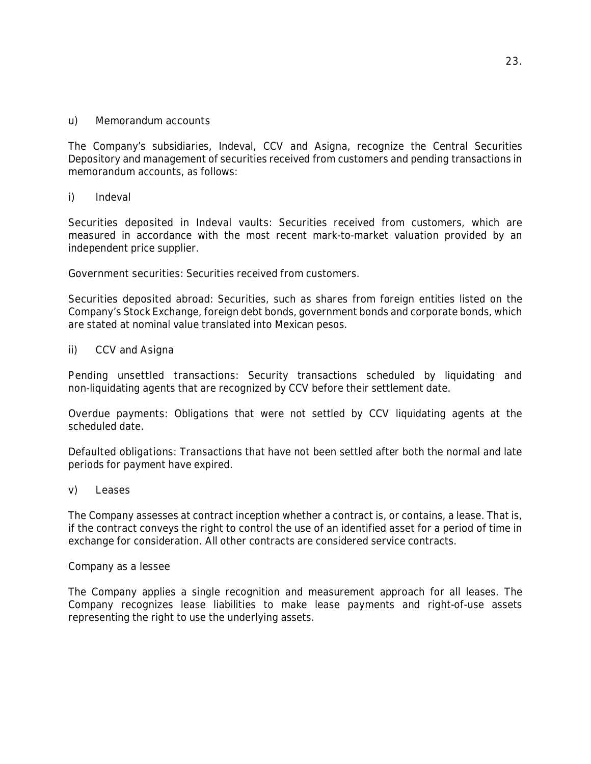#### **u) Memorandum accounts**

The Company's subsidiaries, Indeval, CCV and Asigna, recognize the Central Securities Depository and management of securities received from customers and pending transactions in memorandum accounts, as follows:

### *i) Indeval*

**Securities deposited in Indeval vaults:** Securities received from customers, which are measured in accordance with the most recent mark-to-market valuation provided by an independent price supplier.

**Government securities:** Securities received from customers.

**Securities deposited abroad:** Securities, such as shares from foreign entities listed on the Company's Stock Exchange, foreign debt bonds, government bonds and corporate bonds, which are stated at nominal value translated into Mexican pesos.

### *ii) CCV and Asigna*

**Pending unsettled transactions:** Security transactions scheduled by liquidating and non-liquidating agents that are recognized by CCV before their settlement date.

**Overdue payments:** Obligations that were not settled by CCV liquidating agents at the scheduled date.

**Defaulted obligations:** Transactions that have not been settled after both the normal and late periods for payment have expired.

#### **v) Leases**

The Company assesses at contract inception whether a contract is, or contains, a lease. That is, if the contract conveys the right to control the use of an identified asset for a period of time in exchange for consideration. All other contracts are considered service contracts.

#### *Company as a lessee*

The Company applies a single recognition and measurement approach for all leases. The Company recognizes lease liabilities to make lease payments and right-of-use assets representing the right to use the underlying assets.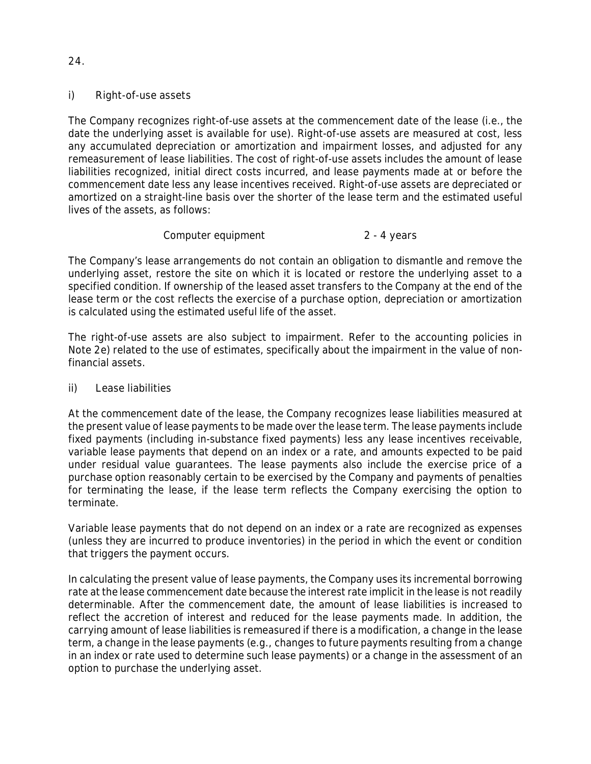# *i) Right-of-use assets*

The Company recognizes right-of-use assets at the commencement date of the lease (i.e., the date the underlying asset is available for use). Right-of-use assets are measured at cost, less any accumulated depreciation or amortization and impairment losses, and adjusted for any remeasurement of lease liabilities. The cost of right-of-use assets includes the amount of lease liabilities recognized, initial direct costs incurred, and lease payments made at or before the commencement date less any lease incentives received. Right-of-use assets are depreciated or amortized on a straight-line basis over the shorter of the lease term and the estimated useful lives of the assets, as follows:

# Computer equipment **2 - 4 years**

The Company's lease arrangements do not contain an obligation to dismantle and remove the underlying asset, restore the site on which it is located or restore the underlying asset to a specified condition. If ownership of the leased asset transfers to the Company at the end of the lease term or the cost reflects the exercise of a purchase option, depreciation or amortization is calculated using the estimated useful life of the asset.

The right-of-use assets are also subject to impairment. Refer to the accounting policies in Note 2e) related to the use of estimates, specifically about the impairment in the value of nonfinancial assets.

# *ii) Lease liabilities*

At the commencement date of the lease, the Company recognizes lease liabilities measured at the present value of lease payments to be made over the lease term. The lease payments include fixed payments (including in-substance fixed payments) less any lease incentives receivable, variable lease payments that depend on an index or a rate, and amounts expected to be paid under residual value guarantees. The lease payments also include the exercise price of a purchase option reasonably certain to be exercised by the Company and payments of penalties for terminating the lease, if the lease term reflects the Company exercising the option to terminate.

Variable lease payments that do not depend on an index or a rate are recognized as expenses (unless they are incurred to produce inventories) in the period in which the event or condition that triggers the payment occurs.

In calculating the present value of lease payments, the Company uses its incremental borrowing rate at the lease commencement date because the interest rate implicit in the lease is not readily determinable. After the commencement date, the amount of lease liabilities is increased to reflect the accretion of interest and reduced for the lease payments made. In addition, the carrying amount of lease liabilities is remeasured if there is a modification, a change in the lease term, a change in the lease payments (e.g., changes to future payments resulting from a change in an index or rate used to determine such lease payments) or a change in the assessment of an option to purchase the underlying asset.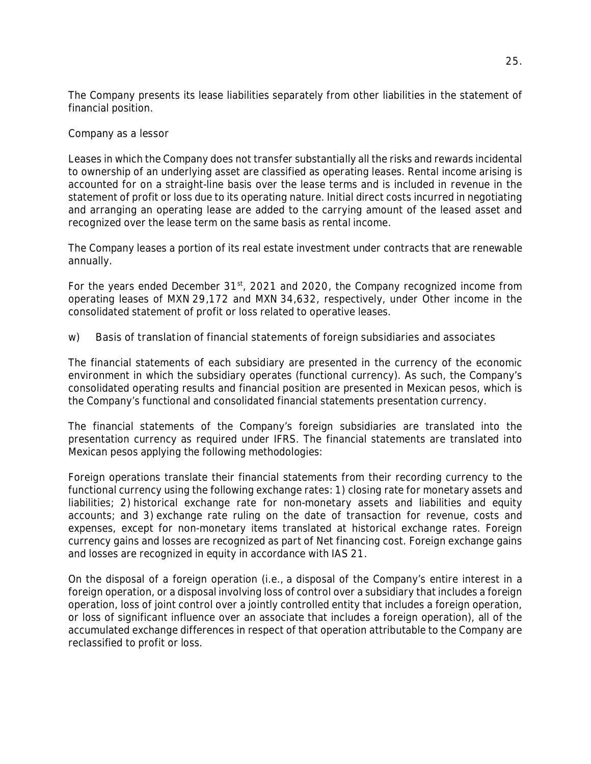The Company presents its lease liabilities separately from other liabilities in the statement of financial position.

#### *Company as a lessor*

Leases in which the Company does not transfer substantially all the risks and rewards incidental to ownership of an underlying asset are classified as operating leases. Rental income arising is accounted for on a straight-line basis over the lease terms and is included in revenue in the statement of profit or loss due to its operating nature. Initial direct costs incurred in negotiating and arranging an operating lease are added to the carrying amount of the leased asset and recognized over the lease term on the same basis as rental income.

The Company leases a portion of its real estate investment under contracts that are renewable annually.

For the years ended December  $31<sup>st</sup>$ , 2021 and 2020, the Company recognized income from operating leases of MXN 29,172 and MXN 34,632, respectively, under Other income in the consolidated statement of profit or loss related to operative leases.

**w) Basis of translation of financial statements of foreign subsidiaries and associates**

The financial statements of each subsidiary are presented in the currency of the economic environment in which the subsidiary operates (functional currency). As such, the Company's consolidated operating results and financial position are presented in Mexican pesos, which is the Company's functional and consolidated financial statements presentation currency.

The financial statements of the Company's foreign subsidiaries are translated into the presentation currency as required under IFRS. The financial statements are translated into Mexican pesos applying the following methodologies:

Foreign operations translate their financial statements from their recording currency to the functional currency using the following exchange rates: 1) closing rate for monetary assets and liabilities; 2) historical exchange rate for non-monetary assets and liabilities and equity accounts; and 3) exchange rate ruling on the date of transaction for revenue, costs and expenses, except for non-monetary items translated at historical exchange rates. Foreign currency gains and losses are recognized as part of Net financing cost. Foreign exchange gains and losses are recognized in equity in accordance with IAS 21.

On the disposal of a foreign operation (i.e., a disposal of the Company's entire interest in a foreign operation, or a disposal involving loss of control over a subsidiary that includes a foreign operation, loss of joint control over a jointly controlled entity that includes a foreign operation, or loss of significant influence over an associate that includes a foreign operation), all of the accumulated exchange differences in respect of that operation attributable to the Company are reclassified to profit or loss.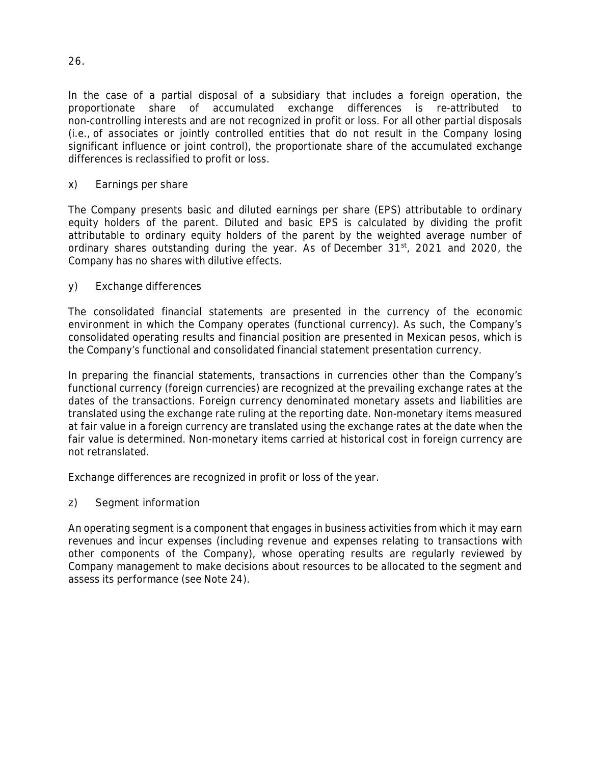In the case of a partial disposal of a subsidiary that includes a foreign operation, the proportionate share of accumulated exchange differences is re-attributed to non-controlling interests and are not recognized in profit or loss. For all other partial disposals (i.e., of associates or jointly controlled entities that do not result in the Company losing significant influence or joint control), the proportionate share of the accumulated exchange differences is reclassified to profit or loss.

**x) Earnings per share**

The Company presents basic and diluted earnings per share (EPS) attributable to ordinary equity holders of the parent. Diluted and basic EPS is calculated by dividing the profit attributable to ordinary equity holders of the parent by the weighted average number of ordinary shares outstanding during the year. As of December  $31<sup>st</sup>$ , 2021 and 2020, the Company has no shares with dilutive effects.

**y) Exchange differences**

The consolidated financial statements are presented in the currency of the economic environment in which the Company operates (functional currency). As such, the Company's consolidated operating results and financial position are presented in Mexican pesos, which is the Company's functional and consolidated financial statement presentation currency.

In preparing the financial statements, transactions in currencies other than the Company's functional currency (foreign currencies) are recognized at the prevailing exchange rates at the dates of the transactions. Foreign currency denominated monetary assets and liabilities are translated using the exchange rate ruling at the reporting date. Non-monetary items measured at fair value in a foreign currency are translated using the exchange rates at the date when the fair value is determined. Non-monetary items carried at historical cost in foreign currency are not retranslated.

Exchange differences are recognized in profit or loss of the year.

**z) Segment information**

An operating segment is a component that engages in business activities from which it may earn revenues and incur expenses (including revenue and expenses relating to transactions with other components of the Company), whose operating results are regularly reviewed by Company management to make decisions about resources to be allocated to the segment and assess its performance (see Note 24).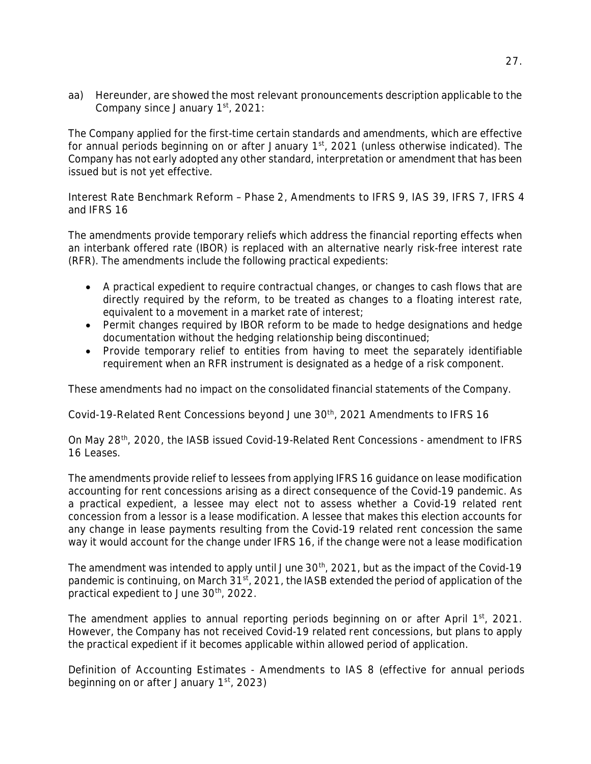**aa) Hereunder, are showed the most relevant pronouncement**s description **applicable to the Company since January 1**st**, 2021:**

The Company applied for the first-time certain standards and amendments, which are effective for annual periods beginning on or after January  $1<sup>st</sup>$ , 2021 (unless otherwise indicated). The Company has not early adopted any other standard, interpretation or amendment that has been issued but is not yet effective.

**Interest Rate Benchmark Reform – Phase 2,** *Amendments to IFRS 9, IAS 39, IFRS 7, IFRS 4 and IFRS 16*

The amendments provide temporary reliefs which address the financial reporting effects when an interbank offered rate (IBOR) is replaced with an alternative nearly risk-free interest rate (RFR). The amendments include the following practical expedients:

- A practical expedient to require contractual changes, or changes to cash flows that are directly required by the reform, to be treated as changes to a floating interest rate, equivalent to a movement in a market rate of interest;
- Permit changes required by IBOR reform to be made to hedge designations and hedge documentation without the hedging relationship being discontinued;
- Provide temporary relief to entities from having to meet the separately identifiable requirement when an RFR instrument is designated as a hedge of a risk component.

These amendments had no impact on the consolidated financial statements of the Company.

**Covid-19-Related Rent Concessions beyond June 30th, 2021** *Amendments to IFRS 16*

On May 28th, 2020, the IASB issued Covid-19-*Related Rent Concessions - amendment to IFRS 16 Leases.*

The amendments provide relief to lessees from applying IFRS 16 guidance on lease modification accounting for rent concessions arising as a direct consequence of the Covid-19 pandemic. As a practical expedient, a lessee may elect not to assess whether a Covid-19 related rent concession from a lessor is a lease modification. A lessee that makes this election accounts for any change in lease payments resulting from the Covid-19 related rent concession the same way it would account for the change under IFRS 16, if the change were not a lease modification

The amendment was intended to apply until June 30<sup>th</sup>, 2021, but as the impact of the Covid-19 pandemic is continuing, on March 31<sup>st</sup>, 2021, the IASB extended the period of application of the practical expedient to June 30<sup>th</sup>, 2022.

The amendment applies to annual reporting periods beginning on or after April 1<sup>st</sup>, 2021. However, the Company has not received Covid-19 related rent concessions, but plans to apply the practical expedient if it becomes applicable within allowed period of application.

**Definition of Accounting Estimates - Amendments to IAS 8 (effective for annual periods beginning on or after January 1st, 2023)**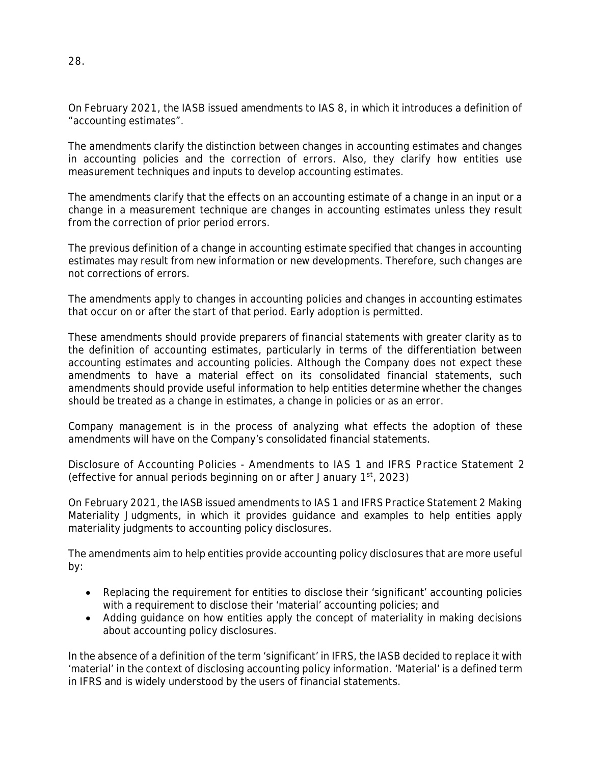On February 2021, the IASB issued amendments to IAS 8, in which it introduces a definition of "accounting estimates".

The amendments clarify the distinction between changes in accounting estimates and changes in accounting policies and the correction of errors. Also, they clarify how entities use measurement techniques and inputs to develop accounting estimates.

The amendments clarify that the effects on an accounting estimate of a change in an input or a change in a measurement technique are changes in accounting estimates unless they result from the correction of prior period errors.

The previous definition of a change in accounting estimate specified that changes in accounting estimates may result from new information or new developments. Therefore, such changes are not corrections of errors.

The amendments apply to changes in accounting policies and changes in accounting estimates that occur on or after the start of that period. Early adoption is permitted.

These amendments should provide preparers of financial statements with greater clarity as to the definition of accounting estimates, particularly in terms of the differentiation between accounting estimates and accounting policies. Although the Company does not expect these amendments to have a material effect on its consolidated financial statements, such amendments should provide useful information to help entities determine whether the changes should be treated as a change in estimates, a change in policies or as an error.

Company management is in the process of analyzing what effects the adoption of these amendments will have on the Company's consolidated financial statements.

**Disclosure of Accounting Policies - Amendments to IAS 1 and IFRS Practice Statement 2 (effective for annual periods beginning on or after January 1st, 2023)**

On February 2021, the IASB issued amendments to IAS 1 and IFRS Practice Statement 2 *Making Materiality Judgments*, in which it provides guidance and examples to help entities apply materiality judgments to accounting policy disclosures.

The amendments aim to help entities provide accounting policy disclosures that are more useful by:

- Replacing the requirement for entities to disclose their 'significant' accounting policies with a requirement to disclose their 'material' accounting policies; and
- Adding guidance on how entities apply the concept of materiality in making decisions about accounting policy disclosures.

In the absence of a definition of the term 'significant' in IFRS, the IASB decided to replace it with 'material' in the context of disclosing accounting policy information. 'Material' is a defined term in IFRS and is widely understood by the users of financial statements.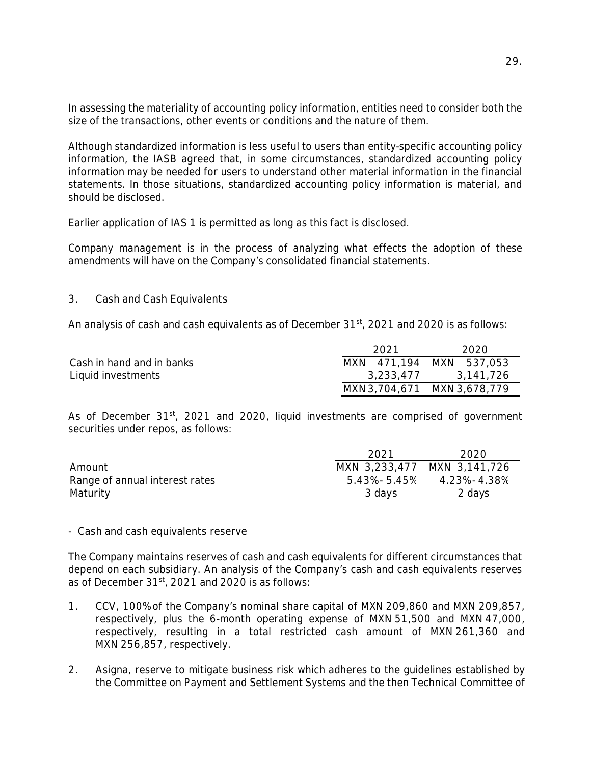In assessing the materiality of accounting policy information, entities need to consider both the size of the transactions, other events or conditions and the nature of them.

Although standardized information is less useful to users than entity-specific accounting policy information, the IASB agreed that, in some circumstances, standardized accounting policy information may be needed for users to understand other material information in the financial statements. In those situations, standardized accounting policy information is material, and should be disclosed.

Earlier application of IAS 1 is permitted as long as this fact is disclosed.

Company management is in the process of analyzing what effects the adoption of these amendments will have on the Company's consolidated financial statements.

**3. Cash and Cash Equivalents**

An analysis of cash and cash equivalents as of December  $31<sup>st</sup>$ , 2021 and 2020 is as follows:

|                           | -2021     | -2020                       |
|---------------------------|-----------|-----------------------------|
| Cash in hand and in banks |           | MXN 471,194 MXN 537,053     |
| Liquid investments        | 3,233,477 | 3,141,726                   |
|                           |           | MXN 3,704,671 MXN 3,678,779 |

As of December  $31^{st}$ , 2021 and 2020, liquid investments are comprised of government securities under repos, as follows:

|                                | 2021                        | 2020          |
|--------------------------------|-----------------------------|---------------|
| Amount                         | MXN 3,233,477 MXN 3,141,726 |               |
| Range of annual interest rates | 5.43% - 5.45%               | 4.23% - 4.38% |
| Maturity                       | 3 days                      | 2 days        |

#### *- Cash and cash equivalents reserve*

The Company maintains reserves of cash and cash equivalents for different circumstances that depend on each subsidiary. An analysis of the Company's cash and cash equivalents reserves as of December  $31<sup>st</sup>$ , 2021 and 2020 is as follows:

- 1. CCV, 100% of the Company's nominal share capital of MXN 209,860 and MXN 209,857, respectively, plus the 6-month operating expense of MXN 51,500 and MXN 47,000, respectively, resulting in a total restricted cash amount of MXN 261,360 and MXN 256,857, respectively.
- 2. Asigna, reserve to mitigate business risk which adheres to the guidelines established by the Committee on Payment and Settlement Systems and the then Technical Committee of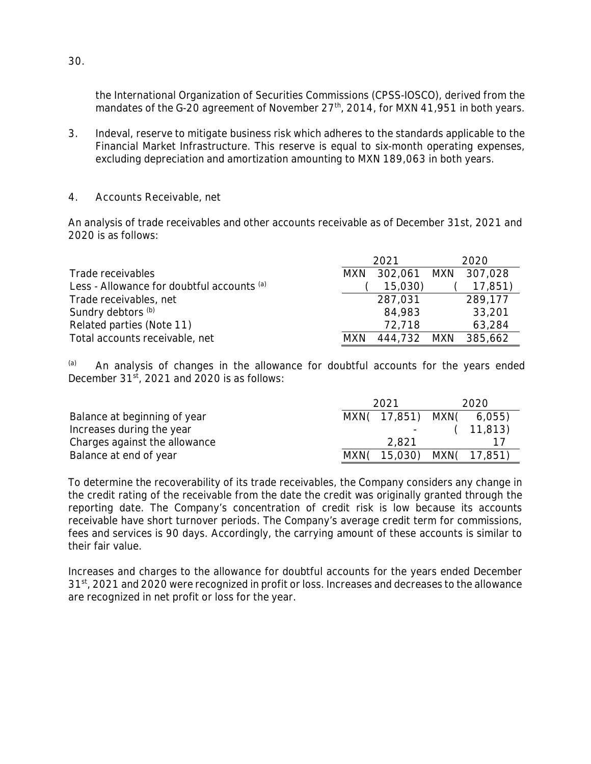the International Organization of Securities Commissions (CPSS-IOSCO), derived from the mandates of the G-20 agreement of November 27<sup>th</sup>, 2014, for MXN 41,951 in both years.

3. Indeval, reserve to mitigate business risk which adheres to the standards applicable to the Financial Market Infrastructure. This reserve is equal to six-month operating expenses, excluding depreciation and amortization amounting to MXN 189,063 in both years.

#### **4. Accounts Receivable, net**

An analysis of trade receivables and other accounts receivable as of December 31st, 2021 and 2020 is as follows:

|                                            |      | 2021    |            | 2020    |
|--------------------------------------------|------|---------|------------|---------|
| Trade receivables                          | MXN. | 302,061 | <b>MXN</b> | 307,028 |
| Less - Allowance for doubtful accounts (a) |      | 15,030) |            | 17,851  |
| Trade receivables, net                     |      | 287,031 |            | 289,177 |
| Sundry debtors (b)                         |      | 84,983  |            | 33,201  |
| Related parties (Note 11)                  |      | 72.718  |            | 63,284  |
| Total accounts receivable, net             | MXN  | 444,732 | <b>MXN</b> | 385,662 |

 $(a)$  An analysis of changes in the allowance for doubtful accounts for the years ended December  $31^{st}$ , 2021 and 2020 is as follows:

|                               |      | 2021              |      | 2020    |
|-------------------------------|------|-------------------|------|---------|
| Balance at beginning of year  |      | MXN( 17,851) MXN( |      | 6,055   |
| Increases during the year     |      |                   |      | 11,813) |
| Charges against the allowance |      | 2,821             |      |         |
| Balance at end of year        | MXN( | 15,030)           | MXN( | 17,851) |

To determine the recoverability of its trade receivables, the Company considers any change in the credit rating of the receivable from the date the credit was originally granted through the reporting date. The Company's concentration of credit risk is low because its accounts receivable have short turnover periods. The Company's average credit term for commissions, fees and services is 90 days. Accordingly, the carrying amount of these accounts is similar to their fair value.

Increases and charges to the allowance for doubtful accounts for the years ended December 31<sup>st</sup>, 2021 and 2020 were recognized in profit or loss. Increases and decreases to the allowance are recognized in net profit or loss for the year.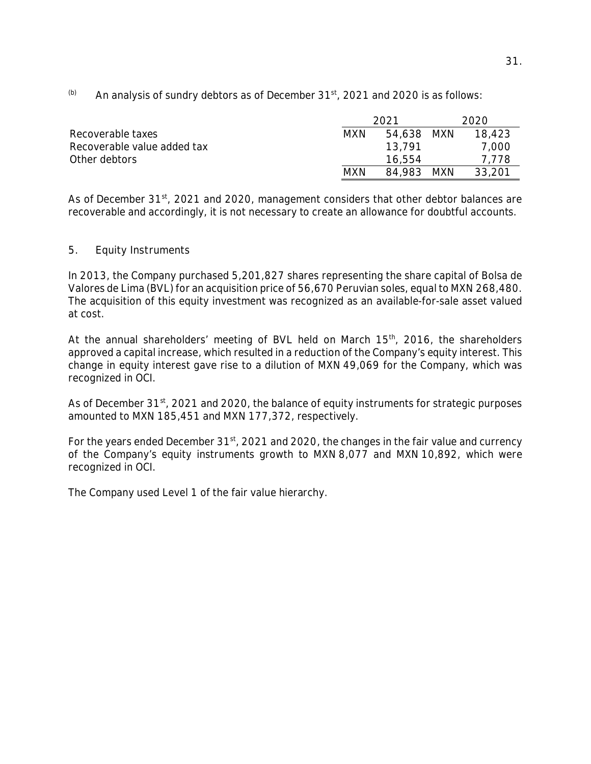$(b)$  An analysis of sundry debtors as of December 31st, 2021 and 2020 is as follows:

|                             |     | 2021   |     | 2020   |
|-----------------------------|-----|--------|-----|--------|
| Recoverable taxes           | MXN | 54.638 | MXN | 18,423 |
| Recoverable value added tax |     | 13.791 |     | 7,000  |
| Other debtors               |     | 16.554 |     | 7.778  |
|                             | MXN | 84.983 | MXN | 33.201 |

As of December  $31<sup>st</sup>$ , 2021 and 2020, management considers that other debtor balances are recoverable and accordingly, it is not necessary to create an allowance for doubtful accounts.

### **5. Equity Instruments**

In 2013, the Company purchased 5,201,827 shares representing the share capital of Bolsa de Valores de Lima (BVL) for an acquisition price of 56,670 Peruvian soles, equal to MXN 268,480. The acquisition of this equity investment was recognized as an available-for-sale asset valued at cost.

At the annual shareholders' meeting of BVL held on March  $15<sup>th</sup>$ , 2016, the shareholders approved a capital increase, which resulted in a reduction of the Company's equity interest. This change in equity interest gave rise to a dilution of MXN 49,069 for the Company, which was recognized in OCI.

As of December  $31<sup>st</sup>$ , 2021 and 2020, the balance of equity instruments for strategic purposes amounted to MXN 185,451 and MXN 177,372, respectively.

For the years ended December  $31<sup>st</sup>$ , 2021 and 2020, the changes in the fair value and currency of the Company's equity instruments growth to MXN 8,077 and MXN 10,892, which were recognized in OCI.

The Company used Level 1 of the fair value hierarchy.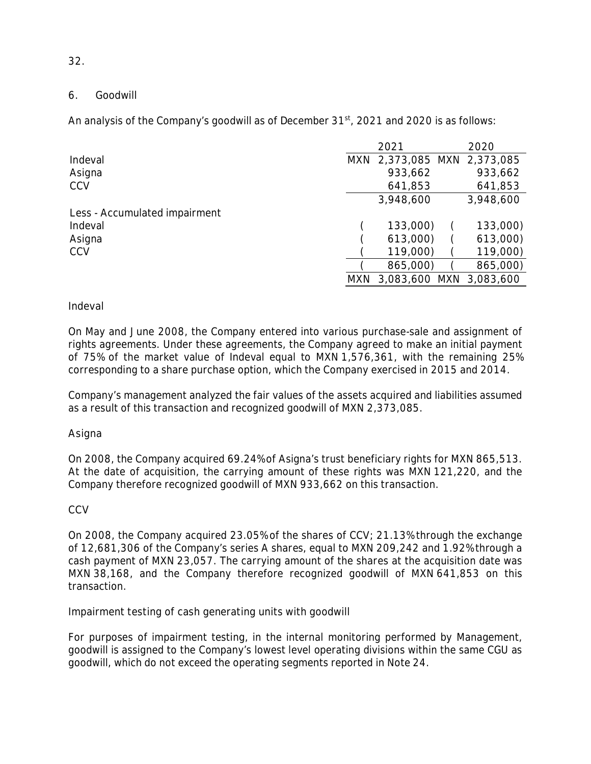32.

### **6. Goodwill**

An analysis of the Company's goodwill as of December  $31<sup>st</sup>$ , 2021 and 2020 is as follows:

|                               |     | 2021              |     | 2020      |
|-------------------------------|-----|-------------------|-----|-----------|
| Indeval                       |     | MXN 2,373,085 MXN |     | 2,373,085 |
| Asigna                        |     | 933,662           |     | 933,662   |
| CCV                           |     | 641,853           |     | 641,853   |
|                               |     | 3,948,600         |     | 3,948,600 |
| Less - Accumulated impairment |     |                   |     |           |
| Indeval                       |     | 133,000)          |     | 133,000)  |
| Asigna                        |     | 613,000)          |     | 613,000)  |
| <b>CCV</b>                    |     | 119,000)          |     | 119,000)  |
|                               |     | 865,000)          |     | 865,000)  |
|                               | MXN | 3,083,600         | MXN | 3,083,600 |

#### **Indeval**

On May and June 2008, the Company entered into various purchase-sale and assignment of rights agreements. Under these agreements, the Company agreed to make an initial payment of 75% of the market value of Indeval equal to MXN 1,576,361, with the remaining 25% corresponding to a share purchase option, which the Company exercised in 2015 and 2014.

Company's management analyzed the fair values of the assets acquired and liabilities assumed as a result of this transaction and recognized goodwill of MXN 2,373,085.

### **Asigna**

On 2008, the Company acquired 69.24% of Asigna's trust beneficiary rights for MXN 865,513. At the date of acquisition, the carrying amount of these rights was MXN 121,220, and the Company therefore recognized goodwill of MXN 933,662 on this transaction.

### **CCV**

On 2008, the Company acquired 23.05% of the shares of CCV; 21.13% through the exchange of 12,681,306 of the Company's series A shares, equal to MXN 209,242 and 1.92% through a cash payment of MXN 23,057. The carrying amount of the shares at the acquisition date was MXN 38,168, and the Company therefore recognized goodwill of MXN 641,853 on this transaction.

### *Impairment testing of cash generating units with goodwill*

For purposes of impairment testing, in the internal monitoring performed by Management, goodwill is assigned to the Company's lowest level operating divisions within the same CGU as goodwill, which do not exceed the operating segments reported in Note 24.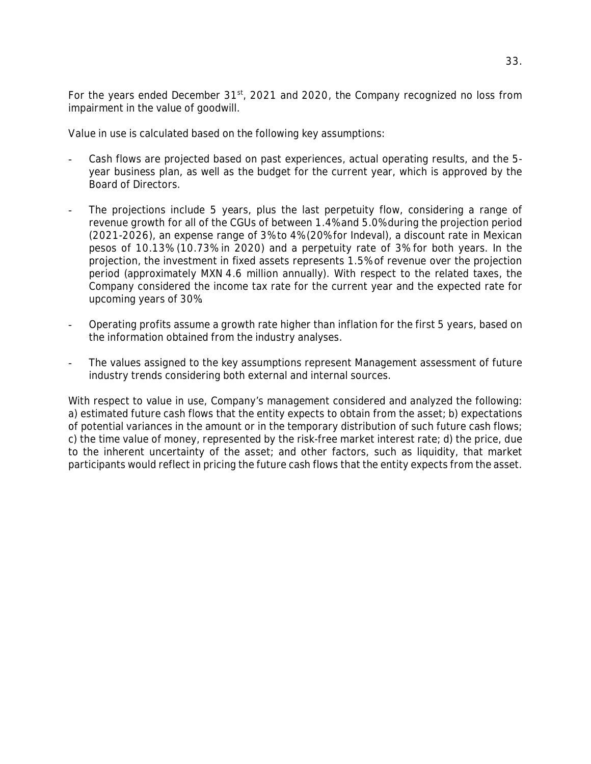For the years ended December  $31^{st}$ , 2021 and 2020, the Company recognized no loss from impairment in the value of goodwill.

Value in use is calculated based on the following key assumptions:

- Cash flows are projected based on past experiences, actual operating results, and the 5year business plan, as well as the budget for the current year, which is approved by the Board of Directors.
- The projections include 5 years, plus the last perpetuity flow, considering a range of revenue growth for all of the CGUs of between 1.4% and 5.0% during the projection period (2021-2026), an expense range of 3% to 4% (20% for Indeval), a discount rate in Mexican pesos of 10.13% (10.73% in 2020) and a perpetuity rate of 3% for both years. In the projection, the investment in fixed assets represents 1.5% of revenue over the projection period (approximately MXN 4.6 million annually). With respect to the related taxes, the Company considered the income tax rate for the current year and the expected rate for upcoming years of 30%.
- Operating profits assume a growth rate higher than inflation for the first 5 years, based on the information obtained from the industry analyses.
- The values assigned to the key assumptions represent Management assessment of future industry trends considering both external and internal sources.

With respect to value in use, Company's management considered and analyzed the following: a) estimated future cash flows that the entity expects to obtain from the asset; b) expectations of potential variances in the amount or in the temporary distribution of such future cash flows; c) the time value of money, represented by the risk-free market interest rate; d) the price, due to the inherent uncertainty of the asset; and other factors, such as liquidity, that market participants would reflect in pricing the future cash flows that the entity expects from the asset.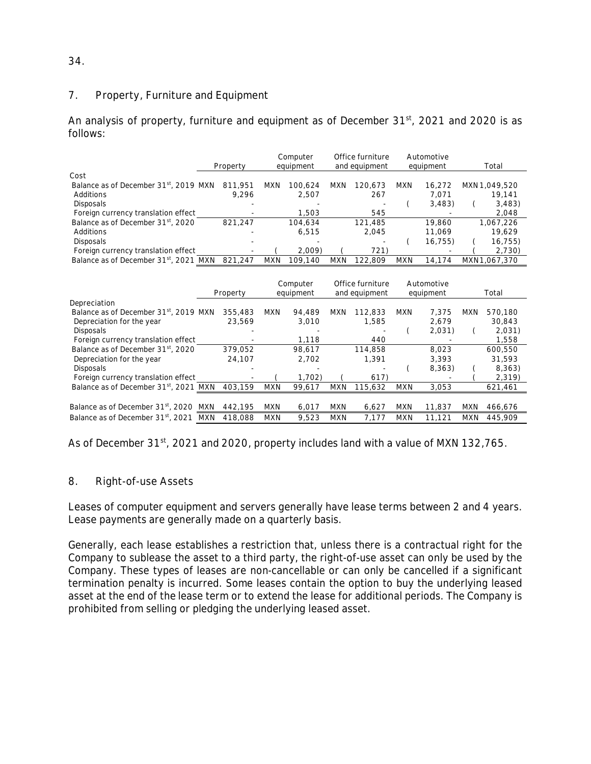# **7. Property, Furniture and Equipment**

An analysis of property, furniture and equipment as of December  $31<sup>st</sup>$ , 2021 and 2020 is as follows:

|                                                    | Property |            | Computer<br>equipment |            | Office furniture<br>and equipment |            | Automotive<br>equipment | Total         |
|----------------------------------------------------|----------|------------|-----------------------|------------|-----------------------------------|------------|-------------------------|---------------|
| Cost                                               |          |            |                       |            |                                   |            |                         |               |
| Balance as of December 31 <sup>st</sup> , 2019 MXN | 811,951  | <b>MXN</b> | 100.624               | MXN        | 120.673                           | <b>MXN</b> | 16.272                  | MXN 1.049.520 |
| Additions                                          | 9.296    |            | 2.507                 |            | 267                               |            | 7.071                   | 19.141        |
| <b>Disposals</b>                                   |          |            |                       |            |                                   |            | 3,483                   | 3,483         |
| Foreign currency translation effect                |          |            | 1,503                 |            | 545                               |            |                         | 2,048         |
| Balance as of December 31 <sup>st</sup> , 2020     | 821.247  |            | 104.634               |            | 121.485                           |            | 19.860                  | 1,067,226     |
| Additions                                          |          |            | 6.515                 |            | 2.045                             |            | 11.069                  | 19.629        |
| <b>Disposals</b>                                   |          |            |                       |            |                                   |            | 16,755                  | 16,755)       |
| Foreign currency translation effect                |          |            | 2.009                 |            | 721)                              |            |                         | 2,730)        |
| Balance as of December 31 <sup>st</sup> , 2021 MXN | 821.247  | <b>MXN</b> | 109.140               | <b>MXN</b> | 122.809                           | <b>MXN</b> | 14.174                  | MXN1.067.370  |

|                                                    |     | Property |            | Computer<br>equipment |            | Office furniture<br>and equipment |            | Automotive<br>equipment |            | Total   |
|----------------------------------------------------|-----|----------|------------|-----------------------|------------|-----------------------------------|------------|-------------------------|------------|---------|
| Depreciation                                       |     |          |            |                       |            |                                   |            |                         |            |         |
| Balance as of December 31 <sup>st</sup> , 2019 MXN |     | 355,483  | <b>MXN</b> | 94.489                | <b>MXN</b> | 112.833                           | <b>MXN</b> | 7.375                   | MXN        | 570.180 |
| Depreciation for the year                          |     | 23.569   |            | 3.010                 |            | 1.585                             |            | 2.679                   |            | 30.843  |
| Disposals                                          |     |          |            |                       |            |                                   |            | 2,031)                  |            | 2,031)  |
| Foreign currency translation effect                |     |          |            | 1.118                 |            | 440                               |            |                         |            | 1,558   |
| Balance as of December 31st, 2020                  |     | 379.052  |            | 98.617                |            | 114.858                           |            | 8.023                   |            | 600.550 |
| Depreciation for the year                          |     | 24.107   |            | 2,702                 |            | 1,391                             |            | 3.393                   |            | 31.593  |
| Disposals                                          |     |          |            |                       |            |                                   |            | 8,363)                  |            | 8,363)  |
| Foreign currency translation effect                |     |          |            | 1,702                 |            | 617)                              |            |                         |            | 2,319)  |
| Balance as of December 31 <sup>st</sup> , 2021 MXN |     | 403.159  | <b>MXN</b> | 99,617                | <b>MXN</b> | 115,632                           | <b>MXN</b> | 3,053                   |            | 621,461 |
|                                                    |     |          |            |                       |            |                                   |            |                         |            |         |
| Balance as of December 31 <sup>st</sup> , 2020     | MXN | 442.195  | <b>MXN</b> | 6.017                 | <b>MXN</b> | 6.627                             | <b>MXN</b> | 11,837                  | <b>MXN</b> | 466,676 |
| Balance as of December 31 <sup>st</sup> , 2021     | MXN | 418,088  | <b>MXN</b> | 9.523                 | <b>MXN</b> | 7.177                             | <b>MXN</b> | 11.121                  | <b>MXN</b> | 445.909 |

As of December 31<sup>st</sup>, 2021 and 2020, property includes land with a value of MXN 132,765.

### **8. Right-of-use Assets**

Leases of computer equipment and servers generally have lease terms between 2 and 4 years. Lease payments are generally made on a quarterly basis.

Generally, each lease establishes a restriction that, unless there is a contractual right for the Company to sublease the asset to a third party, the right-of-use asset can only be used by the Company. These types of leases are non-cancellable or can only be cancelled if a significant termination penalty is incurred. Some leases contain the option to buy the underlying leased asset at the end of the lease term or to extend the lease for additional periods. The Company is prohibited from selling or pledging the underlying leased asset.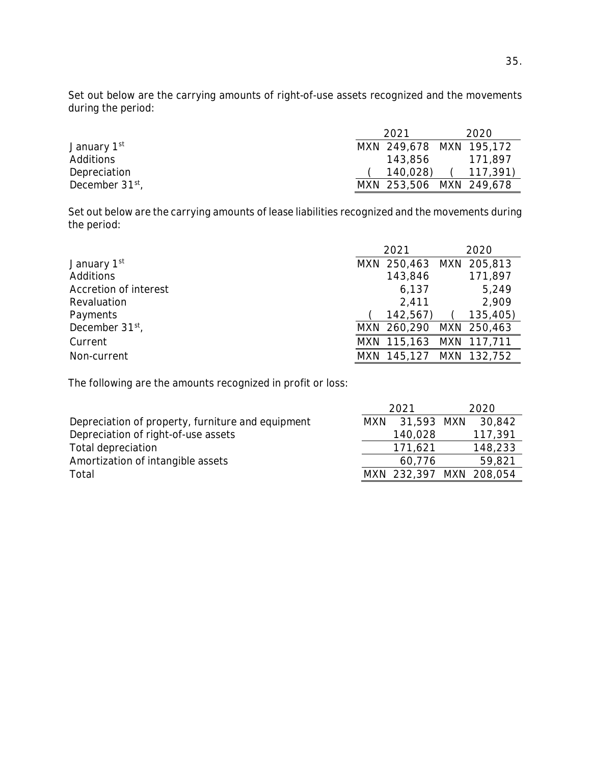Set out below are the carrying amounts of right-of-use assets recognized and the movements during the period:

|                             | 2021                    | 2020     |
|-----------------------------|-------------------------|----------|
| January 1st                 | MXN 249,678 MXN 195,172 |          |
| Additions                   | 143.856                 | 171.897  |
| Depreciation                | 140,028)                | 117,391) |
| December 31 <sup>st</sup> , | MXN 253,506 MXN 249,678 |          |

Set out below are the carrying amounts of lease liabilities recognized and the movements during the period:

|                             | 2021            |            | 2020     |
|-----------------------------|-----------------|------------|----------|
| January 1st                 | MXN 250,463 MXN |            | 205,813  |
| Additions                   | 143,846         |            | 171,897  |
| Accretion of interest       | 6,137           |            | 5,249    |
| Revaluation                 | 2,411           |            | 2,909    |
| Payments                    | 142,567)        |            | 135,405) |
| December 31 <sup>st</sup> , | MXN 260,290     | MXN        | 250,463  |
| Current                     | MXN 115,163     | <b>MXN</b> | 117,711  |
| Non-current                 | MXN 145,127     | MXN        | 132,752  |

The following are the amounts recognized in profit or loss:

|                                                   |     | 2021                    | 2020    |
|---------------------------------------------------|-----|-------------------------|---------|
| Depreciation of property, furniture and equipment | MXN | 31,593 MXN              | 30,842  |
| Depreciation of right-of-use assets               |     | 140,028                 | 117,391 |
| Total depreciation                                |     | 171.621                 | 148,233 |
| Amortization of intangible assets                 |     | 60,776                  | 59,821  |
| Total                                             |     | MXN 232,397 MXN 208,054 |         |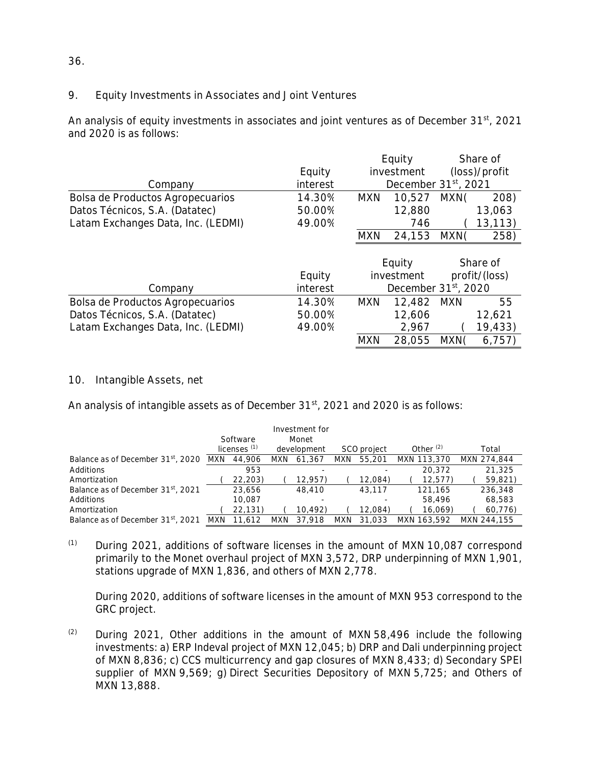# **9. Equity Investments in Associates and Joint Ventures**

An analysis of equity investments in associates and joint ventures as of December 31<sup>st</sup>, 2021 and 2020 is as follows:

|                                    |          |            | Equity                           |            | Share of      |
|------------------------------------|----------|------------|----------------------------------|------------|---------------|
|                                    | Equity   |            | investment                       |            | (loss)/profit |
| Company                            | interest |            | December 31 <sup>st</sup> , 2021 |            |               |
| Bolsa de Productos Agropecuarios   | 14.30%   | MXN        | 10,527                           | MXN(       | 208)          |
| Datos Técnicos, S.A. (Datatec)     | 50.00%   |            | 12,880                           |            | 13,063        |
| Latam Exchanges Data, Inc. (LEDMI) | 49.00%   |            | 746                              |            | 13,113)       |
|                                    |          | <b>MXN</b> | 24,153                           | MXN(       | 258)          |
|                                    |          |            |                                  |            |               |
|                                    |          |            |                                  |            |               |
|                                    |          |            | Equity                           |            | Share of      |
|                                    | Equity   |            | investment                       |            | profit/(loss) |
| Company                            | interest |            | December 31 <sup>st</sup> , 2020 |            |               |
| Bolsa de Productos Agropecuarios   | 14.30%   | <b>MXN</b> | 12,482                           | <b>MXN</b> | 55            |
| Datos Técnicos, S.A. (Datatec)     | 50.00%   |            | 12,606                           |            | 12,621        |
| Latam Exchanges Data, Inc. (LEDMI) | 49.00%   |            | 2,967                            |            | 19,433)       |

# **10. Intangible Assets, net**

An analysis of intangible assets as of December 31<sup>st</sup>, 2021 and 2020 is as follows:

|                                                |            | Software       |            | Investment for<br>Monet |            |             |             |             |
|------------------------------------------------|------------|----------------|------------|-------------------------|------------|-------------|-------------|-------------|
|                                                |            | licenses $(1)$ |            | development             |            | SCO project | Other $(2)$ | Total       |
| Balance as of December 31 <sup>st</sup> , 2020 | <b>MXN</b> | 44,906         | <b>MXN</b> | 61,367                  | <b>MXN</b> | 55,201      | MXN 113,370 | MXN 274.844 |
| Additions                                      |            | 953            |            |                         |            |             | 20.372      | 21,325      |
| Amortization                                   |            | 22,203)        |            | 12.957)                 |            | 12,084)     | 12,577      | 59,821)     |
| Balance as of December 31 <sup>st</sup> , 2021 |            | 23.656         |            | 48,410                  |            | 43.117      | 121.165     | 236,348     |
| Additions                                      |            | 10.087         |            |                         |            |             | 58,496      | 68,583      |
| Amortization                                   |            | 22,131)        |            | 10.492                  |            | 12.084)     | 16.069)     | 60,776)     |
| Balance as of December 31 <sup>st</sup> , 2021 | <b>MXN</b> | .612<br>11     | MXN        | 37.918                  | <b>MXN</b> | 31.033      | MXN 163.592 | MXN 244.155 |

(1) During 2021, additions of software licenses in the amount of MXN 10,087 correspond primarily to the Monet overhaul project of MXN 3,572, DRP underpinning of MXN 1,901, stations upgrade of MXN 1,836, and others of MXN 2,778.

During 2020, additions of software licenses in the amount of MXN 953 correspond to the GRC project.

(2) During 2021, Other additions in the amount of MXN 58,496 include the following investments: a) ERP Indeval project of MXN 12,045; b) DRP and Dali underpinning project of MXN 8,836; c) CCS multicurrency and gap closures of MXN 8,433; d) Secondary SPEI supplier of MXN 9,569; g) Direct Securities Depository of MXN 5,725; and Others of MXN 13,888.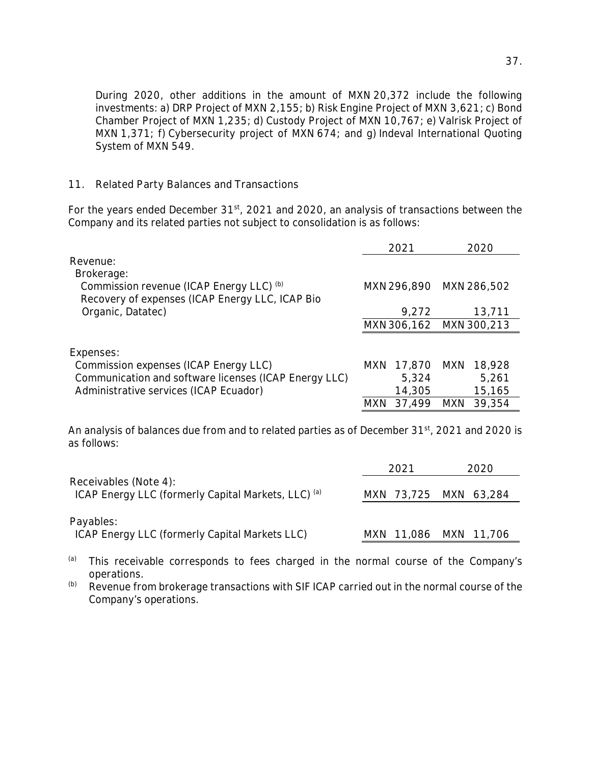During 2020, other additions in the amount of MXN 20,372 include the following investments: a) DRP Project of MXN 2,155; b) Risk Engine Project of MXN 3,621; c) Bond Chamber Project of MXN 1,235; d) Custody Project of MXN 10,767; e) Valrisk Project of MXN 1,371; f) Cybersecurity project of MXN 674; and g) Indeval International Quoting System of MXN 549.

### **11. Related Party Balances and Transactions**

For the years ended December 31<sup>st</sup>, 2021 and 2020, an analysis of transactions between the Company and its related parties not subject to consolidation is as follows:

|                                                       | 2021          | 2020          |
|-------------------------------------------------------|---------------|---------------|
| Revenue:                                              |               |               |
| Brokerage:                                            |               |               |
| Commission revenue (ICAP Energy LLC) (b)              | MXN 296,890   | MXN 286,502   |
| Recovery of expenses (ICAP Energy LLC, ICAP Bio       |               |               |
| Organic, Datatec)                                     | 9,272         | 13,711        |
|                                                       | MXN 306,162   | MXN 300,213   |
|                                                       |               |               |
| Expenses:                                             |               |               |
| Commission expenses (ICAP Energy LLC)                 | 17,870<br>MXN | 18,928<br>MXN |
| Communication and software licenses (ICAP Energy LLC) | 5,324         | 5,261         |
| Administrative services (ICAP Ecuador)                | 14,305        | 15,165        |
|                                                       | 37,499<br>MXN | 39,354<br>MXN |

An analysis of balances due from and to related parties as of December 31<sup>st</sup>, 2021 and 2020 is as follows:

|                                                                              | 2021                  | 2020 |  |
|------------------------------------------------------------------------------|-----------------------|------|--|
| Receivables (Note 4):<br>ICAP Energy LLC (formerly Capital Markets, LLC) (a) | MXN 73,725 MXN 63,284 |      |  |
| Payables:<br>ICAP Energy LLC (formerly Capital Markets LLC)                  | MXN 11,086 MXN 11,706 |      |  |

(a) This receivable corresponds to fees charged in the normal course of the Company's operations.

**(b)** Revenue from brokerage transactions with SIF ICAP carried out in the normal course of the Company's operations.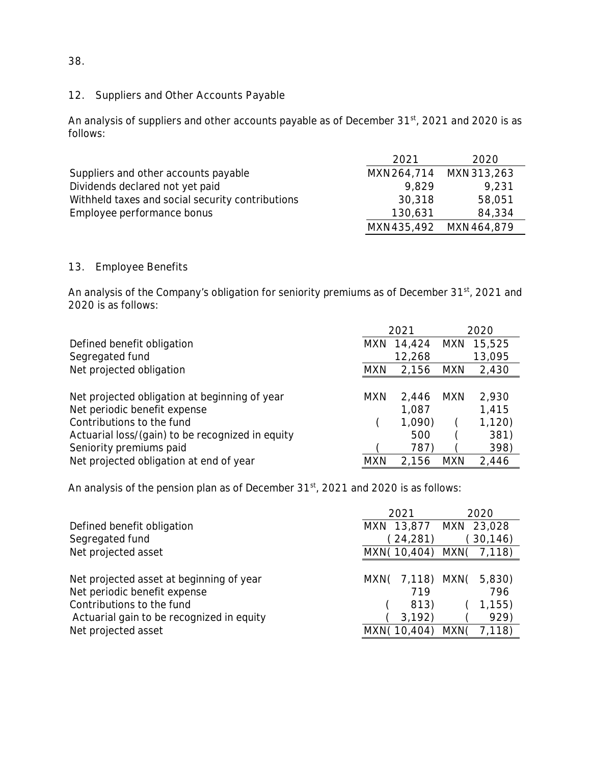# **12. Suppliers and Other Accounts Payable**

An analysis of suppliers and other accounts payable as of December 31<sup>st</sup>, 2021 and 2020 is as follows:

|                                                  | 2021         | 2020        |
|--------------------------------------------------|--------------|-------------|
| Suppliers and other accounts payable             | MXN 264, 714 | MXN 313,263 |
| Dividends declared not yet paid                  | 9.829        | 9.231       |
| Withheld taxes and social security contributions | 30,318       | 58,051      |
| Employee performance bonus                       | 130,631      | 84,334      |
|                                                  | MXN 435,492  | MXN 464,879 |

# **13. Employee Benefits**

An analysis of the Company's obligation for seniority premiums as of December 31<sup>st</sup>, 2021 and 2020 is as follows:

|                                                  |            | 2021   |            | 2020   |
|--------------------------------------------------|------------|--------|------------|--------|
| Defined benefit obligation                       | MXN.       | 14,424 | MXN        | 15,525 |
| Segregated fund                                  |            | 12,268 |            | 13,095 |
| Net projected obligation                         | <b>MXN</b> | 2,156  | <b>MXN</b> | 2,430  |
|                                                  |            |        |            |        |
| Net projected obligation at beginning of year    | MXN        | 2,446  | <b>MXN</b> | 2,930  |
| Net periodic benefit expense                     |            | 1,087  |            | 1,415  |
| Contributions to the fund                        |            | 1,090) |            | 1,120  |
| Actuarial loss/(gain) to be recognized in equity |            | 500    |            | 381)   |
| Seniority premiums paid                          |            | 787)   |            | 398)   |
| Net projected obligation at end of year          | <b>MXN</b> | 2,156  | <b>MXN</b> | 2,446  |

An analysis of the pension plan as of December 31<sup>st</sup>, 2021 and 2020 is as follows:

|                                           | 2021           | 2020           |
|-------------------------------------------|----------------|----------------|
| Defined benefit obligation                | 13,877<br>MXN. | 23,028<br>MXN  |
| Segregated fund                           | 24,281)        | 30,146         |
| Net projected asset                       | MXN(10,404)    | 7,118<br>MXN(  |
|                                           |                |                |
| Net projected asset at beginning of year  | 7,118)<br>MXN( | 5,830)<br>MXN( |
| Net periodic benefit expense              | 719            | 796            |
| Contributions to the fund                 | 813)           | ,155)          |
| Actuarial gain to be recognized in equity | 3,192          | 929)           |
| Net projected asset                       | MXN(10,404)    | 7,118)<br>MXN( |
|                                           |                |                |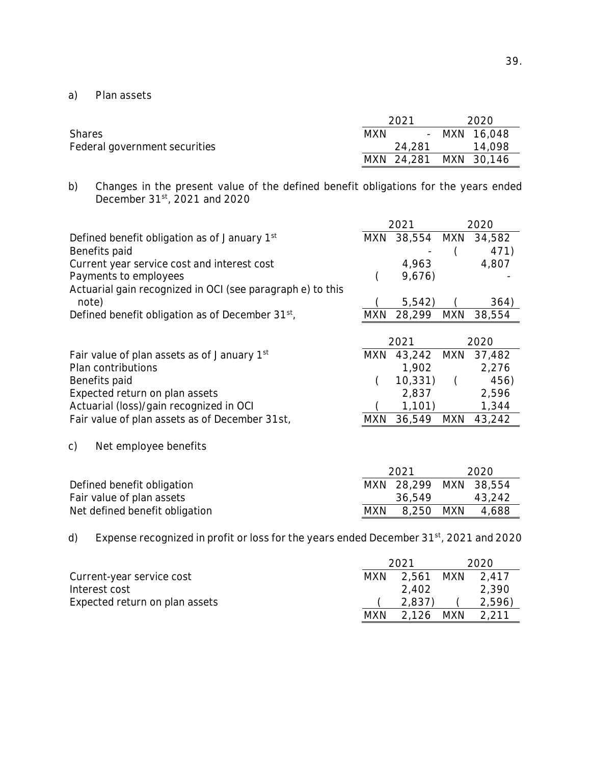#### **a) Plan assets**

|                               | 2021                  |  | 2020         |
|-------------------------------|-----------------------|--|--------------|
| <b>Shares</b>                 | <b>MXN</b>            |  | - MXN 16,048 |
| Federal government securities | 24,281                |  | 14,098       |
|                               | MXN 24,281 MXN 30,146 |  |              |

**b) Changes in the present value of the defined benefit obligations for the years ended December 31st, 2021 and 2020**

|                                                              |            | 2021    | 2020       |        |
|--------------------------------------------------------------|------------|---------|------------|--------|
| Defined benefit obligation as of January 1st                 | <b>MXN</b> | 38,554  | MXN        | 34,582 |
| Benefits paid                                                |            |         |            | 471)   |
| Current year service cost and interest cost                  |            | 4,963   |            | 4,807  |
| Payments to employees                                        |            | 9,676)  |            |        |
| Actuarial gain recognized in OCI (see paragraph e) to this   |            |         |            |        |
| note)                                                        |            | 5,542)  |            | 364)   |
| Defined benefit obligation as of December 31 <sup>st</sup> , | <b>MXN</b> | 28,299  | <b>MXN</b> | 38,554 |
|                                                              |            |         |            |        |
|                                                              |            | 2021    |            | 2020   |
| Fair value of plan assets as of January 1st                  | <b>MXN</b> | 43,242  | <b>MXN</b> | 37,482 |
| Plan contributions                                           |            | 1,902   |            | 2,276  |
| Benefits paid                                                |            | 10,331) |            | 456)   |
| Expected return on plan assets                               |            | 2,837   |            | 2,596  |
| Actuarial (loss)/gain recognized in OCI                      |            | 1,101)  |            | 1,344  |
| Fair value of plan assets as of December 31st,               | <b>MXN</b> | 36,549  | MXN        | 43,242 |
|                                                              |            |         |            |        |
| Net employee benefits<br>C)                                  |            |         |            |        |
|                                                              |            |         |            |        |
|                                                              |            | 2021    |            | 2020   |
| Defined benefit obligation                                   | <b>MXN</b> | 28,299  | <b>MXN</b> | 38,554 |
| Fair value of plan assets                                    |            | 36,549  |            | 43,242 |
| Net defined benefit obligation                               | MXN        | 8,250   | <b>MXN</b> | 4,688  |
|                                                              |            |         |            |        |

**d) Expense recognized in profit or loss for the years ended December 31st, 2021 and 2020**

|                                |            | 2021   |     | 2020   |
|--------------------------------|------------|--------|-----|--------|
| Current-year service cost      | <b>MXN</b> | 2,561  | MXN | 2.417  |
| Interest cost                  |            | 2.402  |     | 2,390  |
| Expected return on plan assets |            | 2,837) |     | 2,596) |
|                                | <b>MXN</b> | 2,126  | MXN | 2.211  |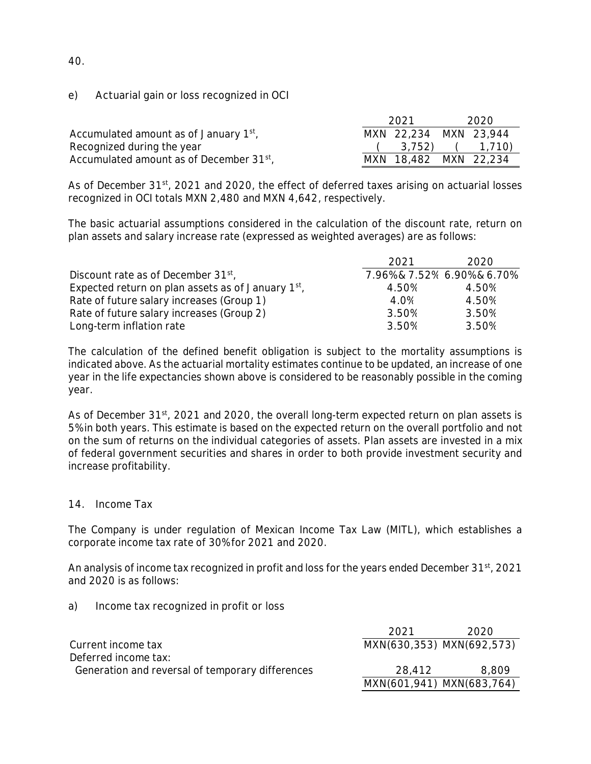# **e) Actuarial gain or loss recognized in OCI**

|                                                      | 2021                  | 2020 |        |
|------------------------------------------------------|-----------------------|------|--------|
| Accumulated amount as of January 1st,                | MXN 22,234 MXN 23,944 |      |        |
| Recognized during the year                           | 3,752)                |      | 1,710) |
| Accumulated amount as of December 31 <sup>st</sup> , | MXN 18,482 MXN 22,234 |      |        |

As of December 31<sup>st</sup>, 2021 and 2020, the effect of deferred taxes arising on actuarial losses recognized in OCI totals MXN 2,480 and MXN 4,642, respectively.

The basic actuarial assumptions considered in the calculation of the discount rate, return on plan assets and salary increase rate (expressed as weighted averages) are as follows:

|                                                                | 2021  | 2020                        |
|----------------------------------------------------------------|-------|-----------------------------|
| Discount rate as of December 31 <sup>st</sup> ,                |       | 7.96% & 7.52% 6.90% & 6.70% |
| Expected return on plan assets as of January 1 <sup>st</sup> , | 4.50% | 4.50%                       |
| Rate of future salary increases (Group 1)                      | 4.0%  | 4.50%                       |
| Rate of future salary increases (Group 2)                      | 3.50% | 3.50%                       |
| Long-term inflation rate                                       | 3.50% | 3.50%                       |

The calculation of the defined benefit obligation is subject to the mortality assumptions is indicated above. As the actuarial mortality estimates continue to be updated, an increase of one year in the life expectancies shown above is considered to be reasonably possible in the coming year.

As of December  $31<sup>st</sup>$ , 2021 and 2020, the overall long-term expected return on plan assets is 5% in both years. This estimate is based on the expected return on the overall portfolio and not on the sum of returns on the individual categories of assets. Plan assets are invested in a mix of federal government securities and shares in order to both provide investment security and increase profitability.

### **14. Income Tax**

The Company is under regulation of Mexican Income Tax Law (MITL), which establishes a corporate income tax rate of 30% for 2021 and 2020.

An analysis of income tax recognized in profit and loss for the years ended December 31<sup>st</sup>, 2021 and 2020 is as follows:

**a) Income tax recognized in profit or loss**

|                                                  | 2021                      | 2020  |
|--------------------------------------------------|---------------------------|-------|
| Current income tax                               | MXN(630,353) MXN(692,573) |       |
| Deferred income tax:                             |                           |       |
| Generation and reversal of temporary differences | 28.412                    | 8.809 |
|                                                  | MXN(601,941) MXN(683,764) |       |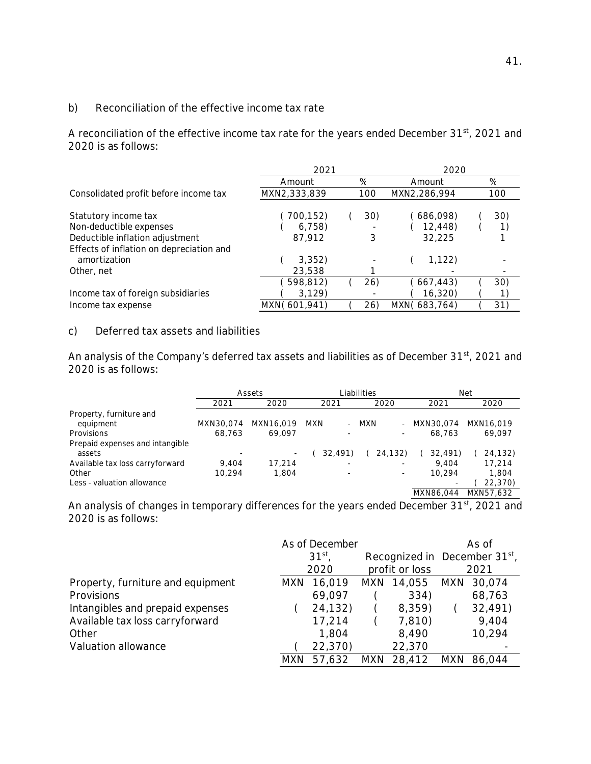# **b) Reconciliation of the effective income tax rate**

A reconciliation of the effective income tax rate for the years ended December 31<sup>st</sup>, 2021 and 2020 is as follows:

|                                                                                                                                | 2021                        |          | 2020                          |           |
|--------------------------------------------------------------------------------------------------------------------------------|-----------------------------|----------|-------------------------------|-----------|
|                                                                                                                                | Amount                      | %        | Amount                        | %         |
| Consolidated profit before income tax                                                                                          | MXN2,333,839                | 100      | MXN2,286,994                  | 100       |
| Statutory income tax<br>Non-deductible expenses<br>Deductible inflation adjustment<br>Effects of inflation on depreciation and | 700,152)<br>6,758<br>87,912 | 30)<br>3 | 686,098)<br>12,448)<br>32,225 | 30)<br>1) |
| amortization<br>Other, net                                                                                                     | 3,352)<br>23,538            |          | 1,122)                        |           |
| Income tax of foreign subsidiaries                                                                                             | 598,812)<br>3,129           | 26)      | 667,443)<br>16,320)           | 30)       |
| Income tax expense                                                                                                             | MXN(601,941)                | 26)      | MXN(683,764)                  | 31)       |

# **c) Deferred tax assets and liabilities**

An analysis of the Company's deferred tax assets and liabilities as of December 31<sup>st</sup>, 2021 and 2020 is as follows:

|                                 | Assets    |           |                                 | Liabilities                     | <b>Net</b>               |           |  |
|---------------------------------|-----------|-----------|---------------------------------|---------------------------------|--------------------------|-----------|--|
|                                 | 2021      | 2020      | 2021                            | 2020                            | 2021                     | 2020      |  |
| Property, furniture and         |           |           |                                 |                                 |                          |           |  |
| equipment                       | MXN30,074 | MXN16,019 | MXN<br>$\overline{\phantom{a}}$ | MXN<br>$\overline{\phantom{a}}$ | MXN30.074                | MXN16,019 |  |
| <b>Provisions</b>               | 68.763    | 69.097    | $\overline{\phantom{a}}$        | $\overline{\phantom{a}}$        | 68.763                   | 69.097    |  |
| Prepaid expenses and intangible |           |           |                                 |                                 |                          |           |  |
| assets                          |           |           | 32.491)                         | 24,132)                         | 32.491                   | 24,132)   |  |
| Available tax loss carryforward | 9.404     | 17.214    | $\overline{\phantom{a}}$        | $\overline{\phantom{a}}$        | 9.404                    | 17.214    |  |
| Other                           | 10.294    | 1.804     | $\overline{\phantom{a}}$        | $\overline{\phantom{a}}$        | 10.294                   | 1.804     |  |
| Less - valuation allowance      |           |           |                                 |                                 | $\overline{\phantom{a}}$ | 22,370)   |  |
|                                 |           |           |                                 |                                 | MXN86.044                | MXN57.632 |  |

An analysis of changes in temporary differences for the years ended December 31<sup>st</sup>, 2021 and 2020 is as follows:

|                                   | As of December |                  |                |        | As of                        |         |
|-----------------------------------|----------------|------------------|----------------|--------|------------------------------|---------|
|                                   |                | 31 <sup>st</sup> |                |        | Recognized in December 31st, |         |
|                                   |                | 2020             | profit or loss |        |                              | 2021    |
| Property, furniture and equipment | MXN.           | 16,019           | MXN            | 14,055 | MXN                          | 30,074  |
| Provisions                        |                | 69,097           |                | 334)   |                              | 68,763  |
| Intangibles and prepaid expenses  |                | 24,132)          |                | 8,359) |                              | 32,491) |
| Available tax loss carryforward   |                | 17,214           |                | 7,810) |                              | 9,404   |
| Other                             |                | 1,804            |                | 8,490  |                              | 10,294  |
| Valuation allowance               |                | 22,370)          |                | 22,370 |                              |         |
|                                   | <b>MXN</b>     | 57,632           | MXN            | 28,412 | MXN.                         | 86.044  |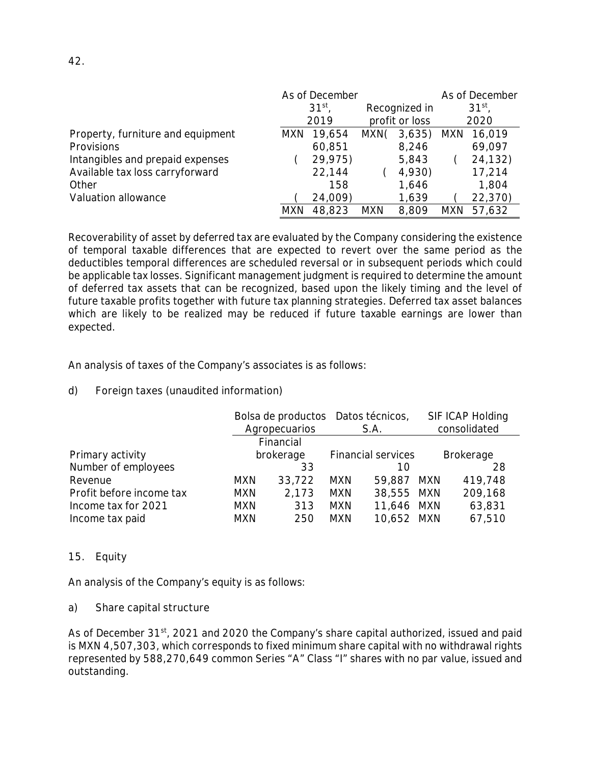|                                   | As of December |                  |                |        | As of December |                  |
|-----------------------------------|----------------|------------------|----------------|--------|----------------|------------------|
|                                   |                | 31 <sup>st</sup> | Recognized in  |        |                | 31 <sup>st</sup> |
|                                   |                | 2019             | profit or loss |        |                | 2020             |
| Property, furniture and equipment | MXN            | 19,654           | MXN(           | 3,635) | MXN            | 16,019           |
| Provisions                        |                | 60,851           |                | 8,246  |                | 69,097           |
| Intangibles and prepaid expenses  |                | 29,975)          |                | 5,843  |                | 24,132)          |
| Available tax loss carryforward   |                | 22,144           |                | 4,930) |                | 17,214           |
| Other                             |                | 158              |                | 1,646  |                | 1,804            |
| Valuation allowance               |                | 24,009)          |                | 1,639  |                | 22,370)          |
|                                   | MXN            | 48,823           | MXN            | 8,809  | MXN.           | 57,632           |

Recoverability of asset by deferred tax are evaluated by the Company considering the existence of temporal taxable differences that are expected to revert over the same period as the deductibles temporal differences are scheduled reversal or in subsequent periods which could be applicable tax losses. Significant management judgment is required to determine the amount of deferred tax assets that can be recognized, based upon the likely timing and the level of future taxable profits together with future tax planning strategies. Deferred tax asset balances which are likely to be realized may be reduced if future taxable earnings are lower than expected.

An analysis of taxes of the Company's associates is as follows:

**d) Foreign taxes (unaudited information)**

|                          |            | Bolsa de productos Datos técnicos,<br>Agropecuarios<br>S.A. |            |                           | SIF ICAP Holding<br>consolidated |                  |  |
|--------------------------|------------|-------------------------------------------------------------|------------|---------------------------|----------------------------------|------------------|--|
|                          |            | Financial                                                   |            |                           |                                  |                  |  |
| Primary activity         |            | brokerage                                                   |            | <b>Financial services</b> |                                  | <b>Brokerage</b> |  |
| Number of employees      |            | 33                                                          |            | 10                        |                                  | 28               |  |
| Revenue                  | <b>MXN</b> | 33,722                                                      | <b>MXN</b> | 59,887                    | <b>MXN</b>                       | 419,748          |  |
| Profit before income tax | MXN.       | 2,173                                                       | <b>MXN</b> | 38,555 MXN                |                                  | 209,168          |  |
| Income tax for 2021      | <b>MXN</b> | 313                                                         | <b>MXN</b> | 11,646 MXN                |                                  | 63,831           |  |
| Income tax paid          | <b>MXN</b> | 250                                                         | <b>MXN</b> | 10,652 MXN                |                                  | 67,510           |  |

# **15. Equity**

An analysis of the Company's equity is as follows:

**a) Share capital structure**

As of December 31<sup>st</sup>, 2021 and 2020 the Company's share capital authorized, issued and paid is MXN 4,507,303, which corresponds to fixed minimum share capital with no withdrawal rights represented by 588,270,649 common Series "A" Class "I" shares with no par value, issued and outstanding.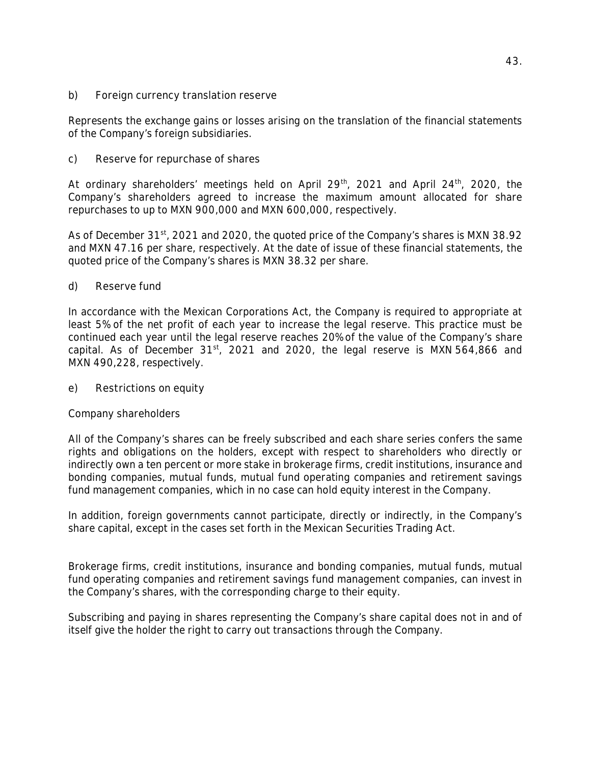**b) Foreign currency translation reserve**

Represents the exchange gains or losses arising on the translation of the financial statements of the Company's foreign subsidiaries.

**c) Reserve for repurchase of shares**

At ordinary shareholders' meetings held on April 29<sup>th</sup>, 2021 and April 24<sup>th</sup>, 2020, the Company's shareholders agreed to increase the maximum amount allocated for share repurchases to up to MXN 900,000 and MXN 600,000, respectively.

As of December 31<sup>st</sup>, 2021 and 2020, the quoted price of the Company's shares is MXN 38.92 and MXN 47.16 per share, respectively. At the date of issue of these financial statements, the quoted price of the Company's shares is MXN 38.32 per share.

**d) Reserve fund**

In accordance with the Mexican Corporations Act, the Company is required to appropriate at least 5% of the net profit of each year to increase the legal reserve. This practice must be continued each year until the legal reserve reaches 20% of the value of the Company's share capital. As of December  $31<sup>st</sup>$ , 2021 and 2020, the legal reserve is MXN 564,866 and MXN 490,228, respectively.

**e) Restrictions on equity**

### *Company shareholders*

All of the Company's shares can be freely subscribed and each share series confers the same rights and obligations on the holders, except with respect to shareholders who directly or indirectly own a ten percent or more stake in brokerage firms, credit institutions, insurance and bonding companies, mutual funds, mutual fund operating companies and retirement savings fund management companies, which in no case can hold equity interest in the Company.

In addition, foreign governments cannot participate, directly or indirectly, in the Company's share capital, except in the cases set forth in the Mexican Securities Trading Act.

Brokerage firms, credit institutions, insurance and bonding companies, mutual funds, mutual fund operating companies and retirement savings fund management companies, can invest in the Company's shares, with the corresponding charge to their equity.

Subscribing and paying in shares representing the Company's share capital does not in and of itself give the holder the right to carry out transactions through the Company.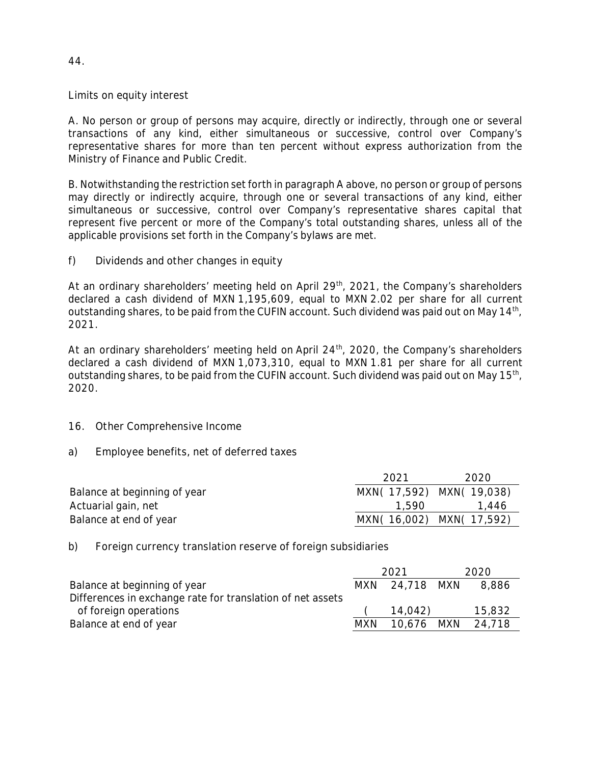### *Limits on equity interest*

A. No person or group of persons may acquire, directly or indirectly, through one or several transactions of any kind, either simultaneous or successive, control over Company's representative shares for more than ten percent without express authorization from the Ministry of Finance and Public Credit.

B. Notwithstanding the restriction set forth in paragraph A above, no person or group of persons may directly or indirectly acquire, through one or several transactions of any kind, either simultaneous or successive, control over Company's representative shares capital that represent five percent or more of the Company's total outstanding shares, unless all of the applicable provisions set forth in the Company's bylaws are met.

**f) Dividends and other changes in equity**

At an ordinary shareholders' meeting held on April 29<sup>th</sup>, 2021, the Company's shareholders declared a cash dividend of MXN 1,195,609, equal to MXN 2.02 per share for all current outstanding shares, to be paid from the CUFIN account. Such dividend was paid out on May 14<sup>th</sup>, 2021.

At an ordinary shareholders' meeting held on April 24<sup>th</sup>, 2020, the Company's shareholders declared a cash dividend of MXN 1,073,310, equal to MXN 1.81 per share for all current outstanding shares, to be paid from the CUFIN account. Such dividend was paid out on May 15<sup>th</sup>, 2020.

#### **16. Other Comprehensive Income**

**a) Employee benefits, net of deferred taxes**

|                              | 2021                    | 2020        |
|------------------------------|-------------------------|-------------|
| Balance at beginning of year | MXN(17,592) MXN(19,038) |             |
| Actuarial gain, net          | 1.590                   | 1,446       |
| Balance at end of year       | MXN(16,002)             | MXN(17,592) |

**b) Foreign currency translation reserve of foreign subsidiaries**

|                                                            |     | 2021           | 2020 |        |  |
|------------------------------------------------------------|-----|----------------|------|--------|--|
| Balance at beginning of year                               |     | MXN 24.718 MXN |      | 8.886  |  |
| Differences in exchange rate for translation of net assets |     |                |      |        |  |
| of foreign operations                                      |     | 14.042)        |      | 15,832 |  |
| Balance at end of year                                     | MXN | 10,676 MXN     |      | 24,718 |  |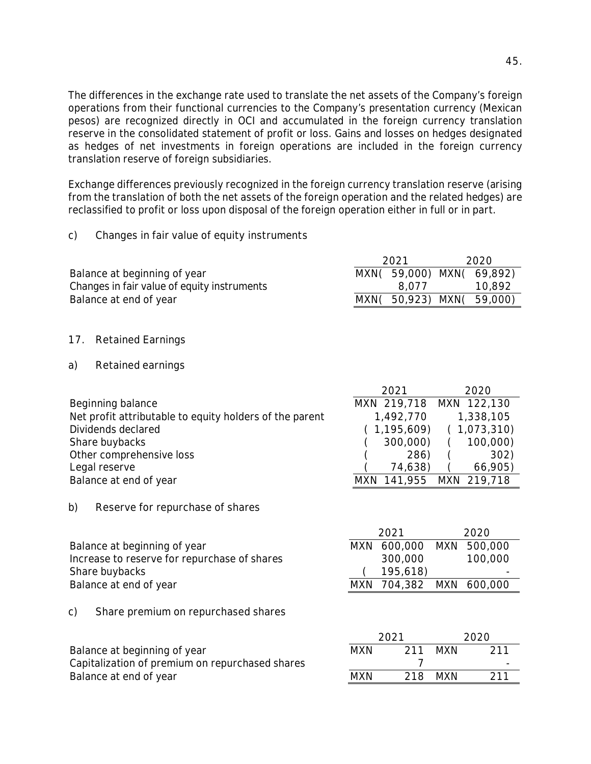The differences in the exchange rate used to translate the net assets of the Company's foreign operations from their functional currencies to the Company's presentation currency (Mexican pesos) are recognized directly in OCI and accumulated in the foreign currency translation reserve in the consolidated statement of profit or loss. Gains and losses on hedges designated as hedges of net investments in foreign operations are included in the foreign currency translation reserve of foreign subsidiaries.

Exchange differences previously recognized in the foreign currency translation reserve (arising from the translation of both the net assets of the foreign operation and the related hedges) are reclassified to profit or loss upon disposal of the foreign operation either in full or in part.

**c) Changes in fair value of equity instruments**

|                                             | 2021                      | 2020 |        |  |
|---------------------------------------------|---------------------------|------|--------|--|
| Balance at beginning of year                | MXN( 59,000) MXN( 69,892) |      |        |  |
| Changes in fair value of equity instruments | 8.077                     |      | 10,892 |  |
| Balance at end of year                      | MXN( 50,923) MXN( 59,000) |      |        |  |
|                                             |                           |      |        |  |

#### **17. Retained Earnings**

#### **a) Retained earnings**

|                                                         | 2021                    | 2020        |
|---------------------------------------------------------|-------------------------|-------------|
| Beginning balance                                       | MXN 219,718 MXN 122,130 |             |
| Net profit attributable to equity holders of the parent | 1,492,770               | 1,338,105   |
| Dividends declared                                      | (1, 195, 609)           | (1,073,310) |
| Share buybacks                                          | 300,000)                | 100,000)    |
| Other comprehensive loss                                | 286)                    | 302)        |
| Legal reserve                                           | 74,638)                 | 66,905)     |
| Balance at end of year                                  | MXN 141,955 MXN 219,718 |             |
|                                                         |                         |             |

**b) Reserve for repurchase of shares**

|                                              |     | 2021                    | 2020 |         |
|----------------------------------------------|-----|-------------------------|------|---------|
| Balance at beginning of year                 |     | MXN 600,000 MXN 500,000 |      |         |
| Increase to reserve for repurchase of shares |     | 300,000                 |      | 100,000 |
| Share buybacks                               |     | 195,618)                |      |         |
| Balance at end of year                       | MXN | 704,382 MXN 600,000     |      |         |

**c) Share premium on repurchased shares**

|                                                 | 2021 |     | 2020       |      |
|-------------------------------------------------|------|-----|------------|------|
| Balance at beginning of year                    | MXN  | 211 | <b>MXN</b> | -211 |
| Capitalization of premium on repurchased shares |      |     |            |      |
| Balance at end of year                          | MXN  | 218 | MXN        | 211  |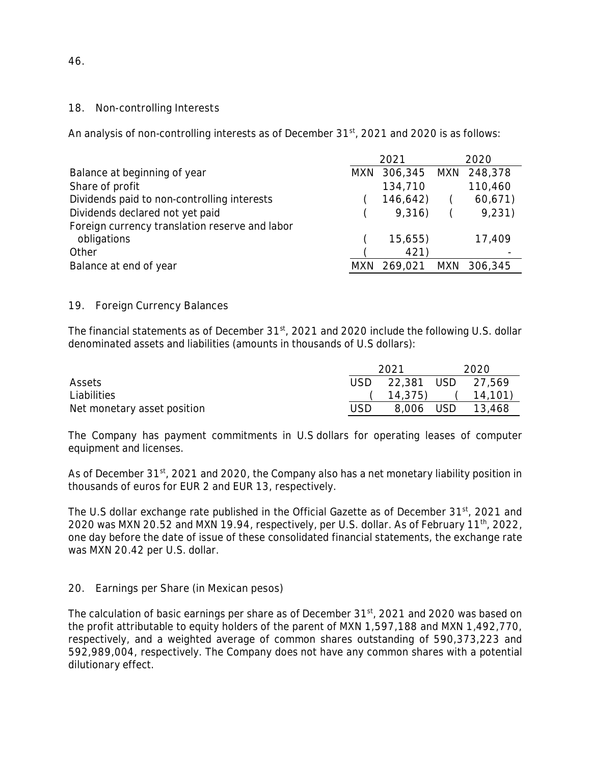### **18. Non-controlling Interests**

An analysis of non-controlling interests as of December 31<sup>st</sup>, 2021 and 2020 is as follows:

|                                                |     | 2021     | 2020       |         |
|------------------------------------------------|-----|----------|------------|---------|
| Balance at beginning of year                   | MXN | 306,345  | MXN        | 248,378 |
| Share of profit                                |     | 134,710  |            | 110,460 |
| Dividends paid to non-controlling interests    |     | 146,642) |            | 60,671) |
| Dividends declared not yet paid                |     | 9.316)   |            | 9,231)  |
| Foreign currency translation reserve and labor |     |          |            |         |
| obligations                                    |     | 15,655   |            | 17,409  |
| Other                                          |     | 421)     |            |         |
| Balance at end of year                         | MXN | 269,021  | <b>MXN</b> | 306,345 |

### **19. Foreign Currency Balances**

The financial statements as of December 31<sup>st</sup>, 2021 and 2020 include the following U.S. dollar denominated assets and liabilities (amounts in thousands of U.S dollars):

|                             |            | 2021    | 2020       |         |  |
|-----------------------------|------------|---------|------------|---------|--|
| Assets                      | USD.       | 22,381  | USD        | 27,569  |  |
| Liabilities                 |            | 14,375) |            | 14,101) |  |
| Net monetary asset position | <b>USD</b> | 8,006   | <b>USD</b> | 13,468  |  |

The Company has payment commitments in U.S dollars for operating leases of computer equipment and licenses.

As of December 31<sup>st</sup>, 2021 and 2020, the Company also has a net monetary liability position in thousands of euros for EUR 2 and EUR 13, respectively.

The U.S dollar exchange rate published in the *Official Gazette* as of December 31<sup>st</sup>, 2021 and 2020 was MXN 20.52 and MXN 19.94, respectively, per U.S. dollar. As of February 11th, 2022, one day before the date of issue of these consolidated financial statements, the exchange rate was MXN 20.42 per U.S. dollar.

### **20. Earnings per Share (in Mexican pesos)**

The calculation of basic earnings per share as of December  $31<sup>st</sup>$ , 2021 and 2020 was based on the profit attributable to equity holders of the parent of MXN 1,597,188 and MXN 1,492,770, respectively, and a weighted average of common shares outstanding of 590,373,223 and 592,989,004, respectively. The Company does not have any common shares with a potential dilutionary effect.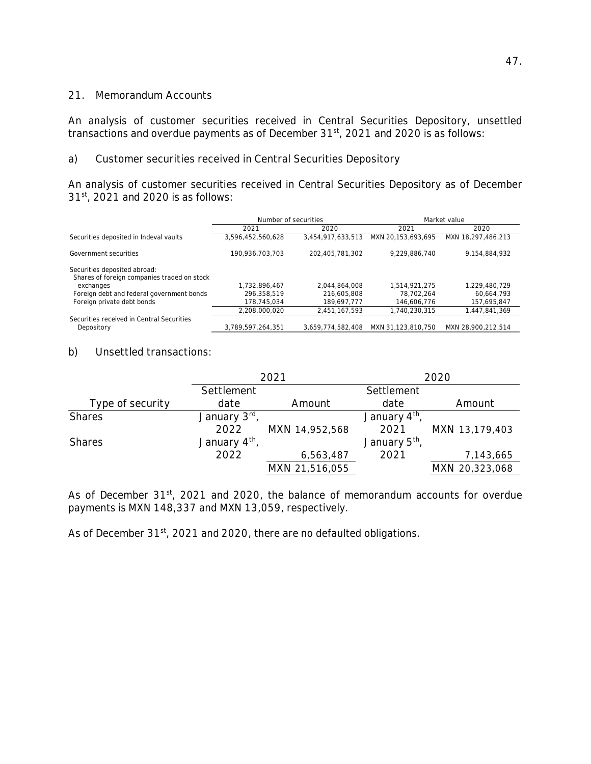#### **21. Memorandum Accounts**

An analysis of customer securities received in Central Securities Depository, unsettled transactions and overdue payments as of December 31<sup>st</sup>, 2021 and 2020 is as follows:

### **a) Customer securities received in Central Securities Depository**

An analysis of customer securities received in Central Securities Depository as of December  $31<sup>st</sup>$ , 2021 and 2020 is as follows:

|                                                                             | Number of securities |                   | Market value       |                    |  |  |
|-----------------------------------------------------------------------------|----------------------|-------------------|--------------------|--------------------|--|--|
|                                                                             | 2020<br>2021         |                   | 2021               | 2020               |  |  |
| Securities deposited in Indeval vaults                                      | 3,596,452,560,628    | 3,454,917,633,513 | MXN 20.153.693.695 | MXN 18.297.486.213 |  |  |
| Government securities                                                       | 190.936.703.703      | 202.405.781.302   | 9.229.886.740      | 9.154.884.932      |  |  |
| Securities deposited abroad:<br>Shares of foreign companies traded on stock |                      |                   |                    |                    |  |  |
| exchanges                                                                   | 1.732.896.467        | 2.044.864.008     | 1.514.921.275      | 1,229,480,729      |  |  |
| Foreign debt and federal government bonds                                   | 296.358.519          | 216.605.808       | 78.702.264         | 60.664.793         |  |  |
| Foreign private debt bonds                                                  | 178.745.034          | 189.697.777       | 146.606.776        | 157,695,847        |  |  |
|                                                                             | 2.208.000.020        | 2,451,167,593     | 1,740,230,315      | 1,447,841,369      |  |  |
| Securities received in Central Securities                                   |                      |                   |                    |                    |  |  |
| Depository                                                                  | 3.789.597.264.351    | 3.659.774.582.408 | MXN 31.123.810.750 | MXN 28.900.212.514 |  |  |

### **b) Unsettled transactions:**

|                  |                 | 2021           | 2020                      |                |  |  |
|------------------|-----------------|----------------|---------------------------|----------------|--|--|
|                  | Settlement      |                |                           |                |  |  |
| Type of security | date            | Amount         | date                      | Amount         |  |  |
| <b>Shares</b>    | January 3rd,    |                | January 4 <sup>th</sup> , |                |  |  |
|                  | 2022            | MXN 14,952,568 | 2021                      | MXN 13,179,403 |  |  |
| <b>Shares</b>    | January $4th$ , |                | January 5 <sup>th</sup> , |                |  |  |
|                  | 2022            | 6,563,487      | 2021                      | 7,143,665      |  |  |
|                  |                 | MXN 21,516,055 |                           | MXN 20,323,068 |  |  |

As of December 31<sup>st</sup>, 2021 and 2020, the balance of memorandum accounts for overdue payments is MXN 148,337 and MXN 13,059, respectively.

As of December 31<sup>st</sup>, 2021 and 2020, there are no defaulted obligations.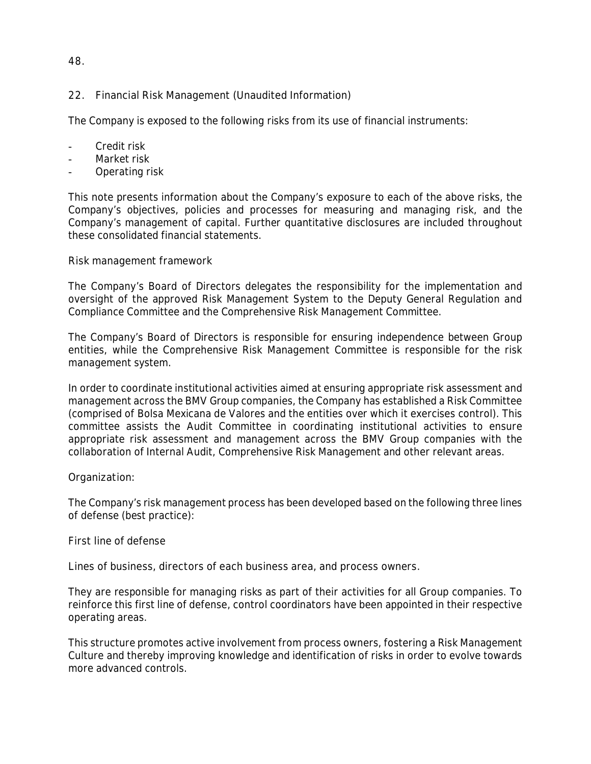# **22. Financial Risk Management (Unaudited Information)**

The Company is exposed to the following risks from its use of financial instruments:

- Credit risk
- Market risk
- Operating risk

This note presents information about the Company's exposure to each of the above risks, the Company's objectives, policies and processes for measuring and managing risk, and the Company's management of capital. Further quantitative disclosures are included throughout these consolidated financial statements.

### **Risk management framework**

The Company's Board of Directors delegates the responsibility for the implementation and oversight of the approved Risk Management System to the Deputy General Regulation and Compliance Committee and the Comprehensive Risk Management Committee.

The Company's Board of Directors is responsible for ensuring independence between Group entities, while the Comprehensive Risk Management Committee is responsible for the risk management system.

In order to coordinate institutional activities aimed at ensuring appropriate risk assessment and management across the BMV Group companies, the Company has established a Risk Committee (comprised of Bolsa Mexicana de Valores and the entities over which it exercises control). This committee assists the Audit Committee in coordinating institutional activities to ensure appropriate risk assessment and management across the BMV Group companies with the collaboration of Internal Audit, Comprehensive Risk Management and other relevant areas.

### **Organization:**

The Company's risk management process has been developed based on the following three lines of defense (best practice):

### *First line of defense*

**Lines of business, directors of each business area, and process owners.**

They are responsible for managing risks as part of their activities for all Group companies. To reinforce this first line of defense, control coordinators have been appointed in their respective operating areas.

This structure promotes active involvement from process owners, fostering a Risk Management Culture and thereby improving knowledge and identification of risks in order to evolve towards more advanced controls.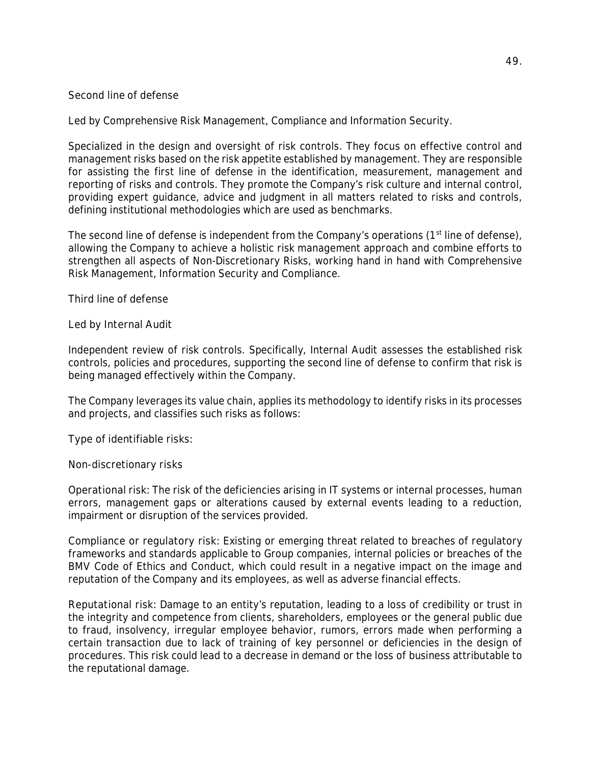### *Second line of defense*

Led by Comprehensive Risk Management, Compliance and Information Security.

Specialized in the design and oversight of risk controls. They focus on effective control and management risks based on the risk appetite established by management. They are responsible for assisting the first line of defense in the identification, measurement, management and reporting of risks and controls. They promote the Company's risk culture and internal control, providing expert guidance, advice and judgment in all matters related to risks and controls, defining institutional methodologies which are used as benchmarks.

The second line of defense is independent from the Company's operations  $(1<sup>st</sup>$  line of defense), allowing the Company to achieve a holistic risk management approach and combine efforts to strengthen all aspects of Non-Discretionary Risks, working hand in hand with Comprehensive Risk Management, Information Security and Compliance.

#### *Third line of defense*

#### **Led by Internal Audit**

Independent review of risk controls. Specifically, Internal Audit assesses the established risk controls, policies and procedures, supporting the second line of defense to confirm that risk is being managed effectively within the Company.

The Company leverages its value chain, applies its methodology to identify risks in its processes and projects, and classifies such risks as follows:

**Type of identifiable risks:**

### *Non-discretionary risks*

**Operational risk:** The risk of the deficiencies arising in IT systems or internal processes, human errors, management gaps or alterations caused by external events leading to a reduction, impairment or disruption of the services provided.

**Compliance or regulatory risk:** Existing or emerging threat related to breaches of regulatory frameworks and standards applicable to Group companies, internal policies or breaches of the BMV Code of Ethics and Conduct, which could result in a negative impact on the image and reputation of the Company and its employees, as well as adverse financial effects.

**Reputational risk:** Damage to an entity's reputation, leading to a loss of credibility or trust in the integrity and competence from clients, shareholders, employees or the general public due to fraud, insolvency, irregular employee behavior, rumors, errors made when performing a certain transaction due to lack of training of key personnel or deficiencies in the design of procedures. This risk could lead to a decrease in demand or the loss of business attributable to the reputational damage.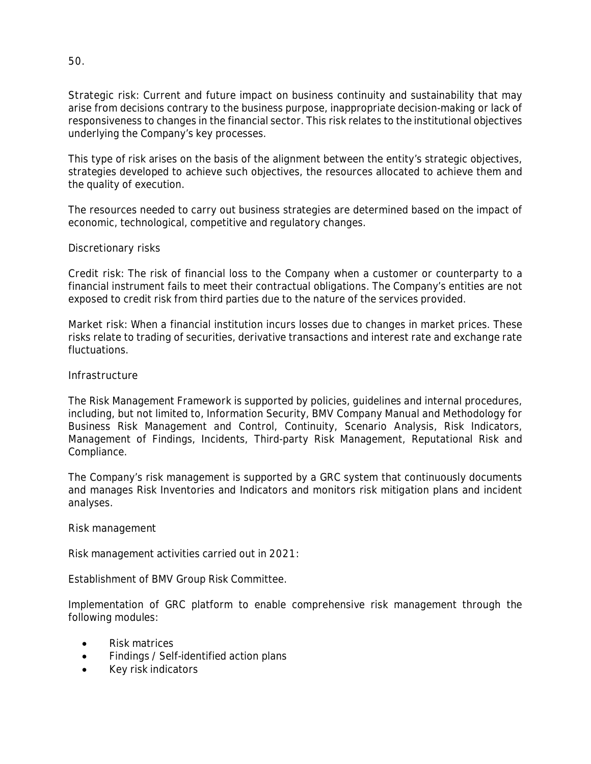**Strategic risk:** Current and future impact on business continuity and sustainability that may arise from decisions contrary to the business purpose, inappropriate decision-making or lack of responsiveness to changes in the financial sector. This risk relates to the institutional objectives underlying the Company's key processes.

This type of risk arises on the basis of the alignment between the entity's strategic objectives, strategies developed to achieve such objectives, the resources allocated to achieve them and the quality of execution.

The resources needed to carry out business strategies are determined based on the impact of economic, technological, competitive and regulatory changes.

### *Discretionary risks*

**Credit risk:** The risk of financial loss to the Company when a customer or counterparty to a financial instrument fails to meet their contractual obligations. The Company's entities are not exposed to credit risk from third parties due to the nature of the services provided.

**Market risk:** When a financial institution incurs losses due to changes in market prices. These risks relate to trading of securities, derivative transactions and interest rate and exchange rate fluctuations.

### **Infrastructure**

The Risk Management Framework is supported by policies, guidelines and internal procedures, including, but not limited to, Information Security, BMV Company Manual and Methodology for Business Risk Management and Control, Continuity, Scenario Analysis, Risk Indicators, Management of Findings, Incidents, Third-party Risk Management, Reputational Risk and Compliance.

The Company's risk management is supported by a GRC system that continuously documents and manages Risk Inventories and Indicators and monitors risk mitigation plans and incident analyses.

**Risk management**

Risk management activities carried out in 2021:

Establishment of BMV Group Risk Committee.

Implementation of GRC platform to enable comprehensive risk management through the following modules:

- Risk matrices
- Findings / Self-identified action plans
- Key risk indicators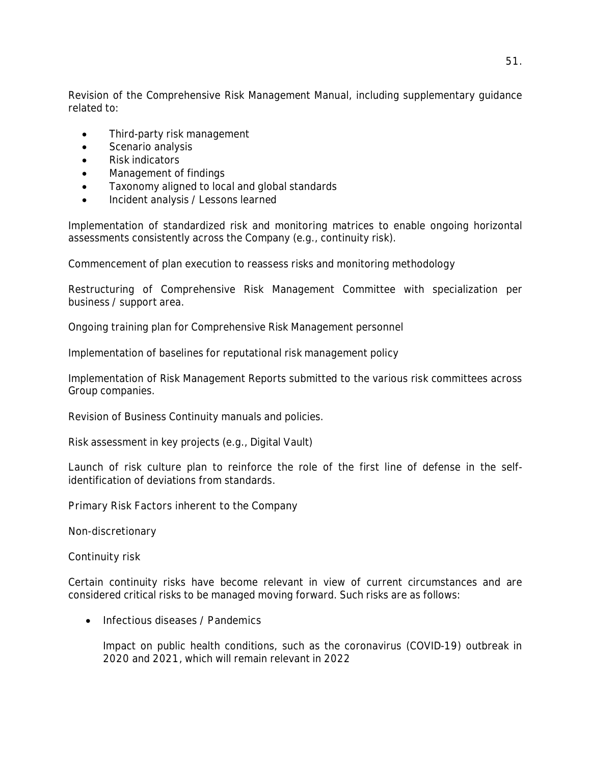Revision of the Comprehensive Risk Management Manual, including supplementary guidance related to:

- Third-party risk management
- Scenario analysis
- Risk indicators
- Management of findings
- Taxonomy aligned to local and global standards
- Incident analysis / Lessons learned

Implementation of standardized risk and monitoring matrices to enable ongoing horizontal assessments consistently across the Company (e.g., continuity risk).

Commencement of plan execution to reassess risks and monitoring methodology

Restructuring of Comprehensive Risk Management Committee with specialization per business / support area.

Ongoing training plan for Comprehensive Risk Management personnel

Implementation of baselines for reputational risk management policy

Implementation of Risk Management Reports submitted to the various risk committees across Group companies.

Revision of Business Continuity manuals and policies.

Risk assessment in key projects (e.g., Digital Vault)

Launch of risk culture plan to reinforce the role of the first line of defense in the selfidentification of deviations from standards.

**Primary Risk Factors inherent to the Company**

*Non-discretionary*

**Continuity risk**

Certain continuity risks have become relevant in view of current circumstances and are considered critical risks to be managed moving forward. Such risks are as follows:

**Infectious diseases / Pandemics**

Impact on public health conditions, such as the coronavirus (COVID-19) outbreak in 2020 and 2021, which will remain relevant in 2022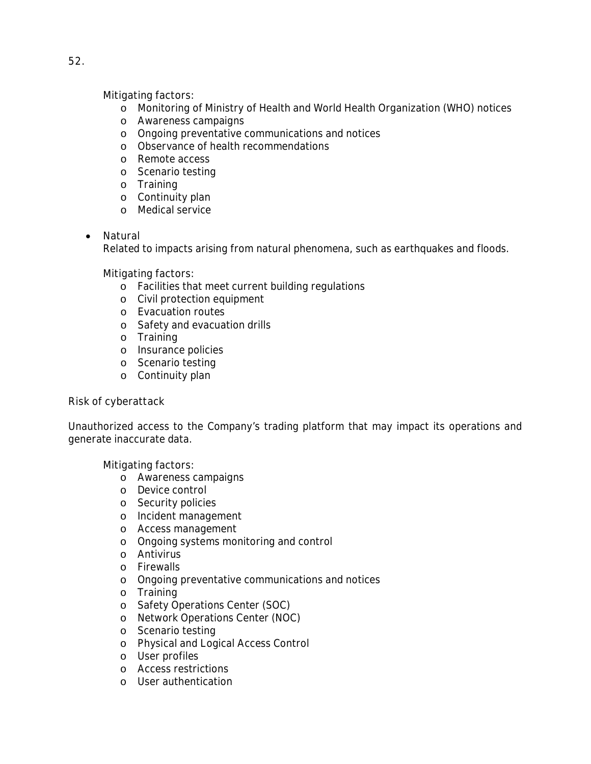**Mitigating factors:**

- o Monitoring of Ministry of Health and World Health Organization (WHO) notices
- o Awareness campaigns
- o Ongoing preventative communications and notices
- o Observance of health recommendations
- o Remote access
- o Scenario testing
- o Training
- o Continuity plan
- o Medical service
- **Natural**

Related to impacts arising from natural phenomena, such as earthquakes and floods.

**Mitigating factors:**

- o Facilities that meet current building regulations
- o Civil protection equipment
- o Evacuation routes
- o Safety and evacuation drills
- o Training
- o Insurance policies
- o Scenario testing
- o Continuity plan

# **Risk of cyberattack**

Unauthorized access to the Company's trading platform that may impact its operations and generate inaccurate data.

**Mitigating factors:**

- o Awareness campaigns
- o Device control
- o Security policies
- o Incident management
- o Access management
- o Ongoing systems monitoring and control
- o Antivirus
- o Firewalls
- o Ongoing preventative communications and notices
- o Training
- o Safety Operations Center (SOC)
- o Network Operations Center (NOC)
- o Scenario testing
- o Physical and Logical Access Control
- o User profiles
- o Access restrictions
- o User authentication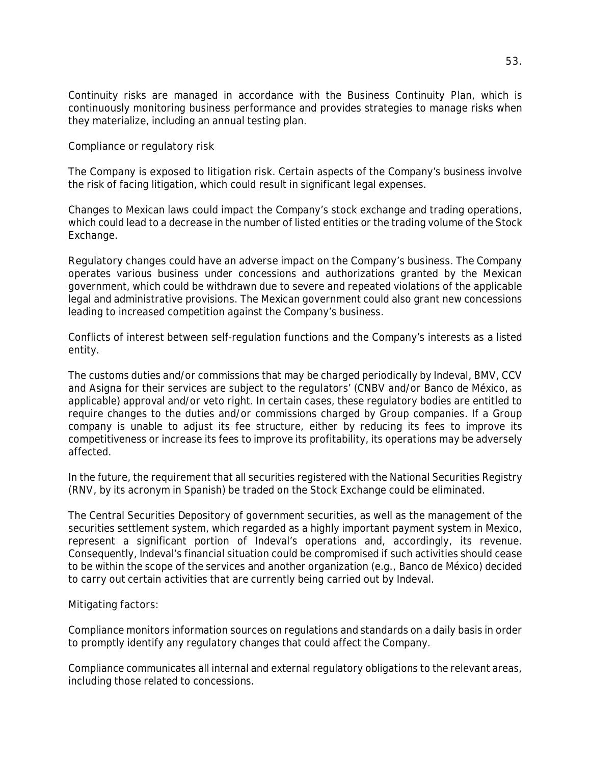Continuity risks are managed in accordance with the Business Continuity Plan, which is continuously monitoring business performance and provides strategies to manage risks when they materialize, including an annual testing plan.

**Compliance or regulatory risk**

**The Company is exposed to litigation risk.** Certain aspects of the Company's business involve the risk of facing litigation, which could result in significant legal expenses.

Changes to Mexican laws could impact the Company's stock exchange and trading operations, which could lead to a decrease in the number of listed entities or the trading volume of the Stock Exchange.

**Regulatory changes could have an adverse impact on the Company's business.** The Company operates various business under concessions and authorizations granted by the Mexican government, which could be withdrawn due to severe and repeated violations of the applicable legal and administrative provisions. The Mexican government could also grant new concessions leading to increased competition against the Company's business.

Conflicts of interest between self-regulation functions and the Company's interests as a listed entity.

The customs duties and/or commissions that may be charged periodically by Indeval, BMV, CCV and Asigna for their services are subject to the regulators' (CNBV and/or Banco de México, as applicable) approval and/or veto right. In certain cases, these regulatory bodies are entitled to require changes to the duties and/or commissions charged by Group companies. If a Group company is unable to adjust its fee structure, either by reducing its fees to improve its competitiveness or increase its fees to improve its profitability, its operations may be adversely affected.

In the future, the requirement that all securities registered with the National Securities Registry (RNV, by its acronym in Spanish) be traded on the Stock Exchange could be eliminated.

The Central Securities Depository of government securities, as well as the management of the securities settlement system, which regarded as a highly important payment system in Mexico, represent a significant portion of Indeval's operations and, accordingly, its revenue. Consequently, Indeval's financial situation could be compromised if such activities should cease to be within the scope of the services and another organization (e.g., Banco de México) decided to carry out certain activities that are currently being carried out by Indeval.

### *Mitigating factors:*

Compliance monitors information sources on regulations and standards on a daily basis in order to promptly identify any regulatory changes that could affect the Company.

Compliance communicates all internal and external regulatory obligations to the relevant areas, including those related to concessions.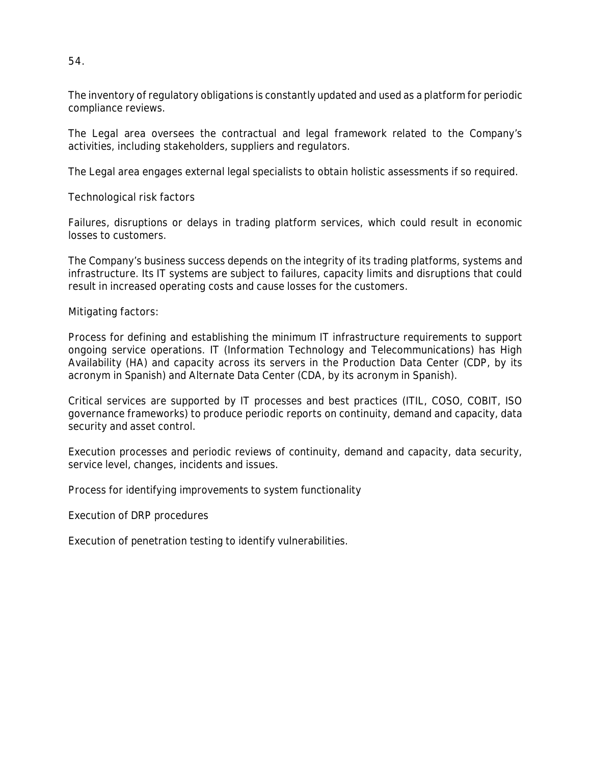The inventory of regulatory obligations is constantly updated and used as a platform for periodic compliance reviews.

The Legal area oversees the contractual and legal framework related to the Company's activities, including stakeholders, suppliers and regulators.

The Legal area engages external legal specialists to obtain holistic assessments if so required.

**Technological risk factors**

Failures, disruptions or delays in trading platform services, which could result in economic losses to customers.

The Company's business success depends on the integrity of its trading platforms, systems and infrastructure. Its IT systems are subject to failures, capacity limits and disruptions that could result in increased operating costs and cause losses for the customers.

### *Mitigating factors:*

Process for defining and establishing the minimum IT infrastructure requirements to support ongoing service operations. IT (Information Technology and Telecommunications) has High Availability (HA) and capacity across its servers in the Production Data Center (CDP, by its acronym in Spanish) and Alternate Data Center (CDA, by its acronym in Spanish).

Critical services are supported by IT processes and best practices (ITIL, COSO, COBIT, ISO governance frameworks) to produce periodic reports on continuity, demand and capacity, data security and asset control.

Execution processes and periodic reviews of continuity, demand and capacity, data security, service level, changes, incidents and issues.

Process for identifying improvements to system functionality

Execution of DRP procedures

Execution of penetration testing to identify vulnerabilities.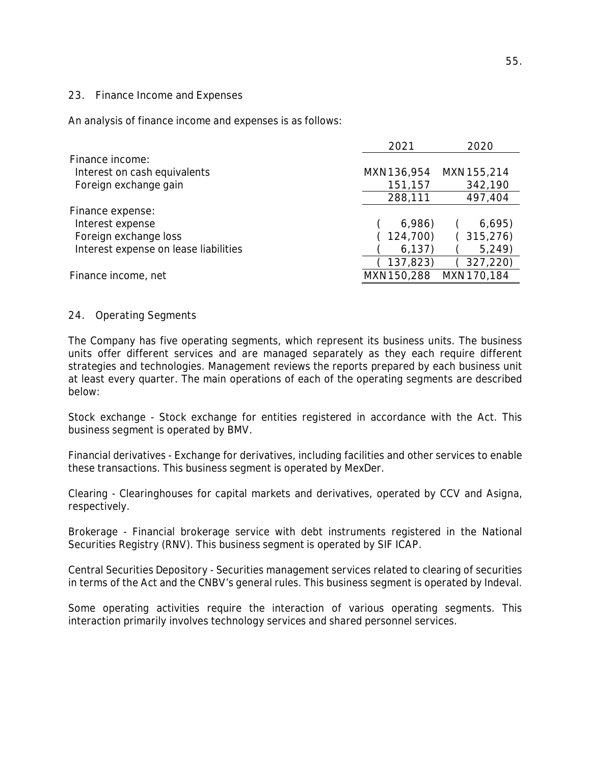#### **23. Finance Income and Expenses**

An analysis of finance income and expenses is as follows:

|                                       | 2021       | 2020        |
|---------------------------------------|------------|-------------|
| Finance income:                       |            |             |
| Interest on cash equivalents          | MXN136,954 | MXN 155,214 |
| Foreign exchange gain                 | 151,157    | 342,190     |
|                                       | 288,111    | 497,404     |
| Finance expense:                      |            |             |
| Interest expense                      | 6,986      | 6,695)      |
| Foreign exchange loss                 | 124,700)   | 315,276)    |
| Interest expense on lease liabilities | 6, 137)    | 5,249       |
|                                       | 137,823)   | 327,220)    |
| Finance income, net                   | MXN150,288 | MXN 170,184 |

#### **24. Operating Segments**

The Company has five operating segments, which represent its business units. The business units offer different services and are managed separately as they each require different strategies and technologies. Management reviews the reports prepared by each business unit at least every quarter. The main operations of each of the operating segments are described below:

*Stock exchange -* Stock exchange for entities registered in accordance with the Act. This business segment is operated by BMV.

*Financial derivatives -* Exchange for derivatives, including facilities and other services to enable these transactions. This business segment is operated by MexDer.

*Clearing -* Clearinghouses for capital markets and derivatives, operated by CCV and Asigna, respectively.

*Brokerage -* Financial brokerage service with debt instruments registered in the National Securities Registry (RNV). This business segment is operated by SIF ICAP.

*Central Securities Depository -* Securities management services related to clearing of securities in terms of the Act and the CNBV's general rules. This business segment is operated by Indeval.

Some operating activities require the interaction of various operating segments. This interaction primarily involves technology services and shared personnel services.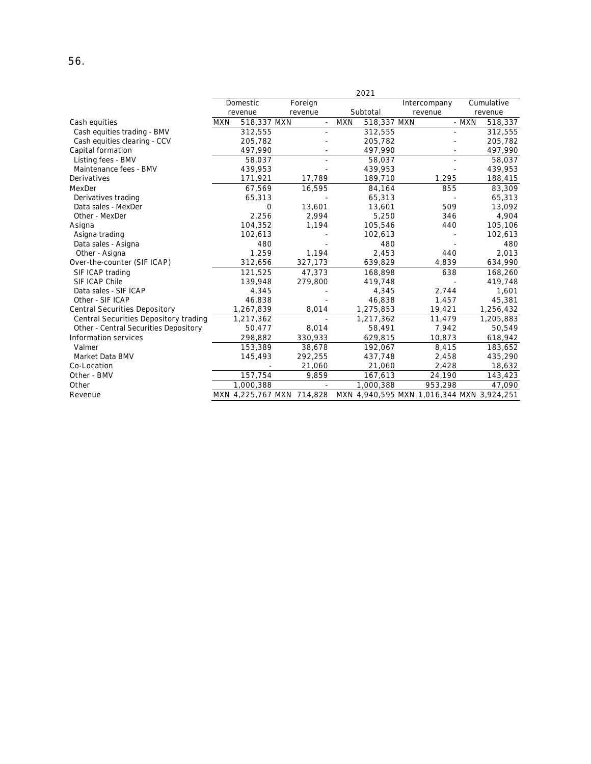|                                       |            |             |         |            | 2021        |              |       |            |
|---------------------------------------|------------|-------------|---------|------------|-------------|--------------|-------|------------|
|                                       |            | Domestic    | Foreign |            |             | Intercompany |       | Cumulative |
|                                       |            | revenue     | revenue |            | Subtotal    | revenue      |       | revenue    |
| Cash equities                         | <b>MXN</b> | 518,337 MXN |         | <b>MXN</b> | 518,337 MXN |              | - MXN | 518,337    |
| Cash equities trading - BMV           |            | 312,555     |         |            | 312,555     |              |       | 312,555    |
| Cash equities clearing - CCV          |            | 205,782     |         |            | 205,782     |              |       | 205,782    |
| Capital formation                     |            | 497,990     |         |            | 497,990     |              |       | 497,990    |
| Listing fees - BMV                    |            | 58,037      |         |            | 58,037      |              |       | 58,037     |
| Maintenance fees - BMV                |            | 439.953     |         |            | 439,953     |              |       | 439,953    |
| Derivatives                           |            | 171,921     | 17,789  |            | 189,710     | 1,295        |       | 188,415    |
| MexDer                                |            | 67,569      | 16,595  |            | 84,164      | 855          |       | 83,309     |
| Derivatives trading                   |            | 65,313      |         |            | 65,313      |              |       | 65,313     |
| Data sales - MexDer                   |            | $\Omega$    | 13,601  |            | 13,601      | 509          |       | 13,092     |
| Other - MexDer                        |            | 2,256       | 2,994   |            | 5,250       | 346          |       | 4,904      |
| Asigna                                |            | 104,352     | 1,194   |            | 105,546     | 440          |       | 105,106    |
| Asigna trading                        |            | 102,613     |         |            | 102,613     |              |       | 102,613    |
| Data sales - Asigna                   |            | 480         |         |            | 480         |              |       | 480        |
| Other - Asigna                        |            | 1,259       | 1,194   |            | 2,453       | 440          |       | 2,013      |
| Over-the-counter (SIF ICAP)           |            | 312,656     | 327,173 |            | 639,829     | 4,839        |       | 634,990    |
| SIF ICAP trading                      |            | 121,525     | 47,373  |            | 168,898     | 638          |       | 168,260    |
| SIF ICAP Chile                        |            | 139,948     | 279,800 |            | 419,748     |              |       | 419,748    |
| Data sales - SIF ICAP                 |            | 4,345       |         |            | 4,345       | 2,744        |       | 1,601      |
| Other - SIF ICAP                      |            | 46,838      |         |            | 46,838      | 1,457        |       | 45,381     |
| Central Securities Depository         |            | 1,267,839   | 8,014   |            | 1,275,853   | 19,421       |       | 1,256,432  |
| Central Securities Depository trading |            | 1,217,362   |         |            | 1,217,362   | 11,479       |       | 1,205,883  |
| Other - Central Securities Depository |            | 50,477      | 8,014   |            | 58,491      | 7,942        |       | 50,549     |
| Information services                  |            | 298,882     | 330,933 |            | 629,815     | 10,873       |       | 618,942    |

Valmer **153,389 38,678 192,067 8,415 183,652** Market Data BMV **145,493 292,255 437,748 2,458 435,290**

**Other - BMV 157,754 9,859 167,613 24,190 143,423 Other 1,000,388 - 1,000,388 953,298 47,090 Revenue MXN 4,225,767 MXN 714,828 MXN 4,940,595 MXN 1,016,344 MXN 3,924,251**

**Co-Location - 21,060 21,060 2,428 18,632**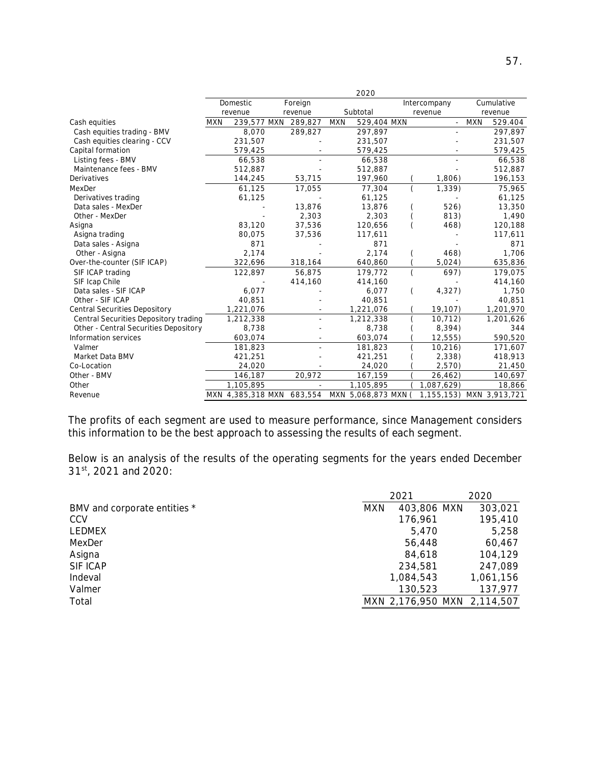|                                       |            |                           | 2020                      |                |                       |         |
|---------------------------------------|------------|---------------------------|---------------------------|----------------|-----------------------|---------|
|                                       | Domestic   | Foreign                   |                           | Intercompany   | Cumulative            |         |
|                                       | revenue    | revenue                   | Subtotal                  | revenue        | revenue               |         |
| Cash equities                         | <b>MXN</b> | 239,577 MXN 289,827       | <b>MXN</b><br>529,404 MXN | $\blacksquare$ | <b>MXN</b><br>529.404 |         |
| Cash equities trading - BMV           | 8,070      | 289,827                   | 297.897                   |                | 297,897               |         |
| Cash equities clearing - CCV          | 231,507    |                           | 231,507                   |                | 231,507               |         |
| Capital formation                     | 579,425    |                           | 579,425                   |                | 579,425               |         |
| Listing fees - BMV                    | 66,538     |                           | 66,538                    |                |                       | 66,538  |
| Maintenance fees - BMV                | 512.887    |                           | 512.887                   |                | 512,887               |         |
| Derivatives                           | 144,245    | 53,715                    | 197,960                   | 1,806)         | 196,153               |         |
| MexDer                                | 61,125     | 17,055                    | 77,304                    | 1,339)         |                       | 75,965  |
| Derivatives trading                   | 61,125     |                           | 61,125                    |                |                       | 61,125  |
| Data sales - MexDer                   |            | 13,876                    | 13,876                    | 526)           |                       | 13,350  |
| Other - MexDer                        |            | 2,303                     | 2,303                     | 813)           |                       | 1,490   |
| Asigna                                | 83,120     | 37,536                    | 120,656                   | 468)           |                       | 120,188 |
| Asigna trading                        | 80,075     | 37,536                    | 117,611                   |                | 117,611               |         |
| Data sales - Asigna                   | 871        |                           | 871                       |                |                       | 871     |
| Other - Asigna                        | 2.174      |                           | 2,174                     | 468)           |                       | 1,706   |
| Over-the-counter (SIF ICAP)           | 322,696    | 318,164                   | 640,860                   | 5,024)         | 635,836               |         |
| SIF ICAP trading                      | 122,897    | 56,875                    | 179,772                   | 697)           | 179,075               |         |
| SIF Icap Chile                        |            | 414,160                   | 414,160                   |                | 414,160               |         |
| Data sales - SIF ICAP                 | 6,077      |                           | 6,077                     | 4,327)         |                       | 1,750   |
| Other - SIF ICAP                      | 40,851     |                           | 40,851                    |                |                       | 40,851  |
| <b>Central Securities Depository</b>  | 1,221,076  |                           | 1,221,076                 | 19,107)        | 1,201,970             |         |
| Central Securities Depository trading | 1,212,338  |                           | 1,212,338                 | 10,712         | 1,201,626             |         |
| Other - Central Securities Depository | 8.738      |                           | 8.738                     | 8,394)         |                       | 344     |
| Information services                  | 603,074    |                           | 603,074                   | 12,555         | 590,520               |         |
| Valmer                                | 181,823    |                           | 181,823                   | 10,216)        |                       | 171,607 |
| Market Data BMV                       | 421,251    |                           | 421,251                   | 2,338)         | 418,913               |         |
| Co-Location                           | 24,020     |                           | 24,020                    | 2,570)         |                       | 21,450  |
| Other - BMV                           | 146,187    | 20,972                    | 167,159                   | 26,462         |                       | 140,697 |
| Other                                 | 1,105,895  |                           | 1,105,895                 | 1,087,629)     |                       | 18,866  |
| Revenue                               |            | MXN 4,385,318 MXN 683,554 | MXN 5,068,873 MXN         | 1,155,153)     | MXN 3,913,721         |         |

The profits of each segment are used to measure performance, since Management considers this information to be the best approach to assessing the results of each segment.

Below is an analysis of the results of the operating segments for the years ended December 31st, 2021 and 2020:

|                              |     | 2021        | 2020                        |  |  |
|------------------------------|-----|-------------|-----------------------------|--|--|
| BMV and corporate entities * | MXN | 403,806 MXN | 303,021                     |  |  |
| <b>CCV</b>                   |     | 176,961     | 195,410                     |  |  |
| <b>LEDMEX</b>                |     | 5.470       | 5,258                       |  |  |
| MexDer                       |     | 56,448      | 60.467                      |  |  |
| Asigna                       |     | 84,618      | 104,129                     |  |  |
| SIF ICAP                     |     | 234,581     | 247,089                     |  |  |
| Indeval                      |     | 1,084,543   | 1,061,156                   |  |  |
| Valmer                       |     | 130,523     | 137,977                     |  |  |
| Total                        |     |             | MXN 2,176,950 MXN 2,114,507 |  |  |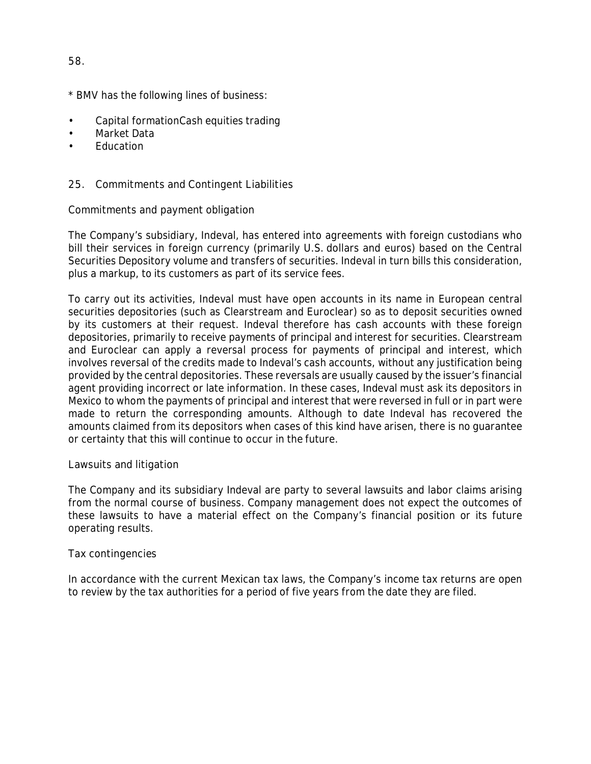- \* BMV has the following lines of business:
- Capital formationCash equities trading
- Market Data
- Education

# **25. Commitments and Contingent Liabilities**

### *Commitments and payment obligation*

The Company's subsidiary, Indeval, has entered into agreements with foreign custodians who bill their services in foreign currency (primarily U.S. dollars and euros) based on the Central Securities Depository volume and transfers of securities. Indeval in turn bills this consideration, plus a markup, to its customers as part of its service fees.

To carry out its activities, Indeval must have open accounts in its name in European central securities depositories (such as Clearstream and Euroclear) so as to deposit securities owned by its customers at their request. Indeval therefore has cash accounts with these foreign depositories, primarily to receive payments of principal and interest for securities. Clearstream and Euroclear can apply a reversal process for payments of principal and interest, which involves reversal of the credits made to Indeval's cash accounts, without any justification being provided by the central depositories. These reversals are usually caused by the issuer's financial agent providing incorrect or late information. In these cases, Indeval must ask its depositors in Mexico to whom the payments of principal and interest that were reversed in full or in part were made to return the corresponding amounts. Although to date Indeval has recovered the amounts claimed from its depositors when cases of this kind have arisen, there is no guarantee or certainty that this will continue to occur in the future.

### *Lawsuits and litigation*

The Company and its subsidiary Indeval are party to several lawsuits and labor claims arising from the normal course of business. Company management does not expect the outcomes of these lawsuits to have a material effect on the Company's financial position or its future operating results.

### *Tax contingencies*

In accordance with the current Mexican tax laws, the Company's income tax returns are open to review by the tax authorities for a period of five years from the date they are filed.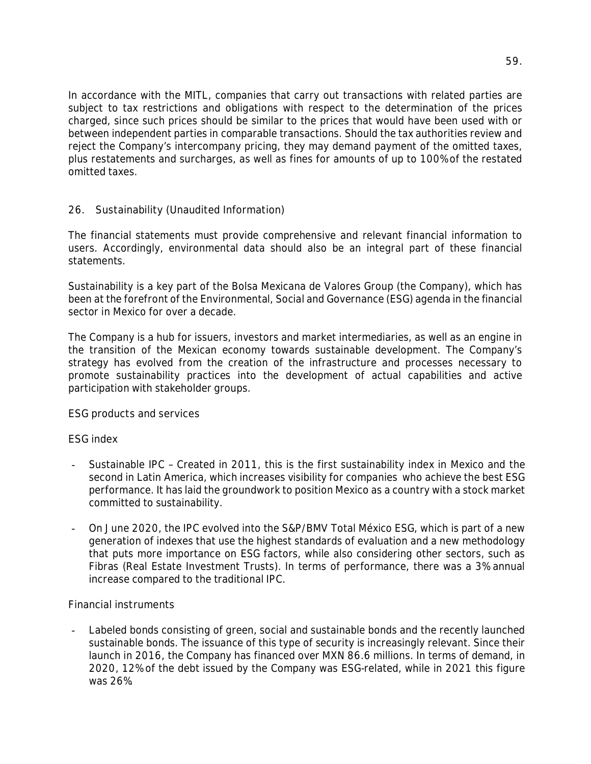In accordance with the MITL, companies that carry out transactions with related parties are subject to tax restrictions and obligations with respect to the determination of the prices charged, since such prices should be similar to the prices that would have been used with or between independent parties in comparable transactions. Should the tax authorities review and reject the Company's intercompany pricing, they may demand payment of the omitted taxes, plus restatements and surcharges, as well as fines for amounts of up to 100% of the restated omitted taxes.

# **26. Sustainability (Unaudited Information)**

The financial statements must provide comprehensive and relevant financial information to users. Accordingly, environmental data should also be an integral part of these financial statements.

Sustainability is a key part of the Bolsa Mexicana de Valores Group (the Company), which has been at the forefront of the Environmental, Social and Governance (ESG) agenda in the financial sector in Mexico for over a decade.

The Company is a hub for issuers, investors and market intermediaries, as well as an engine in the transition of the Mexican economy towards sustainable development. The Company's strategy has evolved from the creation of the infrastructure and processes necessary to promote sustainability practices into the development of actual capabilities and active participation with stakeholder groups.

**ESG products and services**

# **ESG index**

- Sustainable IPC Created in 2011, this is the first sustainability index in Mexico and the second in Latin America, which increases visibility for companies who achieve the best ESG performance. It has laid the groundwork to position Mexico as a country with a stock market committed to sustainability.
- On June 2020, the IPC evolved into the S&P/BMV Total México ESG, which is part of a new generation of indexes that use the highest standards of evaluation and a new methodology that puts more importance on ESG factors, while also considering other sectors, such as Fibras (Real Estate Investment Trusts). In terms of performance, there was a 3% annual increase compared to the traditional IPC.

#### **Financial instruments**

Labeled bonds consisting of green, social and sustainable bonds and the recently launched sustainable bonds. The issuance of this type of security is increasingly relevant. Since their launch in 2016, the Company has financed over MXN 86.6 millions. In terms of demand, in 2020, 12% of the debt issued by the Company was ESG-related, while in 2021 this figure was 26%.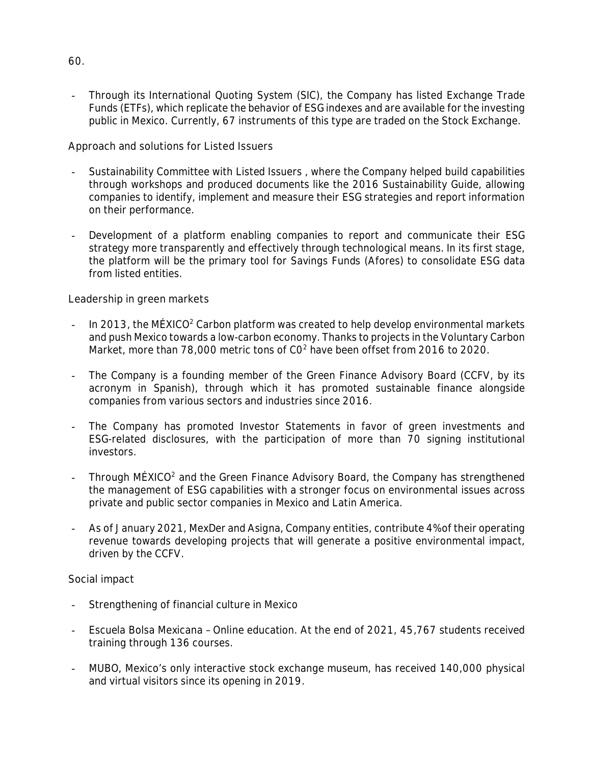Through its International Quoting System (SIC), the Company has listed Exchange Trade Funds (ETFs), which replicate the behavior of ESG indexes and are available for the investing public in Mexico. Currently, 67 instruments of this type are traded on the Stock Exchange.

**Approach and solutions for Listed Issuers**

- Sustainability Committee with Listed Issuers, where the Company helped build capabilities through workshops and produced documents like the 2016 Sustainability Guide, allowing companies to identify, implement and measure their ESG strategies and report information on their performance.
- Development of a platform enabling companies to report and communicate their ESG strategy more transparently and effectively through technological means. In its first stage, the platform will be the primary tool for Savings Funds (*Afores*) to consolidate ESG data from listed entities.

**Leadership in green markets**

- In 2013, the MÉXICO<sup>2</sup> Carbon platform was created to help develop environmental markets and push Mexico towards a low-carbon economy. Thanks to projects in the Voluntary Carbon Market, more than 78,000 metric tons of CO<sup>2</sup> have been offset from 2016 to 2020.
- The Company is a founding member of the Green Finance Advisory Board (CCFV, by its acronym in Spanish), through which it has promoted sustainable finance alongside companies from various sectors and industries since 2016.
- The Company has promoted Investor Statements in favor of green investments and ESG-related disclosures, with the participation of more than 70 signing institutional investors.
- Through MÉXICO<sup>2</sup> and the Green Finance Advisory Board, the Company has strengthened the management of ESG capabilities with a stronger focus on environmental issues across private and public sector companies in Mexico and Latin America.
- As of January 2021, MexDer and Asigna, Company entities, contribute 4% of their operating revenue towards developing projects that will generate a positive environmental impact, driven by the CCFV.

**Social impact**

- Strengthening of financial culture in Mexico
- Escuela Bolsa Mexicana Online education. At the end of 2021, 45,767 students received training through 136 courses.
- MUBO, Mexico's only interactive stock exchange museum, has received 140,000 physical and virtual visitors since its opening in 2019.

60.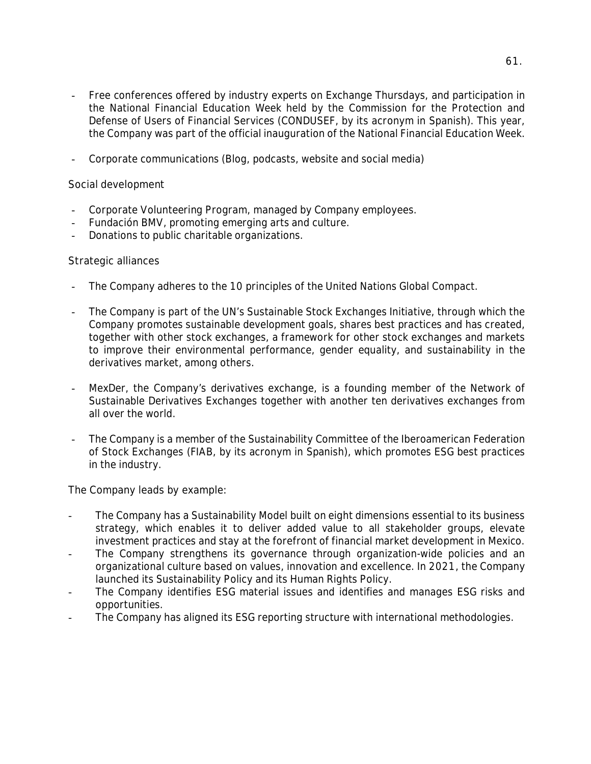- Free conferences offered by industry experts on Exchange Thursdays, and participation in the National Financial Education Week held by the Commission for the Protection and Defense of Users of Financial Services (CONDUSEF, by its acronym in Spanish). This year, the Company was part of the official inauguration of the National Financial Education Week.
- Corporate communications (Blog, podcasts, website and social media)

### **Social development**

- Corporate Volunteering Program, managed by Company employees.
- Fundación BMV, promoting emerging arts and culture.
- Donations to public charitable organizations.

#### **Strategic alliances**

- The Company adheres to the 10 principles of the United Nations Global Compact.
- The Company is part of the UN's Sustainable Stock Exchanges Initiative, through which the Company promotes sustainable development goals, shares best practices and has created, together with other stock exchanges, a framework for other stock exchanges and markets to improve their environmental performance, gender equality, and sustainability in the derivatives market, among others.
- MexDer, the Company's derivatives exchange, is a founding member of the Network of Sustainable Derivatives Exchanges together with another ten derivatives exchanges from all over the world.
- The Company is a member of the Sustainability Committee of the Iberoamerican Federation of Stock Exchanges (FIAB, by its acronym in Spanish), which promotes ESG best practices in the industry.

**The Company leads by example:**

- The Company has a Sustainability Model built on eight dimensions essential to its business strategy, which enables it to deliver added value to all stakeholder groups, elevate investment practices and stay at the forefront of financial market development in Mexico.
- The Company strengthens its governance through organization-wide policies and an organizational culture based on values, innovation and excellence. In 2021, the Company launched its Sustainability Policy and its Human Rights Policy.
- The Company identifies ESG material issues and identifies and manages ESG risks and opportunities.
- The Company has aligned its ESG reporting structure with international methodologies.